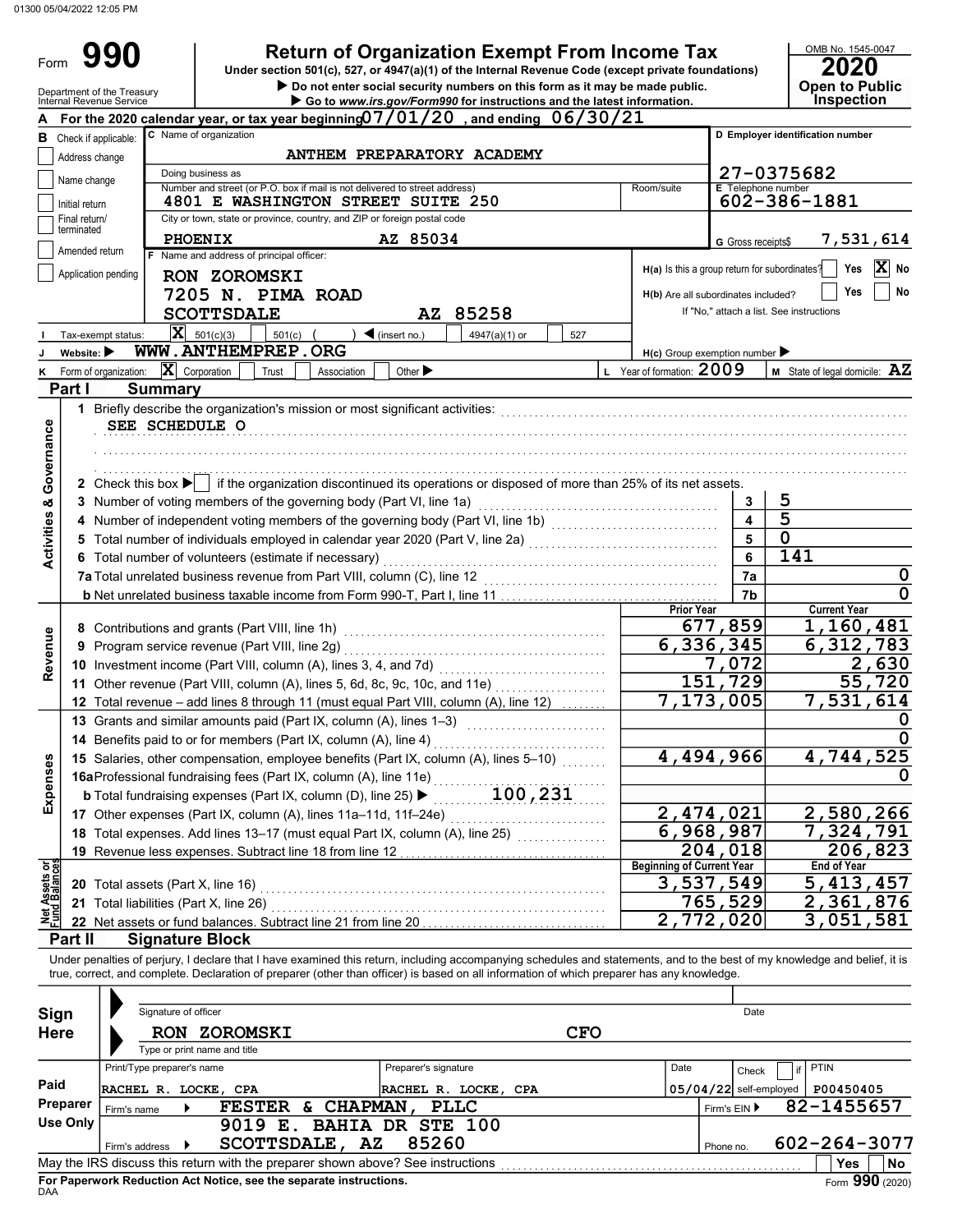Form

# **990** Return of Organization Exempt From Income Tax  $\frac{\text{OMB No. 1545-0}}{2020}$

Do not enter social security numbers on this form as it may be made public. Open to Public Under section 501(c), 527, or 4947(a)(1) of the Internal Revenue Code (except private foundations)

OMB No. 1545-0047

|                                    | Department of the Treasury<br>Internal Revenue Service |                                                            |                                                                                       |                                                                          |                |                                                                                 | $\blacktriangleright$ Do not enter social security numbers on this form as it may be made public.<br>Go to www.irs.gov/Form990 for instructions and the latest information. |  |                                               |                           | <b>Open to Public</b><br><b>Inspection</b>                                                                                                                                 |
|------------------------------------|--------------------------------------------------------|------------------------------------------------------------|---------------------------------------------------------------------------------------|--------------------------------------------------------------------------|----------------|---------------------------------------------------------------------------------|-----------------------------------------------------------------------------------------------------------------------------------------------------------------------------|--|-----------------------------------------------|---------------------------|----------------------------------------------------------------------------------------------------------------------------------------------------------------------------|
|                                    |                                                        |                                                            |                                                                                       |                                                                          |                |                                                                                 | For the 2020 calendar year, or tax year beginning $07/01/20$ , and ending $06/30/21$                                                                                        |  |                                               |                           |                                                                                                                                                                            |
| в                                  | Check if applicable:                                   |                                                            |                                                                                       | C Name of organization                                                   |                |                                                                                 |                                                                                                                                                                             |  |                                               |                           | D Employer identification number                                                                                                                                           |
|                                    | Address change                                         |                                                            |                                                                                       |                                                                          |                | ANTHEM PREPARATORY ACADEMY                                                      |                                                                                                                                                                             |  |                                               |                           |                                                                                                                                                                            |
|                                    | Name change                                            |                                                            |                                                                                       | Doing business as                                                        |                |                                                                                 |                                                                                                                                                                             |  |                                               |                           | 27-0375682                                                                                                                                                                 |
|                                    |                                                        |                                                            |                                                                                       |                                                                          |                | Number and street (or P.O. box if mail is not delivered to street address)      |                                                                                                                                                                             |  | Room/suite                                    | <b>E</b> Telephone number |                                                                                                                                                                            |
|                                    | Initial return                                         |                                                            |                                                                                       |                                                                          |                | 4801 E WASHINGTON STREET SUITE 250                                              |                                                                                                                                                                             |  |                                               |                           | 602-386-1881                                                                                                                                                               |
|                                    | Final return/<br>terminated                            |                                                            |                                                                                       | City or town, state or province, country, and ZIP or foreign postal code |                |                                                                                 |                                                                                                                                                                             |  |                                               |                           |                                                                                                                                                                            |
|                                    | Amended return                                         |                                                            |                                                                                       | <b>PHOENIX</b><br>F Name and address of principal officer:               |                | AZ 85034                                                                        |                                                                                                                                                                             |  |                                               | G Gross receipts\$        | 7,531,614                                                                                                                                                                  |
|                                    | Application pending                                    |                                                            |                                                                                       |                                                                          |                |                                                                                 |                                                                                                                                                                             |  | H(a) Is this a group return for subordinates? |                           | X<br>Yes<br>No                                                                                                                                                             |
|                                    |                                                        |                                                            |                                                                                       | RON ZOROMSKI                                                             |                |                                                                                 |                                                                                                                                                                             |  |                                               |                           | Yes<br>No                                                                                                                                                                  |
|                                    |                                                        |                                                            |                                                                                       | 7205 N. PIMA ROAD                                                        |                |                                                                                 |                                                                                                                                                                             |  | H(b) Are all subordinates included?           |                           | If "No," attach a list. See instructions                                                                                                                                   |
|                                    |                                                        |                                                            |                                                                                       | <b>SCOTTSDALE</b>                                                        |                | AZ 85258                                                                        |                                                                                                                                                                             |  |                                               |                           |                                                                                                                                                                            |
|                                    |                                                        | Tax-exempt status:                                         |                                                                                       | $\mathbf{X}$ 501(c)(3)<br>501(c)                                         |                | $\blacktriangleleft$ (insert no.)                                               | 527<br>4947(a)(1) or                                                                                                                                                        |  |                                               |                           |                                                                                                                                                                            |
|                                    | Website: $\blacktriangleright$                         |                                                            |                                                                                       | WWW.ANTHEMPREP.ORG                                                       |                |                                                                                 |                                                                                                                                                                             |  | $H(c)$ Group exemption number                 |                           |                                                                                                                                                                            |
| κ                                  | Form of organization:                                  |                                                            |                                                                                       | $ \mathbf{X} $ Corporation<br>Trust                                      | Association    | Other $\blacktriangleright$                                                     |                                                                                                                                                                             |  | L Year of formation: 2009                     |                           | <b>M</b> State of legal domicile: $\mathbf{AZ}$                                                                                                                            |
|                                    | Part I                                                 |                                                            | <b>Summary</b>                                                                        |                                                                          |                |                                                                                 |                                                                                                                                                                             |  |                                               |                           |                                                                                                                                                                            |
|                                    |                                                        |                                                            |                                                                                       |                                                                          |                | 1 Briefly describe the organization's mission or most significant activities:   |                                                                                                                                                                             |  |                                               |                           |                                                                                                                                                                            |
|                                    |                                                        |                                                            |                                                                                       | SEE SCHEDULE O                                                           |                |                                                                                 |                                                                                                                                                                             |  |                                               |                           |                                                                                                                                                                            |
|                                    |                                                        |                                                            |                                                                                       |                                                                          |                |                                                                                 |                                                                                                                                                                             |  |                                               |                           |                                                                                                                                                                            |
| <b>Activities &amp; Governance</b> |                                                        |                                                            |                                                                                       |                                                                          |                |                                                                                 |                                                                                                                                                                             |  |                                               |                           |                                                                                                                                                                            |
|                                    |                                                        |                                                            |                                                                                       |                                                                          |                |                                                                                 | 2 Check this box $\blacktriangleright$ if the organization discontinued its operations or disposed of more than 25% of its net assets.                                      |  |                                               |                           |                                                                                                                                                                            |
|                                    |                                                        |                                                            |                                                                                       |                                                                          |                | 3 Number of voting members of the governing body (Part VI, line 1a)             |                                                                                                                                                                             |  |                                               | 3                         | 5<br>$\overline{\mathbf{5}}$                                                                                                                                               |
|                                    |                                                        |                                                            |                                                                                       |                                                                          |                |                                                                                 | 4 Number of independent voting members of the governing body (Part VI, line 1b) [1] [1] [1] Number of independent voting members of the governing body (Part VI, line 1b)   |  |                                               | 5                         | $\mathbf 0$                                                                                                                                                                |
|                                    |                                                        |                                                            |                                                                                       |                                                                          |                |                                                                                 | 5 Total number of individuals employed in calendar year 2020 (Part V, line 2a) [[[[[[[[[[[[[[[[[[[[[[[[[[[[[[                                                               |  |                                               | 6                         | 141                                                                                                                                                                        |
|                                    |                                                        |                                                            |                                                                                       | 6 Total number of volunteers (estimate if necessary)                     |                | 7a Total unrelated business revenue from Part VIII, column (C), line 12         |                                                                                                                                                                             |  |                                               | 7a                        | $\mathbf 0$                                                                                                                                                                |
|                                    |                                                        |                                                            |                                                                                       |                                                                          |                |                                                                                 |                                                                                                                                                                             |  |                                               | 7b                        | 0                                                                                                                                                                          |
|                                    |                                                        |                                                            |                                                                                       |                                                                          |                |                                                                                 |                                                                                                                                                                             |  | <b>Prior Year</b>                             |                           | <b>Current Year</b>                                                                                                                                                        |
|                                    |                                                        | 677,859<br>8 Contributions and grants (Part VIII, line 1h) |                                                                                       |                                                                          |                |                                                                                 |                                                                                                                                                                             |  |                                               |                           | 1,160,481                                                                                                                                                                  |
| Revenue                            | 9                                                      |                                                            |                                                                                       | Program service revenue (Part VIII, line 2g)                             |                |                                                                                 |                                                                                                                                                                             |  |                                               | 6,336,345                 | 6,312,783                                                                                                                                                                  |
|                                    |                                                        |                                                            |                                                                                       | 10 Investment income (Part VIII, column (A), lines 3, 4, and 7d)         |                |                                                                                 |                                                                                                                                                                             |  |                                               | 7,072                     | 2,630                                                                                                                                                                      |
|                                    |                                                        |                                                            |                                                                                       |                                                                          |                | 11 Other revenue (Part VIII, column (A), lines 5, 6d, 8c, 9c, 10c, and 11e)     |                                                                                                                                                                             |  |                                               | 151,729                   | 55,720                                                                                                                                                                     |
|                                    |                                                        |                                                            |                                                                                       |                                                                          |                |                                                                                 | 12 Total revenue - add lines 8 through 11 (must equal Part VIII, column (A), line 12)                                                                                       |  |                                               | 7,173,005                 | 7,531,614                                                                                                                                                                  |
|                                    |                                                        |                                                            |                                                                                       | 13 Grants and similar amounts paid (Part IX, column (A), lines 1-3)      |                |                                                                                 |                                                                                                                                                                             |  |                                               |                           | $\Omega$                                                                                                                                                                   |
|                                    |                                                        |                                                            |                                                                                       | 14 Benefits paid to or for members (Part IX, column (A), line 4)         |                |                                                                                 |                                                                                                                                                                             |  |                                               |                           |                                                                                                                                                                            |
|                                    |                                                        |                                                            |                                                                                       |                                                                          |                |                                                                                 | 15 Salaries, other compensation, employee benefits (Part IX, column (A), lines 5-10)                                                                                        |  | 4,494,966                                     | 4,744,525                 |                                                                                                                                                                            |
|                                    |                                                        |                                                            |                                                                                       | 16aProfessional fundraising fees (Part IX, column (A), line 11e)         |                |                                                                                 |                                                                                                                                                                             |  |                                               |                           | 0                                                                                                                                                                          |
| Expenses                           |                                                        |                                                            |                                                                                       | <b>b</b> Total fundraising expenses (Part IX, column (D), line 25) ▶     |                |                                                                                 | 100,231                                                                                                                                                                     |  |                                               |                           |                                                                                                                                                                            |
|                                    |                                                        |                                                            |                                                                                       |                                                                          |                |                                                                                 |                                                                                                                                                                             |  |                                               | 2,474,021                 | 2,580,266                                                                                                                                                                  |
|                                    |                                                        |                                                            |                                                                                       |                                                                          |                | 18 Total expenses. Add lines 13-17 (must equal Part IX, column (A), line 25)    | .                                                                                                                                                                           |  |                                               | 6,968,987                 | 7,324,791                                                                                                                                                                  |
|                                    |                                                        |                                                            |                                                                                       |                                                                          |                |                                                                                 |                                                                                                                                                                             |  |                                               | 204,018                   | 206,823                                                                                                                                                                    |
| ್ತಕೆ                               |                                                        |                                                            |                                                                                       |                                                                          |                |                                                                                 |                                                                                                                                                                             |  | <b>Beginning of Current Year</b>              |                           | <b>End of Year</b>                                                                                                                                                         |
| Net Assets                         |                                                        |                                                            |                                                                                       |                                                                          |                |                                                                                 |                                                                                                                                                                             |  |                                               | 3,537,549                 | $\overline{5}$ , 413, 457                                                                                                                                                  |
|                                    |                                                        |                                                            |                                                                                       | 21 Total liabilities (Part X, line 26)                                   |                |                                                                                 |                                                                                                                                                                             |  |                                               | 765,529                   | 2,361,876                                                                                                                                                                  |
|                                    |                                                        |                                                            |                                                                                       | 22 Net assets or fund balances. Subtract line 21 from line 20            |                |                                                                                 |                                                                                                                                                                             |  |                                               | $\overline{2}$ , 772, 020 | 3,051,581                                                                                                                                                                  |
|                                    | Part II                                                |                                                            |                                                                                       | <b>Signature Block</b>                                                   |                |                                                                                 |                                                                                                                                                                             |  |                                               |                           |                                                                                                                                                                            |
|                                    |                                                        |                                                            |                                                                                       |                                                                          |                |                                                                                 | true, correct, and complete. Declaration of preparer (other than officer) is based on all information of which preparer has any knowledge.                                  |  |                                               |                           | Under penalties of perjury, I declare that I have examined this return, including accompanying schedules and statements, and to the best of my knowledge and belief, it is |
|                                    |                                                        |                                                            |                                                                                       |                                                                          |                |                                                                                 |                                                                                                                                                                             |  |                                               |                           |                                                                                                                                                                            |
| Sign                               |                                                        |                                                            | Signature of officer                                                                  |                                                                          |                |                                                                                 |                                                                                                                                                                             |  |                                               | Date                      |                                                                                                                                                                            |
| <b>Here</b>                        |                                                        |                                                            |                                                                                       | RON ZOROMSKI                                                             |                |                                                                                 | <b>CFO</b>                                                                                                                                                                  |  |                                               |                           |                                                                                                                                                                            |
|                                    |                                                        |                                                            |                                                                                       | Type or print name and title                                             |                |                                                                                 |                                                                                                                                                                             |  |                                               |                           |                                                                                                                                                                            |
|                                    |                                                        |                                                            | Print/Type preparer's name                                                            |                                                                          |                | Preparer's signature                                                            |                                                                                                                                                                             |  | Date                                          | Check                     | PTIN<br>if                                                                                                                                                                 |
| Paid                               |                                                        |                                                            |                                                                                       |                                                                          |                |                                                                                 |                                                                                                                                                                             |  |                                               | $05/04/22$ self-employed  | P00450405                                                                                                                                                                  |
|                                    | Preparer                                               |                                                            | RACHEL R. LOCKE, CPA<br>RACHEL R. LOCKE, CPA<br>FESTER & CHAPMAN, PLLC<br>Firm's name |                                                                          |                |                                                                                 |                                                                                                                                                                             |  | Firm's EIN ▶                                  | 82-1455657                |                                                                                                                                                                            |
|                                    | <b>Use Only</b>                                        |                                                            | 9019 E. BAHIA DR STE 100                                                              |                                                                          |                |                                                                                 |                                                                                                                                                                             |  |                                               |                           |                                                                                                                                                                            |
|                                    |                                                        | Firm's address                                             |                                                                                       |                                                                          | SCOTTSDALE, AZ | 85260                                                                           |                                                                                                                                                                             |  |                                               | Phone no.                 | 602-264-3077                                                                                                                                                               |
|                                    |                                                        |                                                            |                                                                                       |                                                                          |                | May the IRS discuss this return with the preparer shown above? See instructions |                                                                                                                                                                             |  |                                               |                           | Yes<br>No                                                                                                                                                                  |

| Sign<br><b>Here</b>                                                                                                                                                                                        | Signature of officer<br><b>RON</b><br>Type or print name and title | <b>ZOROMSKI</b>                                                                 |                                                 | <b>CFO</b> | Date                              |                            |  |  |  |  |
|------------------------------------------------------------------------------------------------------------------------------------------------------------------------------------------------------------|--------------------------------------------------------------------|---------------------------------------------------------------------------------|-------------------------------------------------|------------|-----------------------------------|----------------------------|--|--|--|--|
| Paid                                                                                                                                                                                                       | Print/Type preparer's name<br>RACHEL R. LOCKE, CPA                 |                                                                                 | Preparer's signature<br>RACHEL R. LOCKE, CPA    | Date       | Check<br>$05/04/22$ self-employed | <b>PTIN</b><br>P00450405   |  |  |  |  |
| Preparer<br>Use Only                                                                                                                                                                                       | Firm's name<br>Firm's address                                      | <b>CHAPMAN</b><br><b>FESTER</b><br>r.<br>9019<br>Е.<br>AZ<br><b>SCOTTSDALE,</b> | <b>PLLC</b><br><b>BAHIA DR STE 100</b><br>85260 |            | Firm's EIN ▶<br>Phone no.         | 82-1455657<br>602-264-3077 |  |  |  |  |
| May the IRS discuss this return with the preparer shown above? See instructions<br>No<br><b>Yes</b><br>Form 990 (2020)<br>For Paperwork Reduction Act Notice, see the separate instructions.<br><b>DAA</b> |                                                                    |                                                                                 |                                                 |            |                                   |                            |  |  |  |  |

aperwork Reduction Act Notice, see the separate instructions.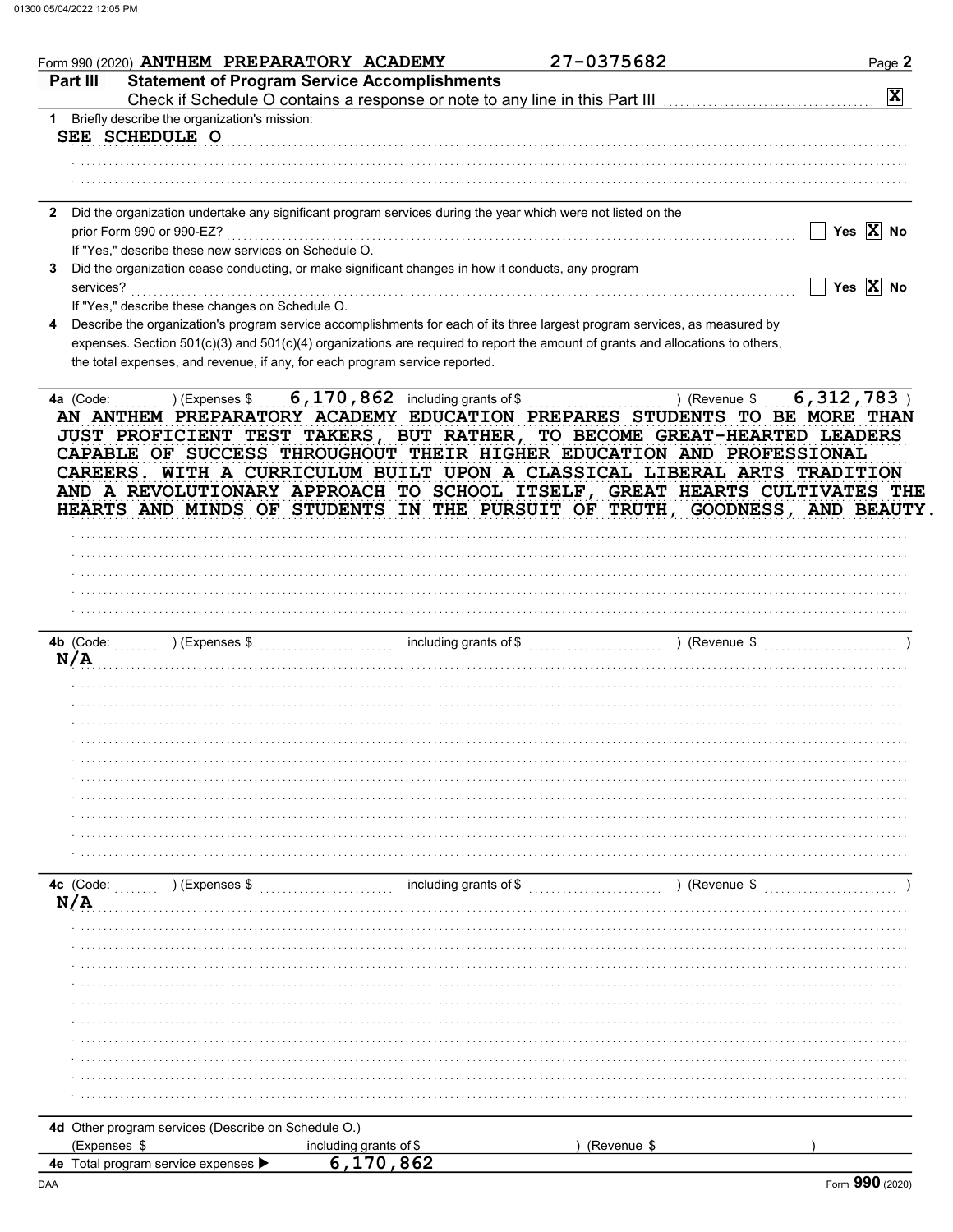| Part III                  |                                                      |                                                                                                                                     | 27-0375682                                                                                                                                                                                                                           | Page 2                  |
|---------------------------|------------------------------------------------------|-------------------------------------------------------------------------------------------------------------------------------------|--------------------------------------------------------------------------------------------------------------------------------------------------------------------------------------------------------------------------------------|-------------------------|
|                           |                                                      | <b>Statement of Program Service Accomplishments</b><br>Check if Schedule O contains a response or note to any line in this Part III |                                                                                                                                                                                                                                      | $\overline{\mathbf{x}}$ |
|                           | 1 Briefly describe the organization's mission:       |                                                                                                                                     |                                                                                                                                                                                                                                      |                         |
| SEE SCHEDULE O            |                                                      |                                                                                                                                     |                                                                                                                                                                                                                                      |                         |
|                           |                                                      |                                                                                                                                     |                                                                                                                                                                                                                                      |                         |
|                           |                                                      |                                                                                                                                     |                                                                                                                                                                                                                                      |                         |
|                           |                                                      | 2 Did the organization undertake any significant program services during the year which were not listed on the                      |                                                                                                                                                                                                                                      |                         |
| prior Form 990 or 990-EZ? |                                                      |                                                                                                                                     |                                                                                                                                                                                                                                      | Yes $X$ No              |
|                           | If "Yes," describe these new services on Schedule O. |                                                                                                                                     |                                                                                                                                                                                                                                      |                         |
|                           |                                                      | Did the organization cease conducting, or make significant changes in how it conducts, any program                                  |                                                                                                                                                                                                                                      |                         |
| services?                 |                                                      |                                                                                                                                     |                                                                                                                                                                                                                                      | Yes $\overline{X}$ No   |
|                           | If "Yes," describe these changes on Schedule O.      |                                                                                                                                     |                                                                                                                                                                                                                                      |                         |
|                           |                                                      |                                                                                                                                     | Describe the organization's program service accomplishments for each of its three largest program services, as measured by                                                                                                           |                         |
|                           |                                                      | the total expenses, and revenue, if any, for each program service reported.                                                         | expenses. Section 501(c)(3) and 501(c)(4) organizations are required to report the amount of grants and allocations to others,                                                                                                       |                         |
|                           |                                                      |                                                                                                                                     |                                                                                                                                                                                                                                      |                         |
|                           |                                                      |                                                                                                                                     | CAREERS. WITH A CURRICULUM BUILT UPON A CLASSICAL LIBERAL ARTS TRADITION<br>AND A REVOLUTIONARY APPROACH TO SCHOOL ITSELF, GREAT HEARTS CULTIVATES THE<br>HEARTS AND MINDS OF STUDENTS IN THE PURSUIT OF TRUTH, GOODNESS, AND BEAUTY |                         |
|                           |                                                      |                                                                                                                                     |                                                                                                                                                                                                                                      |                         |
|                           |                                                      |                                                                                                                                     |                                                                                                                                                                                                                                      |                         |
|                           |                                                      |                                                                                                                                     |                                                                                                                                                                                                                                      |                         |
|                           |                                                      |                                                                                                                                     |                                                                                                                                                                                                                                      |                         |
| 4b (Code:                 | ) (Expenses \$                                       |                                                                                                                                     | ) (Revenue \$                                                                                                                                                                                                                        |                         |
|                           |                                                      |                                                                                                                                     |                                                                                                                                                                                                                                      |                         |
|                           |                                                      |                                                                                                                                     |                                                                                                                                                                                                                                      |                         |
|                           |                                                      |                                                                                                                                     |                                                                                                                                                                                                                                      |                         |
|                           |                                                      |                                                                                                                                     |                                                                                                                                                                                                                                      |                         |
|                           |                                                      |                                                                                                                                     |                                                                                                                                                                                                                                      |                         |
|                           |                                                      |                                                                                                                                     |                                                                                                                                                                                                                                      |                         |
|                           |                                                      |                                                                                                                                     |                                                                                                                                                                                                                                      |                         |
|                           |                                                      |                                                                                                                                     |                                                                                                                                                                                                                                      |                         |
|                           |                                                      |                                                                                                                                     |                                                                                                                                                                                                                                      |                         |
|                           |                                                      |                                                                                                                                     |                                                                                                                                                                                                                                      |                         |
|                           |                                                      |                                                                                                                                     |                                                                                                                                                                                                                                      |                         |
|                           | ) (Expenses \$                                       | including grants of \$                                                                                                              | ) (Revenue \$                                                                                                                                                                                                                        |                         |
|                           |                                                      |                                                                                                                                     |                                                                                                                                                                                                                                      |                         |
|                           |                                                      |                                                                                                                                     |                                                                                                                                                                                                                                      |                         |
|                           |                                                      |                                                                                                                                     |                                                                                                                                                                                                                                      |                         |
|                           |                                                      |                                                                                                                                     |                                                                                                                                                                                                                                      |                         |
|                           |                                                      |                                                                                                                                     |                                                                                                                                                                                                                                      |                         |
|                           |                                                      |                                                                                                                                     |                                                                                                                                                                                                                                      |                         |
|                           |                                                      |                                                                                                                                     |                                                                                                                                                                                                                                      |                         |
| N/A<br>4c (Code:<br>N/A   |                                                      |                                                                                                                                     |                                                                                                                                                                                                                                      |                         |
|                           |                                                      |                                                                                                                                     |                                                                                                                                                                                                                                      |                         |
|                           |                                                      |                                                                                                                                     |                                                                                                                                                                                                                                      |                         |
|                           | 4d Other program services (Describe on Schedule O.)  |                                                                                                                                     |                                                                                                                                                                                                                                      |                         |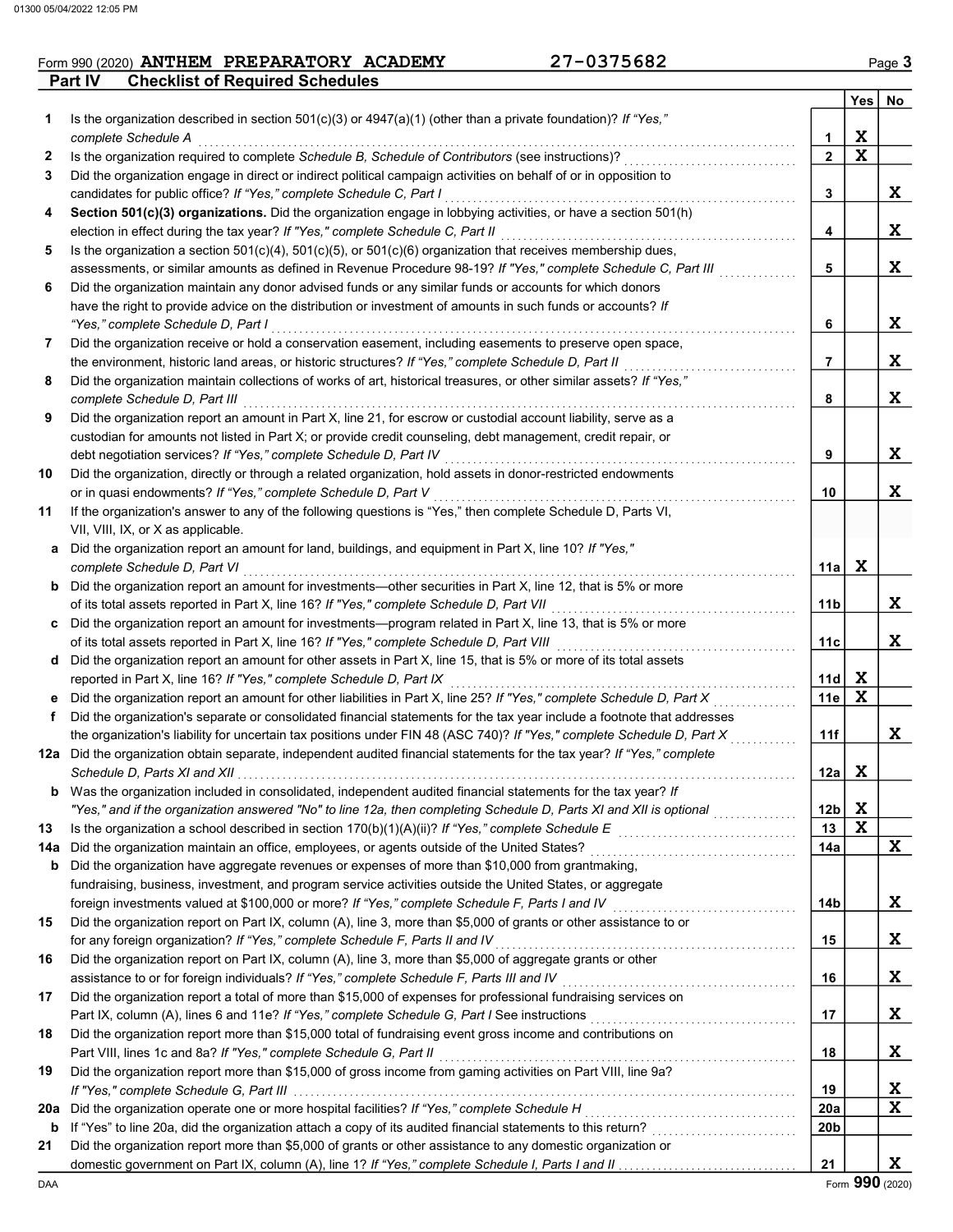### **Part IV** Checklist of Required Schedules Form 990 (2020) **ANTHEM PREPARATORY ACADEMY** 27-0375682 Page 3

|     |                                                                                                                                                                                                                                  |                 | Yes <sub>1</sub> | No |
|-----|----------------------------------------------------------------------------------------------------------------------------------------------------------------------------------------------------------------------------------|-----------------|------------------|----|
| 1   | Is the organization described in section $501(c)(3)$ or $4947(a)(1)$ (other than a private foundation)? If "Yes,"                                                                                                                |                 |                  |    |
|     | complete Schedule A                                                                                                                                                                                                              | 1               | X                |    |
| 2   | Is the organization required to complete Schedule B, Schedule of Contributors (see instructions)?                                                                                                                                | $\mathbf{2}$    | X                |    |
| 3   | Did the organization engage in direct or indirect political campaign activities on behalf of or in opposition to                                                                                                                 |                 |                  |    |
|     | candidates for public office? If "Yes," complete Schedule C, Part I                                                                                                                                                              | 3               |                  | X  |
| 4   | Section 501(c)(3) organizations. Did the organization engage in lobbying activities, or have a section 501(h)                                                                                                                    |                 |                  |    |
|     | election in effect during the tax year? If "Yes," complete Schedule C, Part II                                                                                                                                                   | 4               |                  | X  |
| 5   | Is the organization a section $501(c)(4)$ , $501(c)(5)$ , or $501(c)(6)$ organization that receives membership dues,                                                                                                             |                 |                  |    |
|     | assessments, or similar amounts as defined in Revenue Procedure 98-19? If "Yes," complete Schedule C, Part III                                                                                                                   | 5               |                  | X  |
| 6   | Did the organization maintain any donor advised funds or any similar funds or accounts for which donors                                                                                                                          |                 |                  |    |
|     | have the right to provide advice on the distribution or investment of amounts in such funds or accounts? If                                                                                                                      |                 |                  |    |
|     | "Yes," complete Schedule D, Part I                                                                                                                                                                                               | 6               |                  | X  |
| 7   | Did the organization receive or hold a conservation easement, including easements to preserve open space,                                                                                                                        |                 |                  |    |
|     | the environment, historic land areas, or historic structures? If "Yes," complete Schedule D, Part II                                                                                                                             | 7               |                  | X  |
| 8   | Did the organization maintain collections of works of art, historical treasures, or other similar assets? If "Yes,"                                                                                                              |                 |                  |    |
|     | complete Schedule D, Part III                                                                                                                                                                                                    | 8               |                  | X  |
| 9   | Did the organization report an amount in Part X, line 21, for escrow or custodial account liability, serve as a                                                                                                                  |                 |                  |    |
|     | custodian for amounts not listed in Part X; or provide credit counseling, debt management, credit repair, or                                                                                                                     |                 |                  |    |
|     | debt negotiation services? If "Yes," complete Schedule D, Part IV                                                                                                                                                                | 9               |                  | X  |
| 10  | Did the organization, directly or through a related organization, hold assets in donor-restricted endowments                                                                                                                     |                 |                  |    |
|     | or in quasi endowments? If "Yes," complete Schedule D, Part V                                                                                                                                                                    | 10              |                  | X  |
| 11  | If the organization's answer to any of the following questions is "Yes," then complete Schedule D, Parts VI,                                                                                                                     |                 |                  |    |
|     | VII, VIII, IX, or X as applicable.                                                                                                                                                                                               |                 |                  |    |
| a   | Did the organization report an amount for land, buildings, and equipment in Part X, line 10? If "Yes,"                                                                                                                           |                 |                  |    |
|     | complete Schedule D, Part VI                                                                                                                                                                                                     | 11a l           | X                |    |
|     | <b>b</b> Did the organization report an amount for investments—other securities in Part X, line 12, that is 5% or more                                                                                                           |                 |                  |    |
|     | of its total assets reported in Part X, line 16? If "Yes," complete Schedule D, Part VII                                                                                                                                         | 11b             |                  | X  |
|     | c Did the organization report an amount for investments—program related in Part X, line 13, that is 5% or more<br>of its total assets reported in Part X, line 16? If "Yes," complete Schedule D, Part VIII [[[[[[[[[[[[[[[[[[[[ | 11c             |                  | X  |
| d   | Did the organization report an amount for other assets in Part X, line 15, that is 5% or more of its total assets                                                                                                                |                 |                  |    |
|     | reported in Part X, line 16? If "Yes," complete Schedule D, Part IX                                                                                                                                                              | 11d             | X                |    |
|     | Did the organization report an amount for other liabilities in Part X, line 25? If "Yes," complete Schedule D, Part X                                                                                                            | 11e             | X                |    |
| f   | Did the organization's separate or consolidated financial statements for the tax year include a footnote that addresses                                                                                                          |                 |                  |    |
|     | the organization's liability for uncertain tax positions under FIN 48 (ASC 740)? If "Yes," complete Schedule D, Part X                                                                                                           | 11f             |                  | X  |
|     | 12a Did the organization obtain separate, independent audited financial statements for the tax year? If "Yes," complete                                                                                                          |                 |                  |    |
|     |                                                                                                                                                                                                                                  | 12a             | X                |    |
| b   | Was the organization included in consolidated, independent audited financial statements for the tax year? If                                                                                                                     |                 |                  |    |
|     | "Yes," and if the organization answered "No" to line 12a, then completing Schedule D, Parts XI and XII is optional                                                                                                               | 12 <sub>b</sub> | X                |    |
| 13  |                                                                                                                                                                                                                                  | 13              | X                |    |
| 14a | Did the organization maintain an office, employees, or agents outside of the United States?                                                                                                                                      | 14a             |                  | X  |
| b   | Did the organization have aggregate revenues or expenses of more than \$10,000 from grantmaking,                                                                                                                                 |                 |                  |    |
|     | fundraising, business, investment, and program service activities outside the United States, or aggregate                                                                                                                        |                 |                  |    |
|     | foreign investments valued at \$100,000 or more? If "Yes," complete Schedule F, Parts I and IV [[[[[[[[[[[[[[[                                                                                                                   | 14b             |                  | X  |
| 15  | Did the organization report on Part IX, column (A), line 3, more than \$5,000 of grants or other assistance to or                                                                                                                |                 |                  |    |
|     | for any foreign organization? If "Yes," complete Schedule F, Parts II and IV                                                                                                                                                     | 15              |                  | X  |
| 16  | Did the organization report on Part IX, column (A), line 3, more than \$5,000 of aggregate grants or other                                                                                                                       |                 |                  |    |
|     | assistance to or for foreign individuals? If "Yes," complete Schedule F, Parts III and IV                                                                                                                                        | 16              |                  | X  |
| 17  | Did the organization report a total of more than \$15,000 of expenses for professional fundraising services on                                                                                                                   |                 |                  |    |
|     | Part IX, column (A), lines 6 and 11e? If "Yes," complete Schedule G, Part I See instructions [[[[[[[[[[[[[[[[                                                                                                                    | 17              |                  | X  |
| 18  | Did the organization report more than \$15,000 total of fundraising event gross income and contributions on                                                                                                                      |                 |                  |    |
|     | Part VIII, lines 1c and 8a? If "Yes," complete Schedule G, Part II                                                                                                                                                               | 18              |                  | X  |
| 19  | Did the organization report more than \$15,000 of gross income from gaming activities on Part VIII, line 9a?                                                                                                                     |                 |                  |    |
|     |                                                                                                                                                                                                                                  | 19              |                  | X  |
| 20a |                                                                                                                                                                                                                                  | 20a             |                  | X  |
| b   |                                                                                                                                                                                                                                  | 20b             |                  |    |
| 21  | Did the organization report more than \$5,000 of grants or other assistance to any domestic organization or                                                                                                                      |                 |                  |    |
|     |                                                                                                                                                                                                                                  | 21              |                  | X  |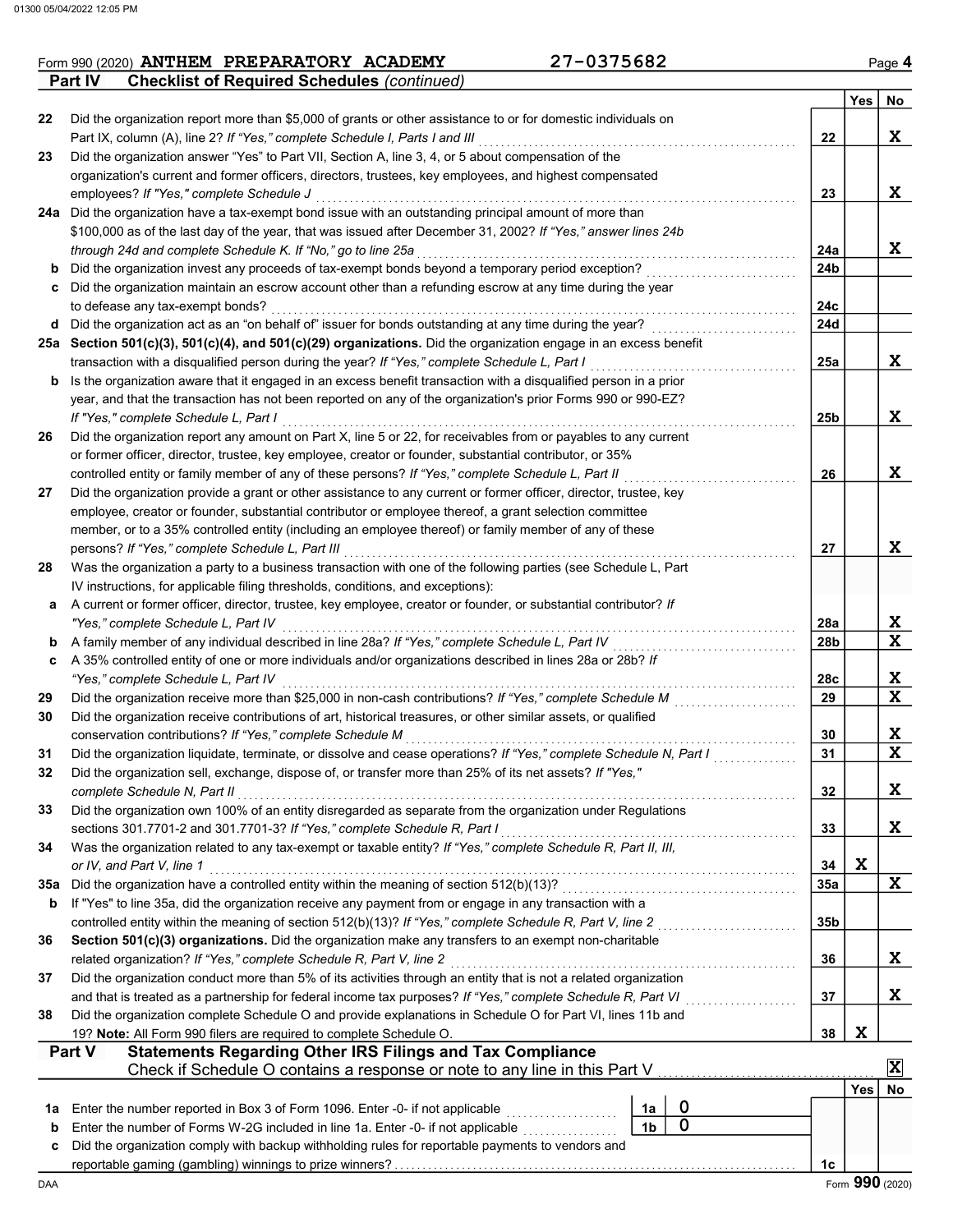| Form 990 (2020) ANTHEM PREPARATORY ACADEMY                           | 27-0375682 | Page 4 |
|----------------------------------------------------------------------|------------|--------|
| <b>Checklist of Required Schedules (continued)</b><br><b>Part IV</b> |            |        |

|     |                                                                                                                                                                                                                   |                |        |                                                               | <b>Yes</b> | No                      |
|-----|-------------------------------------------------------------------------------------------------------------------------------------------------------------------------------------------------------------------|----------------|--------|---------------------------------------------------------------|------------|-------------------------|
| 22  | Did the organization report more than \$5,000 of grants or other assistance to or for domestic individuals on                                                                                                     |                |        |                                                               |            |                         |
|     | Part IX, column (A), line 2? If "Yes," complete Schedule I, Parts I and III                                                                                                                                       |                |        | 22                                                            |            | X.                      |
| 23  | Did the organization answer "Yes" to Part VII, Section A, line 3, 4, or 5 about compensation of the                                                                                                               |                |        |                                                               |            |                         |
|     | organization's current and former officers, directors, trustees, key employees, and highest compensated                                                                                                           |                |        |                                                               |            |                         |
|     | employees? If "Yes," complete Schedule J                                                                                                                                                                          |                |        | 23                                                            |            | X.                      |
|     | 24a Did the organization have a tax-exempt bond issue with an outstanding principal amount of more than                                                                                                           |                |        |                                                               |            |                         |
|     | \$100,000 as of the last day of the year, that was issued after December 31, 2002? If "Yes," answer lines 24b                                                                                                     |                |        |                                                               |            |                         |
|     | through 24d and complete Schedule K. If "No," go to line 25a                                                                                                                                                      |                |        | 24a                                                           |            | X                       |
| b   | Did the organization invest any proceeds of tax-exempt bonds beyond a temporary period exception?                                                                                                                 |                |        | 24 <sub>b</sub>                                               |            |                         |
| c   | Did the organization maintain an escrow account other than a refunding escrow at any time during the year                                                                                                         |                |        |                                                               |            |                         |
|     | to defease any tax-exempt bonds?                                                                                                                                                                                  |                |        | 24c                                                           |            |                         |
| d   | Did the organization act as an "on behalf of" issuer for bonds outstanding at any time during the year?                                                                                                           |                |        | 24d                                                           |            |                         |
|     | 25a Section 501(c)(3), 501(c)(4), and 501(c)(29) organizations. Did the organization engage in an excess benefit<br>transaction with a disqualified person during the year? If "Yes," complete Schedule L, Part I |                |        | 25a                                                           |            | X.                      |
| b   | Is the organization aware that it engaged in an excess benefit transaction with a disqualified person in a prior                                                                                                  |                |        |                                                               |            |                         |
|     | year, and that the transaction has not been reported on any of the organization's prior Forms 990 or 990-EZ?                                                                                                      |                |        |                                                               |            |                         |
|     | If "Yes." complete Schedule L. Part I                                                                                                                                                                             |                |        | 25b                                                           |            | X.                      |
| 26  | Did the organization report any amount on Part X, line 5 or 22, for receivables from or payables to any current                                                                                                   |                |        |                                                               |            |                         |
|     | or former officer, director, trustee, key employee, creator or founder, substantial contributor, or 35%                                                                                                           |                |        |                                                               |            |                         |
|     | controlled entity or family member of any of these persons? If "Yes," complete Schedule L, Part II                                                                                                                |                |        | 26                                                            |            | X.                      |
| 27  | Did the organization provide a grant or other assistance to any current or former officer, director, trustee, key                                                                                                 |                |        |                                                               |            |                         |
|     | employee, creator or founder, substantial contributor or employee thereof, a grant selection committee                                                                                                            |                |        |                                                               |            |                         |
|     | member, or to a 35% controlled entity (including an employee thereof) or family member of any of these                                                                                                            |                |        |                                                               |            |                         |
|     | persons? If "Yes," complete Schedule L, Part III                                                                                                                                                                  |                |        | 27                                                            |            | X.                      |
| 28  | Was the organization a party to a business transaction with one of the following parties (see Schedule L, Part                                                                                                    |                |        |                                                               |            |                         |
|     | IV instructions, for applicable filing thresholds, conditions, and exceptions):                                                                                                                                   |                |        |                                                               |            |                         |
| а   | A current or former officer, director, trustee, key employee, creator or founder, or substantial contributor? If                                                                                                  |                |        |                                                               |            |                         |
|     | "Yes," complete Schedule L, Part IV                                                                                                                                                                               |                |        | 28a                                                           |            | X.                      |
| b   | A family member of any individual described in line 28a? If "Yes," complete Schedule L, Part IV                                                                                                                   |                |        | 28b                                                           |            | X                       |
| c   | A 35% controlled entity of one or more individuals and/or organizations described in lines 28a or 28b? If                                                                                                         |                |        |                                                               |            |                         |
|     | "Yes," complete Schedule L, Part IV                                                                                                                                                                               |                |        | 28c                                                           |            | X                       |
| 29  | Did the organization receive more than \$25,000 in non-cash contributions? If "Yes," complete Schedule M                                                                                                          |                |        | 29                                                            |            | X                       |
| 30  | Did the organization receive contributions of art, historical treasures, or other similar assets, or qualified                                                                                                    |                |        |                                                               |            |                         |
| 31  | conservation contributions? If "Yes," complete Schedule M<br>Did the organization liquidate, terminate, or dissolve and cease operations? If "Yes," complete Schedule N, Part I                                   |                |        | 30<br>31                                                      |            | X<br>X                  |
| 32  | Did the organization sell, exchange, dispose of, or transfer more than 25% of its net assets? If "Yes,"                                                                                                           |                |        |                                                               |            |                         |
|     | complete Schedule N, Part II                                                                                                                                                                                      |                |        | 32                                                            |            | X                       |
| 33  | Did the organization own 100% of an entity disregarded as separate from the organization under Regulations                                                                                                        |                |        |                                                               |            |                         |
|     | sections 301.7701-2 and 301.7701-3? If "Yes," complete Schedule R, Part I                                                                                                                                         |                |        | 33                                                            |            | X                       |
| 34  | Was the organization related to any tax-exempt or taxable entity? If "Yes," complete Schedule R, Part II, III,                                                                                                    |                |        |                                                               |            |                         |
|     | or IV, and Part V, line 1                                                                                                                                                                                         |                |        | 34                                                            | X          |                         |
| 35а |                                                                                                                                                                                                                   |                |        | 35a                                                           |            | X                       |
| b   | If "Yes" to line 35a, did the organization receive any payment from or engage in any transaction with a                                                                                                           |                |        |                                                               |            |                         |
|     | controlled entity within the meaning of section 512(b)(13)? If "Yes," complete Schedule R, Part V, line 2                                                                                                         |                |        | 35b                                                           |            |                         |
| 36  | Section 501(c)(3) organizations. Did the organization make any transfers to an exempt non-charitable                                                                                                              |                |        |                                                               |            |                         |
|     | related organization? If "Yes," complete Schedule R, Part V, line 2                                                                                                                                               |                |        | 36                                                            |            | X.                      |
| 37  | Did the organization conduct more than 5% of its activities through an entity that is not a related organization                                                                                                  |                |        |                                                               |            |                         |
|     | and that is treated as a partnership for federal income tax purposes? If "Yes," complete Schedule R, Part VI                                                                                                      |                |        | 37<br><u>.</u><br>1980 - Paul Barbara, papa pada ang panganan |            | X.                      |
| 38  | Did the organization complete Schedule O and provide explanations in Schedule O for Part VI, lines 11b and                                                                                                        |                |        |                                                               |            |                         |
|     | 19? Note: All Form 990 filers are required to complete Schedule O.                                                                                                                                                |                |        | 38                                                            | X          |                         |
|     | <b>Statements Regarding Other IRS Filings and Tax Compliance</b><br>Part V                                                                                                                                        |                |        |                                                               |            | $\overline{\mathbf{x}}$ |
|     | Check if Schedule O contains a response or note to any line in this Part V                                                                                                                                        |                |        |                                                               |            |                         |
|     |                                                                                                                                                                                                                   |                |        |                                                               | Yes        | No                      |
| 1a  | Enter the number reported in Box 3 of Form 1096. Enter -0- if not applicable                                                                                                                                      | 1a             | 0<br>0 |                                                               |            |                         |
| b   | Enter the number of Forms W-2G included in line 1a. Enter -0- if not applicable                                                                                                                                   | 1 <sub>b</sub> |        |                                                               |            |                         |
| c   | Did the organization comply with backup withholding rules for reportable payments to vendors and                                                                                                                  |                |        | 1c                                                            |            |                         |
| DAA |                                                                                                                                                                                                                   |                |        |                                                               |            | Form 990 (2020)         |
|     |                                                                                                                                                                                                                   |                |        |                                                               |            |                         |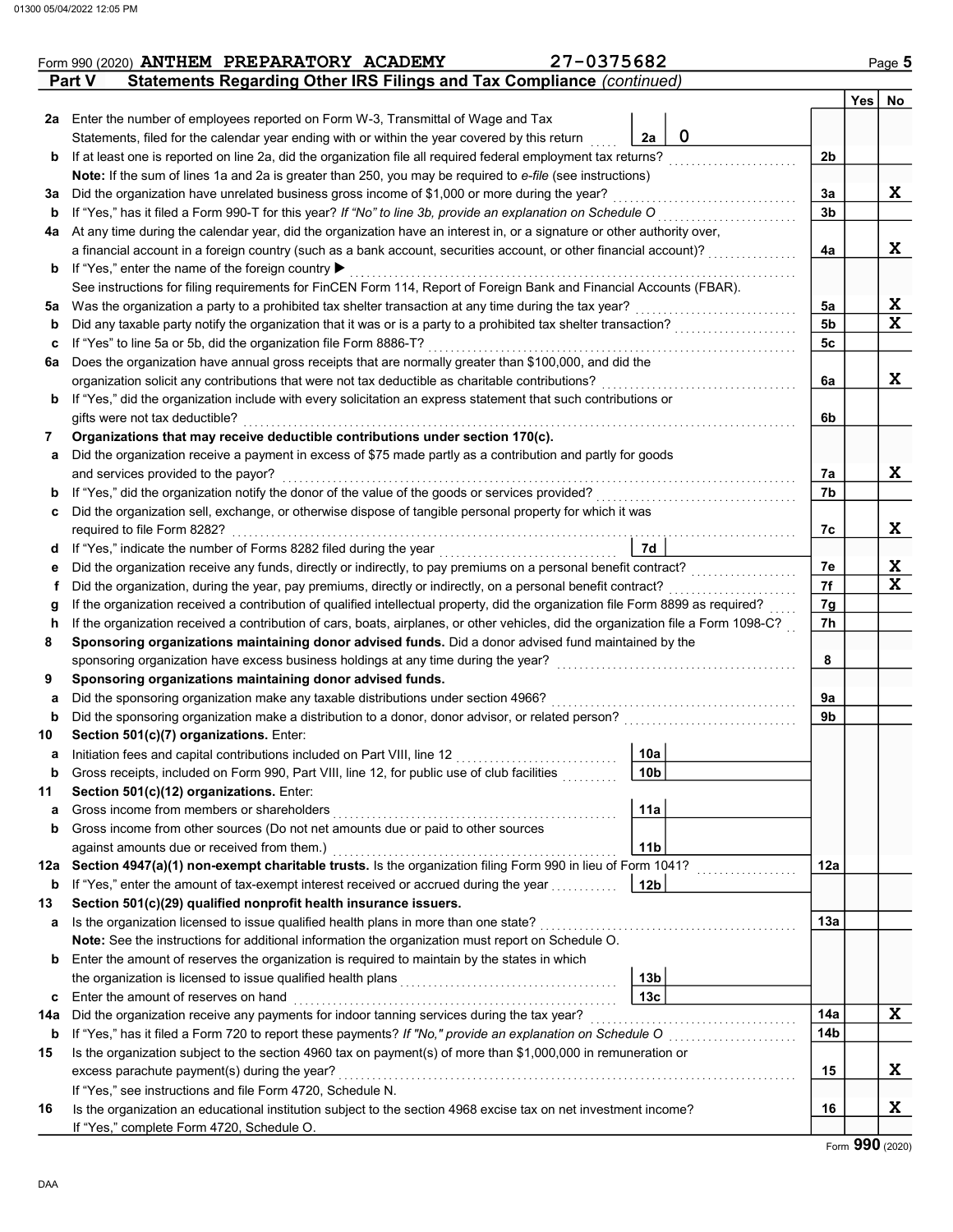|                                     | 27-0375682<br>Form 990 (2020) ANTHEM PREPARATORY ACADEMY                                                                                                                                           |                           |                                                                                                                |                |     | Page 5 |
|-------------------------------------|----------------------------------------------------------------------------------------------------------------------------------------------------------------------------------------------------|---------------------------|----------------------------------------------------------------------------------------------------------------|----------------|-----|--------|
|                                     | Statements Regarding Other IRS Filings and Tax Compliance (continued)<br><b>Part V</b>                                                                                                             |                           |                                                                                                                |                |     | No     |
| 2a                                  |                                                                                                                                                                                                    |                           |                                                                                                                |                | Yes |        |
|                                     | Enter the number of employees reported on Form W-3, Transmittal of Wage and Tax                                                                                                                    | 2a                        | $\mathbf 0$                                                                                                    |                |     |        |
|                                     | Statements, filed for the calendar year ending with or within the year covered by this return                                                                                                      |                           |                                                                                                                |                |     |        |
| b                                   | If at least one is reported on line 2a, did the organization file all required federal employment tax returns?                                                                                     |                           |                                                                                                                | 2 <sub>b</sub> |     |        |
|                                     | Note: If the sum of lines 1a and 2a is greater than 250, you may be required to e-file (see instructions)                                                                                          |                           |                                                                                                                |                |     |        |
| За                                  | Did the organization have unrelated business gross income of \$1,000 or more during the year?                                                                                                      |                           |                                                                                                                | 3a             |     |        |
| b                                   | If "Yes," has it filed a Form 990-T for this year? If "No" to line 3b, provide an explanation on Schedule O                                                                                        |                           |                                                                                                                | 3 <sub>b</sub> |     |        |
| 4a                                  | At any time during the calendar year, did the organization have an interest in, or a signature or other authority over,                                                                            |                           |                                                                                                                |                |     |        |
|                                     | a financial account in a foreign country (such as a bank account, securities account, or other financial account)?                                                                                 |                           |                                                                                                                | 4a             |     |        |
| b                                   | If "Yes," enter the name of the foreign country ▶                                                                                                                                                  |                           |                                                                                                                |                |     |        |
|                                     | See instructions for filing requirements for FinCEN Form 114, Report of Foreign Bank and Financial Accounts (FBAR).                                                                                |                           |                                                                                                                |                |     |        |
| 5a                                  | Was the organization a party to a prohibited tax shelter transaction at any time during the tax year?                                                                                              |                           |                                                                                                                | 5a             |     |        |
| b                                   | Did any taxable party notify the organization that it was or is a party to a prohibited tax shelter transaction?                                                                                   |                           |                                                                                                                | 5 <sub>b</sub> |     |        |
| c                                   | If "Yes" to line 5a or 5b, did the organization file Form 8886-T?                                                                                                                                  |                           |                                                                                                                | 5 <sub>c</sub> |     |        |
| 6a                                  | Does the organization have annual gross receipts that are normally greater than \$100,000, and did the                                                                                             |                           |                                                                                                                |                |     |        |
|                                     | organization solicit any contributions that were not tax deductible as charitable contributions?                                                                                                   |                           |                                                                                                                | 6a             |     |        |
| b                                   | If "Yes," did the organization include with every solicitation an express statement that such contributions or                                                                                     |                           |                                                                                                                |                |     |        |
|                                     | gifts were not tax deductible?                                                                                                                                                                     |                           |                                                                                                                | 6b             |     |        |
| 7                                   | Organizations that may receive deductible contributions under section 170(c).                                                                                                                      |                           |                                                                                                                |                |     |        |
|                                     | Did the organization receive a payment in excess of \$75 made partly as a contribution and partly for goods                                                                                        |                           |                                                                                                                |                |     |        |
| а                                   |                                                                                                                                                                                                    |                           |                                                                                                                |                |     |        |
|                                     | and services provided to the payor?                                                                                                                                                                |                           |                                                                                                                | 7a             |     |        |
| b                                   | If "Yes," did the organization notify the donor of the value of the goods or services provided?<br>If "Yes," did the organization notify the donor of the value of the goods or services provided? |                           |                                                                                                                | 7b             |     |        |
| c                                   | Did the organization sell, exchange, or otherwise dispose of tangible personal property for which it was                                                                                           |                           |                                                                                                                |                |     |        |
|                                     | required to file Form 8282?                                                                                                                                                                        |                           |                                                                                                                | 7с             |     |        |
| a                                   |                                                                                                                                                                                                    | <b>7d</b>                 |                                                                                                                |                |     |        |
| е                                   | Did the organization receive any funds, directly or indirectly, to pay premiums on a personal benefit contract?                                                                                    |                           |                                                                                                                | 7e             |     |        |
| Ť.                                  | Did the organization, during the year, pay premiums, directly or indirectly, on a personal benefit contract?                                                                                       |                           |                                                                                                                | 7f             |     |        |
| g                                   | If the organization received a contribution of qualified intellectual property, did the organization file Form 8899 as required?                                                                   |                           |                                                                                                                | 7g             |     |        |
| h                                   | If the organization received a contribution of cars, boats, airplanes, or other vehicles, did the organization file a Form 1098-C?                                                                 |                           |                                                                                                                | 7h             |     |        |
| 8                                   | Sponsoring organizations maintaining donor advised funds. Did a donor advised fund maintained by the                                                                                               |                           |                                                                                                                |                |     |        |
|                                     | sponsoring organization have excess business holdings at any time during the year?                                                                                                                 |                           | and a complete the contract of the complete the complete the complete the complete the complete the complete t | 8              |     |        |
| 9                                   | Sponsoring organizations maintaining donor advised funds.                                                                                                                                          |                           |                                                                                                                |                |     |        |
| а                                   | Did the sponsoring organization make any taxable distributions under section 4966?                                                                                                                 |                           |                                                                                                                | 9a             |     |        |
| b                                   | Did the sponsoring organization make a distribution to a donor, donor advisor, or related person?                                                                                                  |                           |                                                                                                                | 9b             |     |        |
| 10                                  | Section 501(c)(7) organizations. Enter:                                                                                                                                                            |                           |                                                                                                                |                |     |        |
| а                                   | Initiation fees and capital contributions included on Part VIII, line 12                                                                                                                           | <b>The Control</b><br>10a |                                                                                                                |                |     |        |
| b                                   | Gross receipts, included on Form 990, Part VIII, line 12, for public use of club facilities                                                                                                        | 10 <sub>b</sub>           |                                                                                                                |                |     |        |
| 11                                  | Section 501(c)(12) organizations. Enter:                                                                                                                                                           |                           |                                                                                                                |                |     |        |
| а                                   | Gross income from members or shareholders                                                                                                                                                          | 11a                       |                                                                                                                |                |     |        |
|                                     | Gross income from other sources (Do not net amounts due or paid to other sources                                                                                                                   |                           |                                                                                                                |                |     |        |
| b                                   |                                                                                                                                                                                                    |                           |                                                                                                                |                |     |        |
|                                     | against amounts due or received from them.)                                                                                                                                                        | 11 <sub>b</sub>           |                                                                                                                |                |     |        |
| 12a                                 | Section 4947(a)(1) non-exempt charitable trusts. Is the organization filing Form 990 in lieu of Form 1041?                                                                                         |                           |                                                                                                                | 12a            |     |        |
| b                                   | If "Yes," enter the amount of tax-exempt interest received or accrued during the year                                                                                                              | 12 <sub>b</sub>           |                                                                                                                |                |     |        |
|                                     | Section 501(c)(29) qualified nonprofit health insurance issuers.                                                                                                                                   |                           |                                                                                                                |                |     |        |
|                                     |                                                                                                                                                                                                    |                           |                                                                                                                |                |     |        |
|                                     | Is the organization licensed to issue qualified health plans in more than one state?                                                                                                               |                           |                                                                                                                | 13а            |     |        |
|                                     | Note: See the instructions for additional information the organization must report on Schedule O.                                                                                                  |                           |                                                                                                                |                |     |        |
|                                     | Enter the amount of reserves the organization is required to maintain by the states in which                                                                                                       |                           |                                                                                                                |                |     |        |
|                                     |                                                                                                                                                                                                    | 13 <sub>b</sub>           |                                                                                                                |                |     |        |
|                                     | Enter the amount of reserves on hand                                                                                                                                                               | 13 <sub>c</sub>           |                                                                                                                |                |     |        |
|                                     | Did the organization receive any payments for indoor tanning services during the tax year?                                                                                                         |                           |                                                                                                                | 14a            |     |        |
|                                     |                                                                                                                                                                                                    |                           |                                                                                                                | 14b            |     |        |
|                                     | If "Yes," has it filed a Form 720 to report these payments? If "No," provide an explanation on Schedule O                                                                                          |                           |                                                                                                                |                |     |        |
| 13<br>а<br>b<br>С<br>14a<br>b<br>15 | Is the organization subject to the section 4960 tax on payment(s) of more than \$1,000,000 in remuneration or                                                                                      |                           |                                                                                                                |                |     |        |
|                                     | excess parachute payment(s) during the year?                                                                                                                                                       |                           |                                                                                                                | 15             |     |        |
| 16                                  | If "Yes," see instructions and file Form 4720, Schedule N.<br>Is the organization an educational institution subject to the section 4968 excise tax on net investment income?                      |                           |                                                                                                                | 16             |     |        |

Form 990 (2020)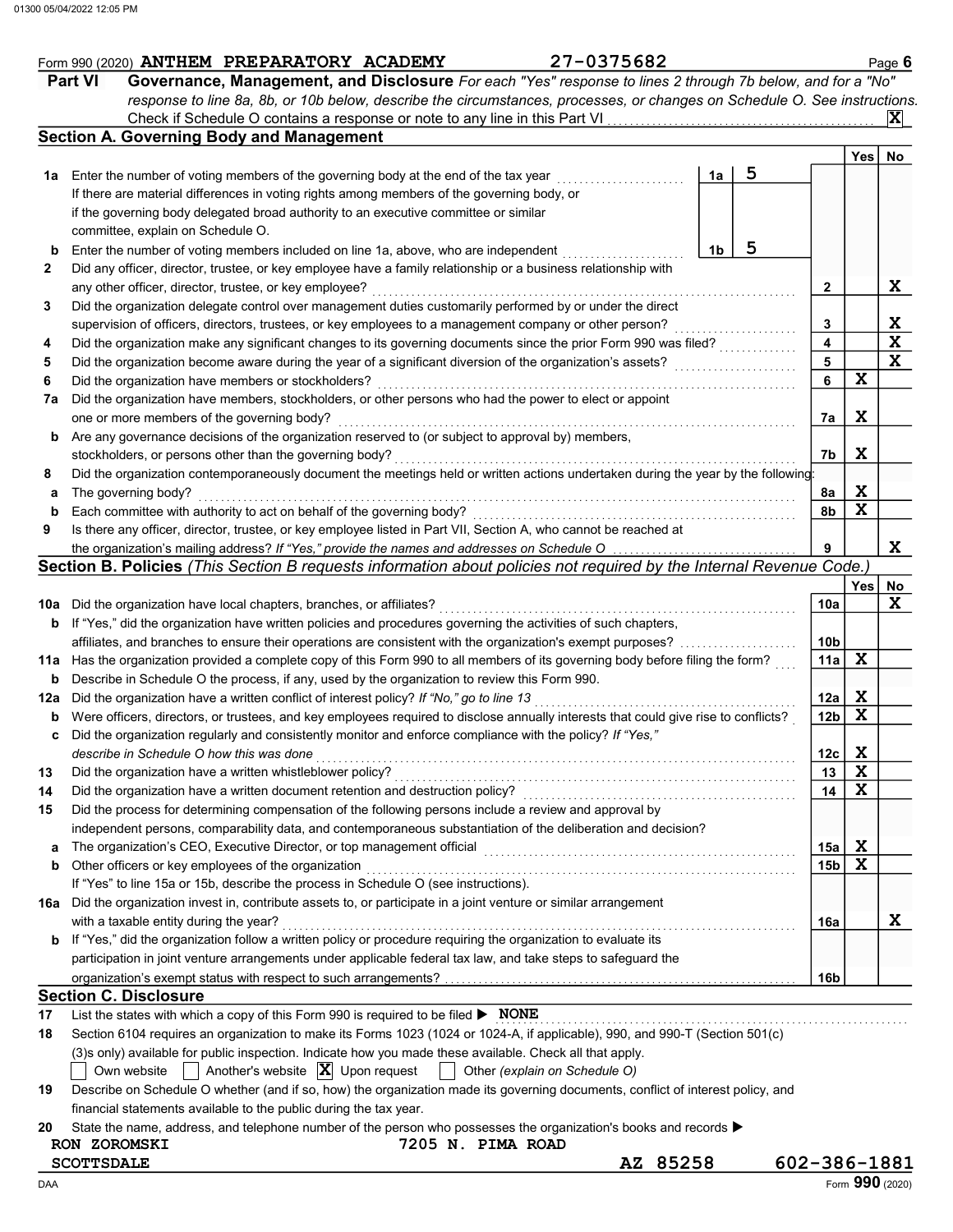|     | 27-0375682<br>Form 990 (2020) ANTHEM PREPARATORY ACADEMY                                                                            |    |   |                         |              | Page 6          |
|-----|-------------------------------------------------------------------------------------------------------------------------------------|----|---|-------------------------|--------------|-----------------|
|     | <b>Part VI</b><br>Governance, Management, and Disclosure For each "Yes" response to lines 2 through 7b below, and for a "No"        |    |   |                         |              |                 |
|     | response to line 8a, 8b, or 10b below, describe the circumstances, processes, or changes on Schedule O. See instructions.           |    |   |                         |              |                 |
|     |                                                                                                                                     |    |   |                         |              | IX.             |
|     | <b>Section A. Governing Body and Management</b>                                                                                     |    |   |                         |              |                 |
|     |                                                                                                                                     |    |   |                         | Yes          | No              |
|     | 1a Enter the number of voting members of the governing body at the end of the tax year                                              | 1a | 5 |                         |              |                 |
|     | If there are material differences in voting rights among members of the governing body, or                                          |    |   |                         |              |                 |
|     | if the governing body delegated broad authority to an executive committee or similar                                                |    |   |                         |              |                 |
|     | committee, explain on Schedule O.                                                                                                   |    |   |                         |              |                 |
| b   | Enter the number of voting members included on line 1a, above, who are independent                                                  | 1b | 5 |                         |              |                 |
| 2   | Did any officer, director, trustee, or key employee have a family relationship or a business relationship with                      |    |   |                         |              |                 |
|     | any other officer, director, trustee, or key employee?                                                                              |    |   | $\mathbf{2}$            |              | X               |
| 3   | Did the organization delegate control over management duties customarily performed by or under the direct                           |    |   |                         |              |                 |
|     | supervision of officers, directors, trustees, or key employees to a management company or other person?                             |    |   | 3                       |              | X               |
| 4   | Did the organization make any significant changes to its governing documents since the prior Form 990 was filed?                    |    |   | $\overline{\mathbf{4}}$ |              | $\mathbf{x}$    |
| 5   | Did the organization become aware during the year of a significant diversion of the organization's assets?                          |    |   | 5                       |              | X               |
| 6   | Did the organization have members or stockholders?                                                                                  |    |   | 6                       | $\mathbf x$  |                 |
| 7a  | Did the organization have members, stockholders, or other persons who had the power to elect or appoint                             |    |   |                         |              |                 |
|     | one or more members of the governing body?                                                                                          |    |   | 7a                      | X            |                 |
| b   | Are any governance decisions of the organization reserved to (or subject to approval by) members,                                   |    |   |                         |              |                 |
|     | stockholders, or persons other than the governing body?                                                                             |    |   | 7b                      | X            |                 |
| 8   | Did the organization contemporaneously document the meetings held or written actions undertaken during the year by the following:   |    |   |                         |              |                 |
| а   | The governing body?                                                                                                                 |    |   | 8a                      | X            |                 |
| b   | Each committee with authority to act on behalf of the governing body?                                                               |    |   | 8b                      | $\mathbf x$  |                 |
| 9   | Is there any officer, director, trustee, or key employee listed in Part VII, Section A, who cannot be reached at                    |    |   |                         |              |                 |
|     | the organization's mailing address? If "Yes," provide the names and addresses on Schedule O                                         |    |   | 9                       |              | X.              |
|     | Section B. Policies (This Section B requests information about policies not required by the Internal Revenue Code.)                 |    |   |                         |              |                 |
|     |                                                                                                                                     |    |   |                         | Yes          | No              |
|     | 10a Did the organization have local chapters, branches, or affiliates?                                                              |    |   | 10a                     |              | X               |
| b   | If "Yes," did the organization have written policies and procedures governing the activities of such chapters,                      |    |   |                         |              |                 |
|     | affiliates, and branches to ensure their operations are consistent with the organization's exempt purposes?                         |    |   | 10 <sub>b</sub>         |              |                 |
|     | 11a Has the organization provided a complete copy of this Form 990 to all members of its governing body before filing the form?     |    |   | 11a                     | $\mathbf{x}$ |                 |
| b   | Describe in Schedule O the process, if any, used by the organization to review this Form 990.                                       |    |   |                         |              |                 |
| 12a | Did the organization have a written conflict of interest policy? If "No," go to line 13                                             |    |   | 12a                     | X            |                 |
|     | Were officers, directors, or trustees, and key employees required to disclose annually interests that could give rise to conflicts? |    |   | 12 <sub>b</sub>         | $\mathbf x$  |                 |
|     | Did the organization regularly and consistently monitor and enforce compliance with the policy? If "Yes,"                           |    |   |                         |              |                 |
|     | describe in Schedule O how this was done                                                                                            |    |   | 12с                     | X            |                 |
| 13  | Did the organization have a written whistleblower policy?                                                                           |    |   | 13                      | $\mathbf x$  |                 |
| 14  | Did the organization have a written document retention and destruction policy?                                                      |    |   | 14                      | $\mathbf x$  |                 |
| 15  | Did the process for determining compensation of the following persons include a review and approval by                              |    |   |                         |              |                 |
|     | independent persons, comparability data, and contemporaneous substantiation of the deliberation and decision?                       |    |   |                         |              |                 |
| а   | The organization's CEO, Executive Director, or top management official                                                              |    |   | 15a                     | X            |                 |
| b   | Other officers or key employees of the organization                                                                                 |    |   | 15 <sub>b</sub>         | X            |                 |
|     | If "Yes" to line 15a or 15b, describe the process in Schedule O (see instructions).                                                 |    |   |                         |              |                 |
|     | 16a Did the organization invest in, contribute assets to, or participate in a joint venture or similar arrangement                  |    |   |                         |              |                 |
|     | with a taxable entity during the year?                                                                                              |    |   | 16a                     |              | X               |
| b   | If "Yes," did the organization follow a written policy or procedure requiring the organization to evaluate its                      |    |   |                         |              |                 |
|     | participation in joint venture arrangements under applicable federal tax law, and take steps to safeguard the                       |    |   |                         |              |                 |
|     |                                                                                                                                     |    |   | 16b                     |              |                 |
|     | <b>Section C. Disclosure</b>                                                                                                        |    |   |                         |              |                 |
| 17  | List the states with which a copy of this Form 990 is required to be filed $\triangleright$ NONE                                    |    |   |                         |              |                 |
| 18  | Section 6104 requires an organization to make its Forms 1023 (1024 or 1024-A, if applicable), 990, and 990-T (Section 501(c)        |    |   |                         |              |                 |
|     | (3)s only) available for public inspection. Indicate how you made these available. Check all that apply.                            |    |   |                         |              |                 |
|     | Another's website $ \mathbf{X} $ Upon request<br>Own website<br>Other (explain on Schedule O)                                       |    |   |                         |              |                 |
| 19  | Describe on Schedule O whether (and if so, how) the organization made its governing documents, conflict of interest policy, and     |    |   |                         |              |                 |
|     | financial statements available to the public during the tax year.                                                                   |    |   |                         |              |                 |
| 20  | State the name, address, and telephone number of the person who possesses the organization's books and records ▶                    |    |   |                         |              |                 |
|     | 7205 N. PIMA ROAD<br>RON ZOROMSKI                                                                                                   |    |   |                         |              |                 |
|     | AZ 85258<br><b>SCOTTSDALE</b>                                                                                                       |    |   | 602-386-1881            |              |                 |
| DAA |                                                                                                                                     |    |   |                         |              | Form 990 (2020) |

Form 990 (2020) **ANTHEM PREPARATORY ACADEMY** 27-0375682 Page 6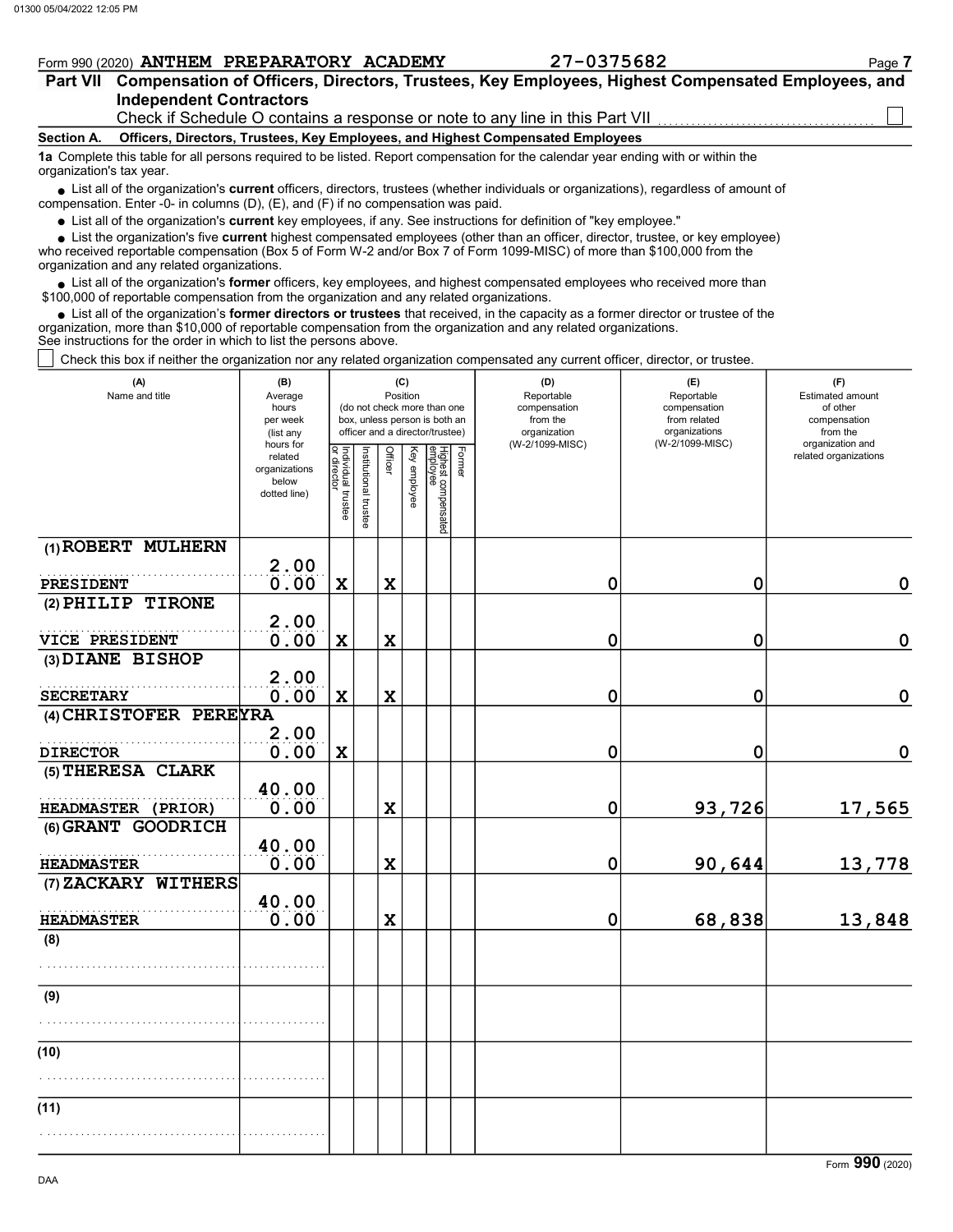### Independent Contractors Part VII Compensation of Officers, Directors, Trustees, Key Employees, Highest Compensated Employees, and  $From 990 (2020)$  **ANTHEM PREPARATORY ACADEMY** 27-0375682 Page 7

Check if Schedule O contains a response or note to any line in this Part VII

### Section A. Officers, Directors, Trustees, Key Employees, and Highest Compensated Employees

1a Complete this table for all persons required to be listed. Report compensation for the calendar year ending with or within the organization's tax year.

• List all of the organization's **current** officers, directors, trustees (whether individuals or organizations), regardless of amount of proposation. Enter  $\Omega$  in columns  $(D)$ ,  $(E)$  and  $(E)$  if no componention was paid compensation. Enter -0- in columns (D), (E), and (F) if no compensation was paid.

• List all of the organization's **current** key employees, if any. See instructions for definition of "key employee."

• List the organization's five **current** highest compensated employees (other than an officer, director, trustee, or key employee)<br>• received reportable compensation (Box 5 of Form W 2 and/or Box 7 of Form 1000 MISC) of m

who received reportable compensation (Box 5 of Form W-2 and/or Box 7 of Form 1099-MISC) of more than \$100,000 from the organization and any related organizations.

 $\bullet$  List all of the organization's **former** officers, key employees, and highest compensated employees who received more than  $\Omega$  0.00 of reportable compensation from the erganization and any related erganizations. \$100,000 of reportable compensation from the organization and any related organizations.

 $\bullet$  List all of the organization's **former directors or trustees** that received, in the capacity as a former director or trustee of the entrance in the organization and any related organizations organization, more than \$10,000 of reportable compensation from the organization and any related organizations. See instructions for the order in which to list the persons above.

Check this box if neither the organization nor any related organization compensated any current officer, director, or trustee.

| (A)<br>Name and title  | (B)<br>Average<br>hours<br>per week<br>(list any               |                                   |                       |             | (C)<br>Position | (do not check more than one<br>box, unless person is both an<br>officer and a director/trustee) |        | (D)<br>Reportable<br>compensation<br>from the<br>organization<br>(W-2/1099-MISC) | (E)<br>Reportable<br>compensation<br>from related<br>organizations<br>(W-2/1099-MISC) | (F)<br>Estimated amount<br>of other<br>compensation<br>from the<br>organization and |
|------------------------|----------------------------------------------------------------|-----------------------------------|-----------------------|-------------|-----------------|-------------------------------------------------------------------------------------------------|--------|----------------------------------------------------------------------------------|---------------------------------------------------------------------------------------|-------------------------------------------------------------------------------------|
|                        | hours for<br>related<br>organizations<br>below<br>dotted line) | Individual trustee<br>or director | Institutional trustee | Officer     | Key employee    | Highest compensated<br>employee                                                                 | Former |                                                                                  |                                                                                       | related organizations                                                               |
| (1) ROBERT MULHERN     | 2.00                                                           |                                   |                       |             |                 |                                                                                                 |        |                                                                                  |                                                                                       |                                                                                     |
| PRESIDENT              | 0.00                                                           | $\mathbf x$                       |                       | $\mathbf x$ |                 |                                                                                                 |        | $\mathbf 0$                                                                      | 0                                                                                     | $\mathbf 0$                                                                         |
| (2) PHILIP TIRONE      | 2.00                                                           |                                   |                       |             |                 |                                                                                                 |        |                                                                                  |                                                                                       |                                                                                     |
| VICE PRESIDENT         | 0.00                                                           | $\mathbf x$                       |                       | X           |                 |                                                                                                 |        | 0                                                                                | 0                                                                                     | 0                                                                                   |
| (3) DIANE BISHOP       |                                                                |                                   |                       |             |                 |                                                                                                 |        |                                                                                  |                                                                                       |                                                                                     |
| <b>SECRETARY</b>       | 2.00<br>0.00                                                   | $\mathbf x$                       |                       | X           |                 |                                                                                                 |        | 0                                                                                | 0                                                                                     | 0                                                                                   |
| (4) CHRISTOFER PEREYRA |                                                                |                                   |                       |             |                 |                                                                                                 |        |                                                                                  |                                                                                       |                                                                                     |
|                        | 2.00                                                           |                                   |                       |             |                 |                                                                                                 |        |                                                                                  |                                                                                       |                                                                                     |
| <b>DIRECTOR</b>        | 0.00                                                           | $\mathbf x$                       |                       |             |                 |                                                                                                 |        | $\mathbf 0$                                                                      | 0                                                                                     | $\mathbf 0$                                                                         |
| (5) THERESA CLARK      | 40.00                                                          |                                   |                       |             |                 |                                                                                                 |        |                                                                                  |                                                                                       |                                                                                     |
| HEADMASTER (PRIOR)     | 0.00                                                           |                                   |                       | X           |                 |                                                                                                 |        | $\mathbf 0$                                                                      | 93,726                                                                                | 17,565                                                                              |
| (6) GRANT GOODRICH     | 40.00                                                          |                                   |                       |             |                 |                                                                                                 |        |                                                                                  |                                                                                       |                                                                                     |
| <b>HEADMASTER</b>      | 0.00                                                           |                                   |                       | X           |                 |                                                                                                 |        | 0                                                                                | 90,644                                                                                | 13,778                                                                              |
| (7) ZACKARY WITHERS    | 40.00                                                          |                                   |                       |             |                 |                                                                                                 |        |                                                                                  |                                                                                       |                                                                                     |
| <b>HEADMASTER</b>      | 0.00                                                           |                                   |                       | $\mathbf x$ |                 |                                                                                                 |        | $\mathbf 0$                                                                      | 68,838                                                                                | 13,848                                                                              |
| (8)                    |                                                                |                                   |                       |             |                 |                                                                                                 |        |                                                                                  |                                                                                       |                                                                                     |
|                        |                                                                |                                   |                       |             |                 |                                                                                                 |        |                                                                                  |                                                                                       |                                                                                     |
| (9)                    |                                                                |                                   |                       |             |                 |                                                                                                 |        |                                                                                  |                                                                                       |                                                                                     |
|                        |                                                                |                                   |                       |             |                 |                                                                                                 |        |                                                                                  |                                                                                       |                                                                                     |
| (10)                   |                                                                |                                   |                       |             |                 |                                                                                                 |        |                                                                                  |                                                                                       |                                                                                     |
|                        |                                                                |                                   |                       |             |                 |                                                                                                 |        |                                                                                  |                                                                                       |                                                                                     |
| (11)                   |                                                                |                                   |                       |             |                 |                                                                                                 |        |                                                                                  |                                                                                       |                                                                                     |
|                        |                                                                |                                   |                       |             |                 |                                                                                                 |        |                                                                                  |                                                                                       |                                                                                     |

Form 990 (2020)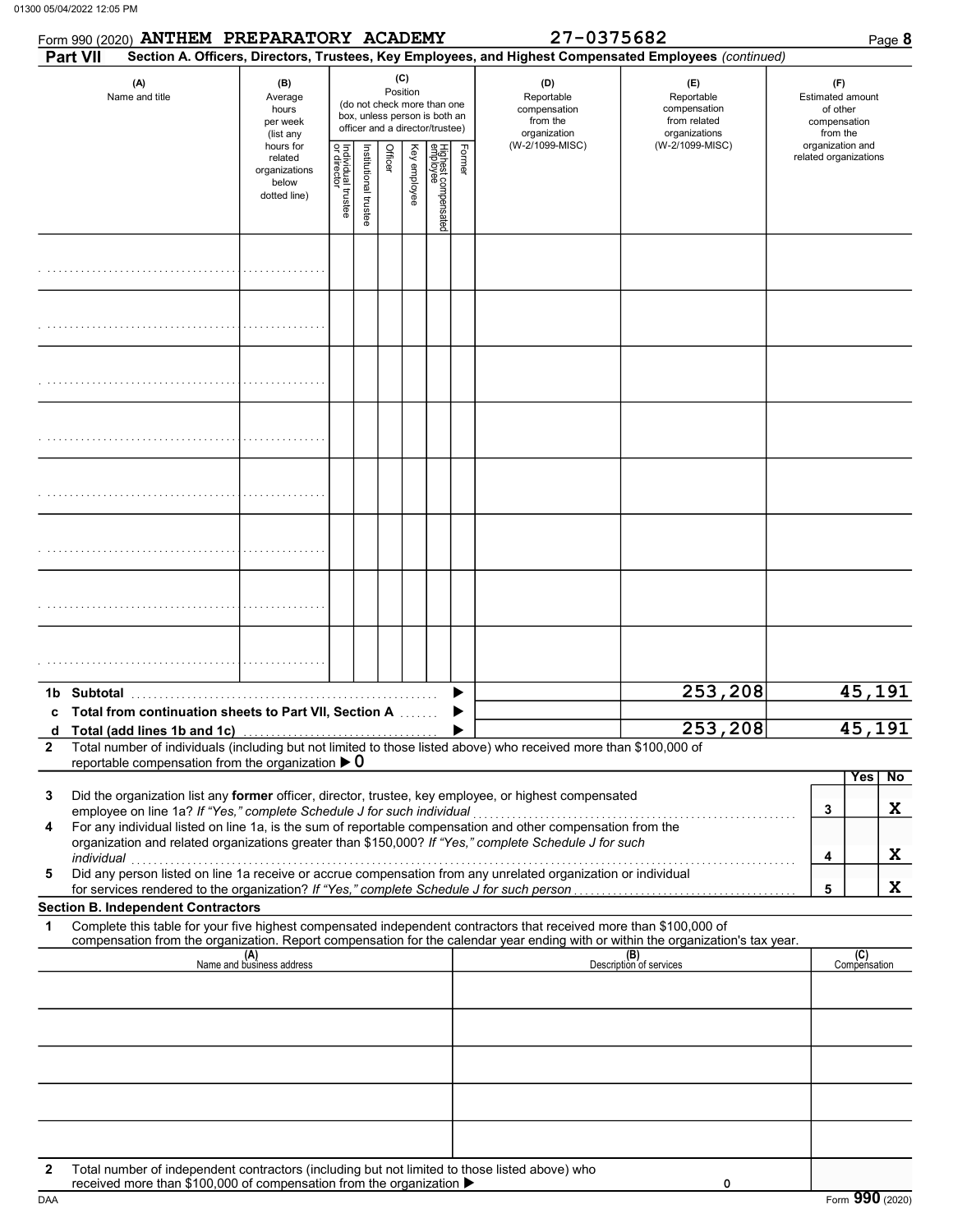|                   |            | Form 990 (2020) ANTHEM PREPARATORY ACADEMY                                                      |                                                                |                                                                                                             |                      |         |              |                                 |        | 27-0375682                                                                                                                 |                                                                                                                                  |                                                                 | Page 8              |
|-------------------|------------|-------------------------------------------------------------------------------------------------|----------------------------------------------------------------|-------------------------------------------------------------------------------------------------------------|----------------------|---------|--------------|---------------------------------|--------|----------------------------------------------------------------------------------------------------------------------------|----------------------------------------------------------------------------------------------------------------------------------|-----------------------------------------------------------------|---------------------|
|                   | Part VII   |                                                                                                 |                                                                |                                                                                                             |                      | (C)     |              |                                 |        |                                                                                                                            | Section A. Officers, Directors, Trustees, Key Employees, and Highest Compensated Employees (continued)                           |                                                                 |                     |
|                   |            | (A)<br>Name and title                                                                           | (B)<br>Average<br>hours<br>per week<br>(list any               | Position<br>(do not check more than one<br>box, unless person is both an<br>officer and a director/trustee) |                      |         |              |                                 |        | (D)<br>Reportable<br>compensation<br>from the<br>organization                                                              | (E)<br>Reportable<br>compensation<br>from related<br>organizations                                                               | (F)<br>Estimated amount<br>of other<br>compensation<br>from the |                     |
|                   |            |                                                                                                 | hours for<br>related<br>organizations<br>below<br>dotted line) | Individual trustee<br>or director                                                                           | Institutional truste | Officer | Key employee | Highest compensated<br>employee | Former | (W-2/1099-MISC)                                                                                                            | (W-2/1099-MISC)                                                                                                                  | organization and<br>related organizations                       |                     |
|                   |            |                                                                                                 |                                                                |                                                                                                             |                      |         |              |                                 |        |                                                                                                                            |                                                                                                                                  |                                                                 |                     |
|                   |            |                                                                                                 |                                                                |                                                                                                             |                      |         |              |                                 |        |                                                                                                                            |                                                                                                                                  |                                                                 |                     |
|                   |            |                                                                                                 |                                                                |                                                                                                             |                      |         |              |                                 |        |                                                                                                                            |                                                                                                                                  |                                                                 |                     |
|                   |            |                                                                                                 |                                                                |                                                                                                             |                      |         |              |                                 |        |                                                                                                                            |                                                                                                                                  |                                                                 |                     |
|                   |            |                                                                                                 |                                                                |                                                                                                             |                      |         |              |                                 |        |                                                                                                                            |                                                                                                                                  |                                                                 |                     |
|                   |            |                                                                                                 |                                                                |                                                                                                             |                      |         |              |                                 |        |                                                                                                                            |                                                                                                                                  |                                                                 |                     |
|                   |            |                                                                                                 |                                                                |                                                                                                             |                      |         |              |                                 |        |                                                                                                                            |                                                                                                                                  |                                                                 |                     |
|                   |            |                                                                                                 |                                                                |                                                                                                             |                      |         |              |                                 |        |                                                                                                                            |                                                                                                                                  |                                                                 |                     |
|                   |            | c Total from continuation sheets to Part VII, Section A                                         |                                                                |                                                                                                             |                      |         |              |                                 |        |                                                                                                                            | 253,208                                                                                                                          |                                                                 | 45,191              |
| d<br>$\mathbf{2}$ |            | Total (add lines 1b and 1c)<br>reportable compensation from the organization $\triangleright$ 0 |                                                                |                                                                                                             |                      |         |              |                                 |        | Total number of individuals (including but not limited to those listed above) who received more than \$100,000 of          | 253,208                                                                                                                          |                                                                 | 45,191              |
| 3                 |            |                                                                                                 |                                                                |                                                                                                             |                      |         |              |                                 |        | Did the organization list any <b>former</b> officer, director, trustee, key employee, or highest compensated               |                                                                                                                                  |                                                                 | No<br>Yes           |
| 4                 |            | employee on line 1a? If "Yes," complete Schedule J for such individual                          |                                                                |                                                                                                             |                      |         |              |                                 |        | For any individual listed on line 1a, is the sum of reportable compensation and other compensation from the                |                                                                                                                                  | 3                                                               | X                   |
|                   | individual |                                                                                                 |                                                                |                                                                                                             |                      |         |              |                                 |        | organization and related organizations greater than \$150,000? If "Yes," complete Schedule J for such                      |                                                                                                                                  | 4                                                               | X                   |
| 5                 |            |                                                                                                 |                                                                |                                                                                                             |                      |         |              |                                 |        | marviauar<br>Did any person listed on line 1a receive or accrue compensation from any unrelated organization or individual |                                                                                                                                  | 5                                                               | X                   |
| 1                 |            | <b>Section B. Independent Contractors</b>                                                       |                                                                |                                                                                                             |                      |         |              |                                 |        | Complete this table for your five highest compensated independent contractors that received more than \$100,000 of         |                                                                                                                                  |                                                                 |                     |
|                   |            |                                                                                                 |                                                                |                                                                                                             |                      |         |              |                                 |        |                                                                                                                            | compensation from the organization. Report compensation for the calendar year ending with or within the organization's tax year. |                                                                 |                     |
|                   |            |                                                                                                 | (A)<br>Name and business address                               |                                                                                                             |                      |         |              |                                 |        |                                                                                                                            | (B)<br>Description of services                                                                                                   |                                                                 | (C)<br>Compensation |
|                   |            |                                                                                                 |                                                                |                                                                                                             |                      |         |              |                                 |        |                                                                                                                            |                                                                                                                                  |                                                                 |                     |
|                   |            |                                                                                                 |                                                                |                                                                                                             |                      |         |              |                                 |        |                                                                                                                            |                                                                                                                                  |                                                                 |                     |
|                   |            |                                                                                                 |                                                                |                                                                                                             |                      |         |              |                                 |        |                                                                                                                            |                                                                                                                                  |                                                                 |                     |
| $\mathbf{2}$      |            | received more than \$100,000 of compensation from the organization ▶                            |                                                                |                                                                                                             |                      |         |              |                                 |        | Total number of independent contractors (including but not limited to those listed above) who                              | 0                                                                                                                                |                                                                 |                     |

DAA Form 990 (2020)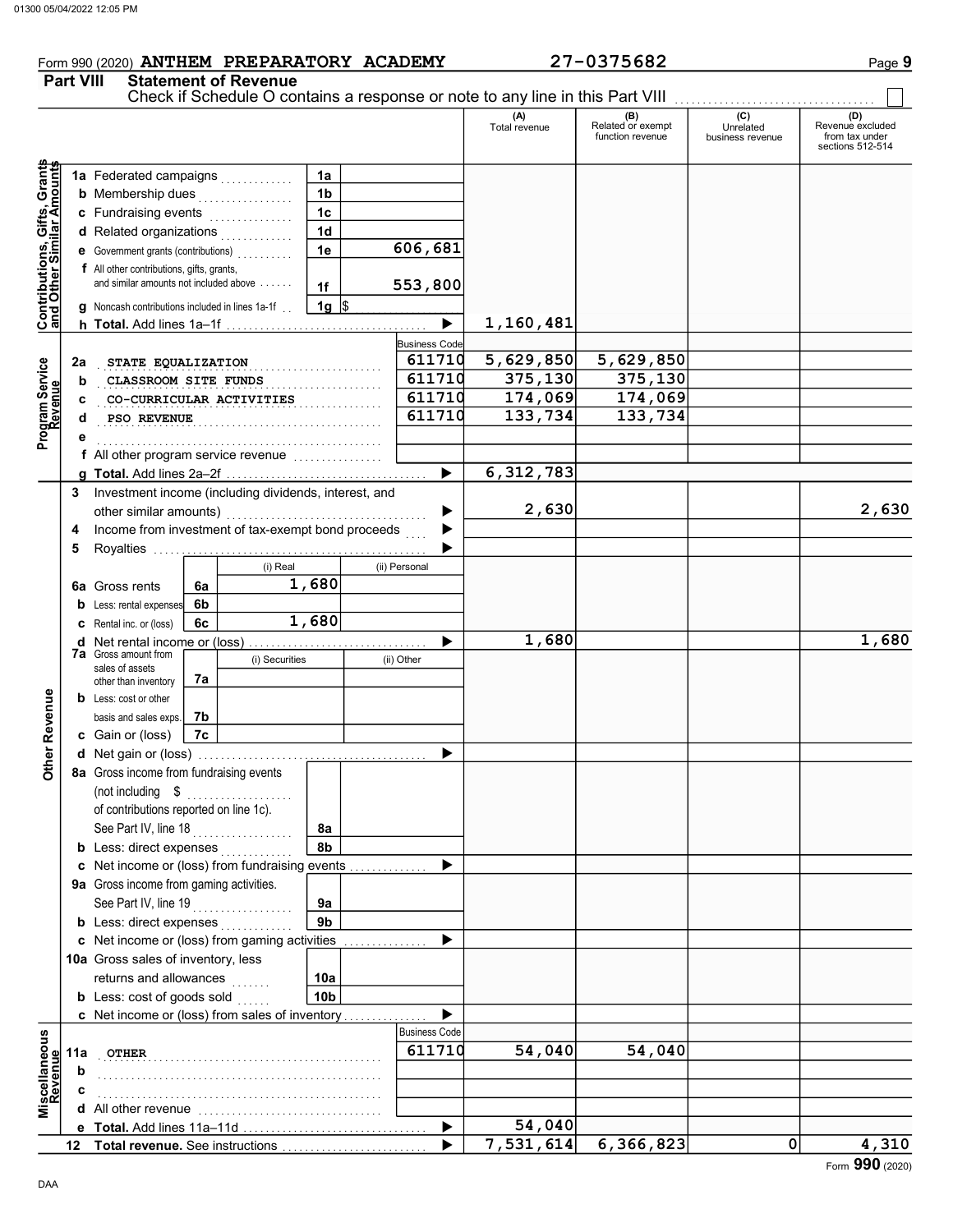# Form 990 (2020) **ANTHEM PREPARATORY ACADEMY** 27-0375682 Page 9

### Part VIII Statement of Revenue

|                                                                  |     |                                                        |    |                |                      |   |                       | Check if Schedule O contains a response or note to any line in this Part VIII |                                              |                                      |                                                        |
|------------------------------------------------------------------|-----|--------------------------------------------------------|----|----------------|----------------------|---|-----------------------|-------------------------------------------------------------------------------|----------------------------------------------|--------------------------------------|--------------------------------------------------------|
|                                                                  |     |                                                        |    |                |                      |   |                       | (A)<br>Total revenue                                                          | (B)<br>Related or exempt<br>function revenue | (C)<br>Unrelated<br>business revenue | Revenue excluded<br>from tax under<br>sections 512-514 |
|                                                                  |     | 1a Federated campaigns                                 |    |                | 1a                   |   |                       |                                                                               |                                              |                                      |                                                        |
|                                                                  |     | <b>b</b> Membership dues                               |    | .              | 1 <sub>b</sub>       |   |                       |                                                                               |                                              |                                      |                                                        |
| <b>Contributions, Gifts, Grants</b><br>and Other Similar Amounts |     | c Fundraising events                                   |    | .              | 1 <sub>c</sub>       |   |                       |                                                                               |                                              |                                      |                                                        |
|                                                                  |     | d Related organizations                                |    |                | 1 <sub>d</sub>       |   |                       |                                                                               |                                              |                                      |                                                        |
|                                                                  |     | e Government grants (contributions)                    |    |                | 1e                   |   | 606, 681              |                                                                               |                                              |                                      |                                                        |
|                                                                  |     | <b>f</b> All other contributions, gifts, grants,       |    |                |                      |   |                       |                                                                               |                                              |                                      |                                                        |
|                                                                  |     | and similar amounts not included above                 |    |                | 1f                   |   | 553,800               |                                                                               |                                              |                                      |                                                        |
|                                                                  |     | g Noncash contributions included in lines 1a-1f        |    |                | 1g $\vert$ \$        |   |                       |                                                                               |                                              |                                      |                                                        |
|                                                                  |     |                                                        |    |                |                      |   | $\blacktriangleright$ | 1,160,481                                                                     |                                              |                                      |                                                        |
|                                                                  |     |                                                        |    |                |                      |   | <b>Business Code</b>  |                                                                               |                                              |                                      |                                                        |
|                                                                  | 2a  | STATE EQUALIZATION                                     |    |                |                      |   | 611710                | 5,629,850                                                                     | 5,629,850                                    |                                      |                                                        |
|                                                                  | b   | CLASSROOM SITE FUNDS                                   |    |                |                      |   | 611710                | $\overline{375,130}$                                                          | 375,130                                      |                                      |                                                        |
|                                                                  | c   | CO-CURRICULAR ACTIVITIES                               |    |                |                      |   | 611710                | 174,069                                                                       | 174,069                                      |                                      |                                                        |
|                                                                  | d   | PSO REVENUE                                            |    |                |                      |   | 611710                | 133,734                                                                       | 133,734                                      |                                      |                                                        |
| Program Service                                                  |     |                                                        |    |                |                      |   |                       |                                                                               |                                              |                                      |                                                        |
|                                                                  |     | f All other program service revenue                    |    |                |                      |   |                       |                                                                               |                                              |                                      |                                                        |
|                                                                  |     |                                                        |    |                |                      |   | $\blacktriangleright$ | 6, 312, 783                                                                   |                                              |                                      |                                                        |
|                                                                  | 3   | Investment income (including dividends, interest, and  |    |                |                      |   |                       |                                                                               |                                              |                                      |                                                        |
|                                                                  |     | other similar amounts)                                 |    |                |                      |   | ▶                     | 2,630                                                                         |                                              |                                      | 2,630                                                  |
|                                                                  | 4   | Income from investment of tax-exempt bond proceeds     |    |                |                      |   | ▶                     |                                                                               |                                              |                                      |                                                        |
|                                                                  | 5   |                                                        |    |                |                      |   |                       |                                                                               |                                              |                                      |                                                        |
|                                                                  |     |                                                        |    | (i) Real       |                      |   | (ii) Personal         |                                                                               |                                              |                                      |                                                        |
|                                                                  |     | 6a Gross rents                                         | 6a |                | 1,680                |   |                       |                                                                               |                                              |                                      |                                                        |
|                                                                  |     | <b>b</b> Less: rental expenses                         | 6b |                |                      |   |                       |                                                                               |                                              |                                      |                                                        |
|                                                                  |     | C Rental inc. or (loss)                                | 6c |                | 1,680                |   |                       |                                                                               |                                              |                                      |                                                        |
|                                                                  |     | d Net rental income or (loss)                          |    |                |                      |   | ▶                     | 1,680                                                                         |                                              |                                      | 1,680                                                  |
|                                                                  |     | <b>7a</b> Gross amount from<br>sales of assets         |    | (i) Securities |                      |   | (ii) Other            |                                                                               |                                              |                                      |                                                        |
|                                                                  |     | other than inventory                                   | 7а |                |                      |   |                       |                                                                               |                                              |                                      |                                                        |
| Other Revenue                                                    |     | <b>b</b> Less: cost or other                           |    |                |                      |   |                       |                                                                               |                                              |                                      |                                                        |
|                                                                  |     | basis and sales exps.                                  | 7b |                |                      |   |                       |                                                                               |                                              |                                      |                                                        |
|                                                                  |     | c Gain or (loss)                                       | 7c |                |                      |   |                       |                                                                               |                                              |                                      |                                                        |
|                                                                  |     |                                                        |    |                |                      |   | ▶                     |                                                                               |                                              |                                      |                                                        |
|                                                                  |     | 8a Gross income from fundraising events                |    |                |                      |   |                       |                                                                               |                                              |                                      |                                                        |
|                                                                  |     | (not including \$                                      |    |                |                      |   |                       |                                                                               |                                              |                                      |                                                        |
|                                                                  |     | of contributions reported on line 1c).                 |    |                |                      |   |                       |                                                                               |                                              |                                      |                                                        |
|                                                                  |     | See Part IV, line 18                                   |    |                | 8a                   |   |                       |                                                                               |                                              |                                      |                                                        |
|                                                                  |     | <b>b</b> Less: direct expenses                         |    |                | 8b                   |   |                       |                                                                               |                                              |                                      |                                                        |
|                                                                  |     | c Net income or (loss) from fundraising events         |    |                |                      |   |                       |                                                                               |                                              |                                      |                                                        |
|                                                                  |     | 9a Gross income from gaming activities.                |    |                |                      |   |                       |                                                                               |                                              |                                      |                                                        |
|                                                                  |     | See Part IV, line 19<br><b>b</b> Less: direct expenses |    |                | 9а<br>9 <sub>b</sub> |   |                       |                                                                               |                                              |                                      |                                                        |
|                                                                  |     | c Net income or (loss) from gaming activities          |    |                |                      |   |                       |                                                                               |                                              |                                      |                                                        |
|                                                                  |     | 10a Gross sales of inventory, less                     |    |                |                      | . |                       |                                                                               |                                              |                                      |                                                        |
|                                                                  |     | returns and allowances                                 |    |                | 10a                  |   |                       |                                                                               |                                              |                                      |                                                        |
|                                                                  |     | <b>b</b> Less: cost of goods sold                      |    | .              | 10 <sub>b</sub>      |   |                       |                                                                               |                                              |                                      |                                                        |
|                                                                  |     | c Net income or (loss) from sales of inventory         |    |                |                      |   |                       |                                                                               |                                              |                                      |                                                        |
|                                                                  |     |                                                        |    |                |                      |   | <b>Business Code</b>  |                                                                               |                                              |                                      |                                                        |
|                                                                  | 11a | <b>OTHER</b>                                           |    |                |                      |   | 611710                | 54,040                                                                        | 54,040                                       |                                      |                                                        |
|                                                                  | b   |                                                        |    |                |                      |   |                       |                                                                               |                                              |                                      |                                                        |
| Miscellaneous<br>Revenue                                         | с   |                                                        |    |                |                      |   |                       |                                                                               |                                              |                                      |                                                        |
|                                                                  |     |                                                        |    |                |                      |   |                       |                                                                               |                                              |                                      |                                                        |
|                                                                  |     |                                                        |    |                |                      |   | ▶                     | 54,040                                                                        |                                              |                                      |                                                        |
|                                                                  | 12  |                                                        |    |                |                      |   |                       | 7,531,614                                                                     | 6,366,823                                    | 0                                    | 4,310                                                  |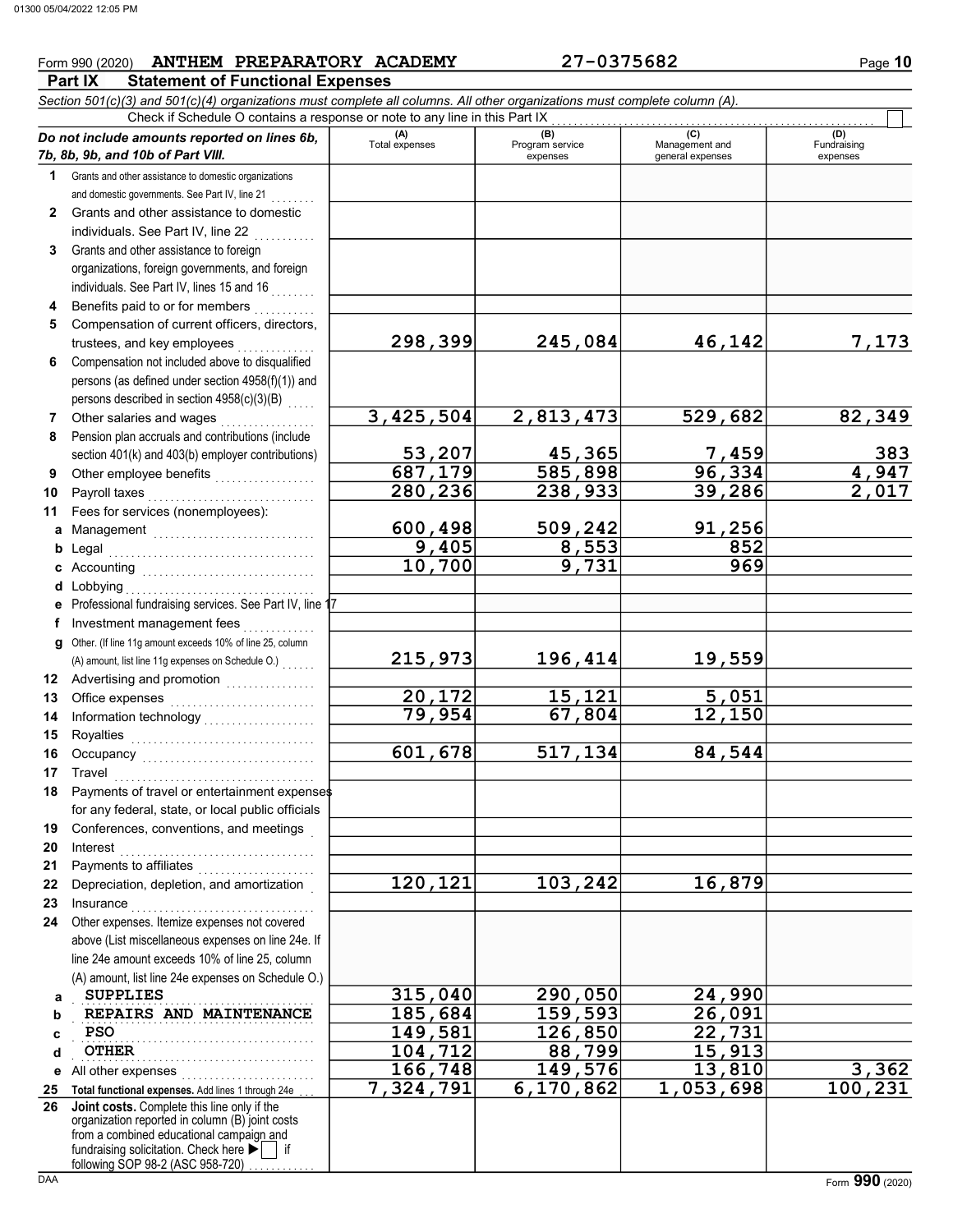# $From 990 (2020)$  **ANTHEM PREPARATORY ACADEMY** 27-0375682 Page 10

**Part IX Statement of Functional Expenses** 

|              | Section 501(c)(3) and 501(c)(4) organizations must complete all columns. All other organizations must complete column (A).                                                                                                                                                           |                       |                             |                                    |                            |  |  |  |  |  |  |  |  |  |
|--------------|--------------------------------------------------------------------------------------------------------------------------------------------------------------------------------------------------------------------------------------------------------------------------------------|-----------------------|-----------------------------|------------------------------------|----------------------------|--|--|--|--|--|--|--|--|--|
|              | Check if Schedule O contains a response or note to any line in this Part IX<br>(B)<br>(C)<br>(D)<br>Do not include amounts reported on lines 6b,                                                                                                                                     |                       |                             |                                    |                            |  |  |  |  |  |  |  |  |  |
|              | 7b, 8b, 9b, and 10b of Part VIII.                                                                                                                                                                                                                                                    | (A)<br>Total expenses | Program service<br>expenses | Management and<br>general expenses | Fundraising<br>expenses    |  |  |  |  |  |  |  |  |  |
| 1            | Grants and other assistance to domestic organizations                                                                                                                                                                                                                                |                       |                             |                                    |                            |  |  |  |  |  |  |  |  |  |
|              | and domestic governments. See Part IV, line 21                                                                                                                                                                                                                                       |                       |                             |                                    |                            |  |  |  |  |  |  |  |  |  |
| $\mathbf{2}$ | Grants and other assistance to domestic                                                                                                                                                                                                                                              |                       |                             |                                    |                            |  |  |  |  |  |  |  |  |  |
|              | individuals. See Part IV, line 22                                                                                                                                                                                                                                                    |                       |                             |                                    |                            |  |  |  |  |  |  |  |  |  |
| 3            | Grants and other assistance to foreign                                                                                                                                                                                                                                               |                       |                             |                                    |                            |  |  |  |  |  |  |  |  |  |
|              | organizations, foreign governments, and foreign                                                                                                                                                                                                                                      |                       |                             |                                    |                            |  |  |  |  |  |  |  |  |  |
|              | individuals. See Part IV, lines 15 and 16                                                                                                                                                                                                                                            |                       |                             |                                    |                            |  |  |  |  |  |  |  |  |  |
|              | Benefits paid to or for members                                                                                                                                                                                                                                                      |                       |                             |                                    |                            |  |  |  |  |  |  |  |  |  |
| 5            | Compensation of current officers, directors,                                                                                                                                                                                                                                         |                       |                             |                                    |                            |  |  |  |  |  |  |  |  |  |
|              | trustees, and key employees                                                                                                                                                                                                                                                          | 298,399               | 245,084                     | 46,142                             | 7,173                      |  |  |  |  |  |  |  |  |  |
| 6            | Compensation not included above to disqualified                                                                                                                                                                                                                                      |                       |                             |                                    |                            |  |  |  |  |  |  |  |  |  |
|              | persons (as defined under section 4958(f)(1)) and                                                                                                                                                                                                                                    |                       |                             |                                    |                            |  |  |  |  |  |  |  |  |  |
|              | persons described in section 4958(c)(3)(B)                                                                                                                                                                                                                                           |                       |                             |                                    |                            |  |  |  |  |  |  |  |  |  |
| 7            | Other salaries and wages                                                                                                                                                                                                                                                             | 3,425,504             | 2,813,473                   | 529,682                            | 82,349                     |  |  |  |  |  |  |  |  |  |
| 8            | Pension plan accruals and contributions (include                                                                                                                                                                                                                                     |                       |                             |                                    |                            |  |  |  |  |  |  |  |  |  |
|              | section 401(k) and 403(b) employer contributions)                                                                                                                                                                                                                                    | 53,207                | 45,365                      | 7,459                              | 383                        |  |  |  |  |  |  |  |  |  |
| 9            | Other employee benefits                                                                                                                                                                                                                                                              | 687,179               | 585,898                     | 96,334                             | $\frac{1}{4,947}$<br>2,017 |  |  |  |  |  |  |  |  |  |
| 10           | Payroll taxes                                                                                                                                                                                                                                                                        | 280,236               | 238,933                     | 39,286                             |                            |  |  |  |  |  |  |  |  |  |
| 11           | Fees for services (nonemployees):                                                                                                                                                                                                                                                    | 600,498               | 509,242                     | 91,256                             |                            |  |  |  |  |  |  |  |  |  |
| a            | Management                                                                                                                                                                                                                                                                           | 9,405                 | 8,553                       | 852                                |                            |  |  |  |  |  |  |  |  |  |
| b            |                                                                                                                                                                                                                                                                                      | 10,700                | 9,731                       | 969                                |                            |  |  |  |  |  |  |  |  |  |
| d            | Lobbying                                                                                                                                                                                                                                                                             |                       |                             |                                    |                            |  |  |  |  |  |  |  |  |  |
| е            | Professional fundraising services. See Part IV, line 17                                                                                                                                                                                                                              |                       |                             |                                    |                            |  |  |  |  |  |  |  |  |  |
| f            | Investment management fees                                                                                                                                                                                                                                                           |                       |                             |                                    |                            |  |  |  |  |  |  |  |  |  |
| g            | Other. (If line 11g amount exceeds 10% of line 25, column                                                                                                                                                                                                                            |                       |                             |                                    |                            |  |  |  |  |  |  |  |  |  |
|              | (A) amount, list line 11g expenses on Schedule O.)                                                                                                                                                                                                                                   | 215,973               | 196,414                     | 19,559                             |                            |  |  |  |  |  |  |  |  |  |
|              | 12 Advertising and promotion<br>12 Advertising and promotion                                                                                                                                                                                                                         |                       |                             |                                    |                            |  |  |  |  |  |  |  |  |  |
| 13           |                                                                                                                                                                                                                                                                                      | 20,172                | 15,121                      | 5,051                              |                            |  |  |  |  |  |  |  |  |  |
| 14           |                                                                                                                                                                                                                                                                                      | 79,954                | 67,804                      | $\overline{12}$ , 150              |                            |  |  |  |  |  |  |  |  |  |
| 15           |                                                                                                                                                                                                                                                                                      |                       |                             |                                    |                            |  |  |  |  |  |  |  |  |  |
| 16           |                                                                                                                                                                                                                                                                                      | 601,678               | 517,134                     | 84,544                             |                            |  |  |  |  |  |  |  |  |  |
| 17           | Travel                                                                                                                                                                                                                                                                               |                       |                             |                                    |                            |  |  |  |  |  |  |  |  |  |
| 18           | Payments of travel or entertainment expenses                                                                                                                                                                                                                                         |                       |                             |                                    |                            |  |  |  |  |  |  |  |  |  |
|              | for any federal, state, or local public officials                                                                                                                                                                                                                                    |                       |                             |                                    |                            |  |  |  |  |  |  |  |  |  |
| 19           | Conferences, conventions, and meetings                                                                                                                                                                                                                                               |                       |                             |                                    |                            |  |  |  |  |  |  |  |  |  |
| 20           | Interest                                                                                                                                                                                                                                                                             |                       |                             |                                    |                            |  |  |  |  |  |  |  |  |  |
| 21           | Payments to affiliates                                                                                                                                                                                                                                                               | 120,121               | 103,242                     | 16,879                             |                            |  |  |  |  |  |  |  |  |  |
| 22<br>23     | Depreciation, depletion, and amortization                                                                                                                                                                                                                                            |                       |                             |                                    |                            |  |  |  |  |  |  |  |  |  |
| 24           | Insurance <b>International Property Contract Contract Contract Contract Contract Contract Contract Contract Contract Contract Contract Contract Contract Contract Contract Contract Contract Contract Contract Contract Contract</b><br>Other expenses. Itemize expenses not covered |                       |                             |                                    |                            |  |  |  |  |  |  |  |  |  |
|              | above (List miscellaneous expenses on line 24e. If                                                                                                                                                                                                                                   |                       |                             |                                    |                            |  |  |  |  |  |  |  |  |  |
|              | line 24e amount exceeds 10% of line 25, column                                                                                                                                                                                                                                       |                       |                             |                                    |                            |  |  |  |  |  |  |  |  |  |
|              | (A) amount, list line 24e expenses on Schedule O.)                                                                                                                                                                                                                                   |                       |                             |                                    |                            |  |  |  |  |  |  |  |  |  |
| a            | <b>SUPPLIES</b>                                                                                                                                                                                                                                                                      | 315,040               | 290,050                     | 24,990                             |                            |  |  |  |  |  |  |  |  |  |
| b            | REPAIRS AND MAINTENANCE                                                                                                                                                                                                                                                              | 185,684               | 159,593                     | 26,091                             |                            |  |  |  |  |  |  |  |  |  |
| c            | <b>PSO</b>                                                                                                                                                                                                                                                                           | 149,581               | 126,850                     | 22,731                             |                            |  |  |  |  |  |  |  |  |  |
| d            | <b>OTHER</b>                                                                                                                                                                                                                                                                         | 104,712               | 88,799                      | 15,913                             |                            |  |  |  |  |  |  |  |  |  |
| е            | All other expenses                                                                                                                                                                                                                                                                   | 166,748               | 149,576                     | 13,810                             | 3,362                      |  |  |  |  |  |  |  |  |  |
| 25           | Total functional expenses. Add lines 1 through 24e                                                                                                                                                                                                                                   | 7,324,791             | 6,170,862                   | 1,053,698                          | 100,231                    |  |  |  |  |  |  |  |  |  |
| 26           | Joint costs. Complete this line only if the<br>organization reported in column (B) joint costs<br>from a combined educational campaign and<br>fundraising solicitation. Check here<br>if                                                                                             |                       |                             |                                    |                            |  |  |  |  |  |  |  |  |  |
|              | following SOP 98-2 (ASC 958-720)                                                                                                                                                                                                                                                     |                       |                             |                                    |                            |  |  |  |  |  |  |  |  |  |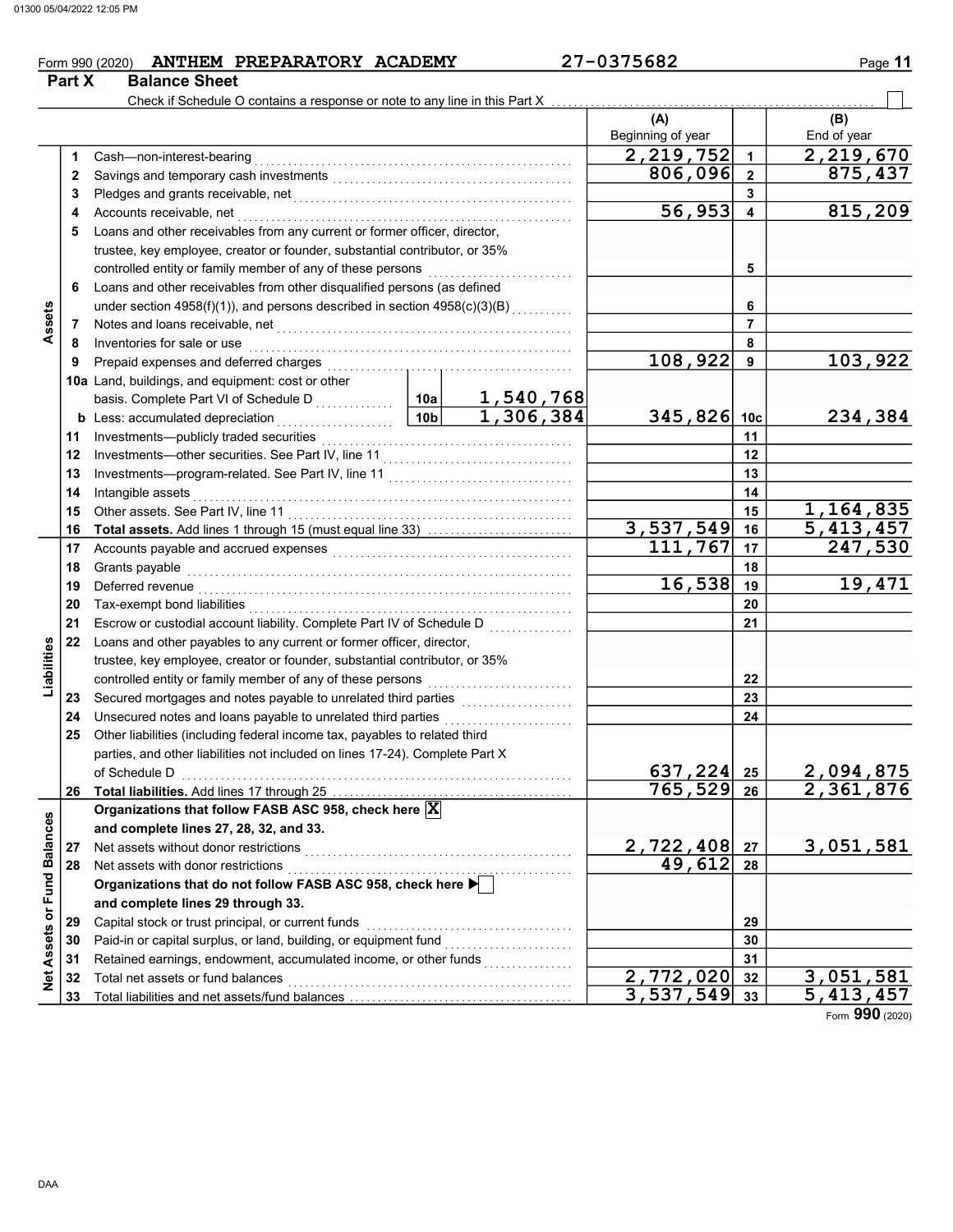**Part X** Balance Sheet

# $From 990 (2020)$  **ANTHEM PREPARATORY ACADEMY** 27-0375682 Page 11

|                             |    | Check if Schedule O contains a response or note to any line in this Part X                                                                                                                                                                                                                                                                                                                                                                                                                                          |                 |                        |                          |                         |                    |
|-----------------------------|----|---------------------------------------------------------------------------------------------------------------------------------------------------------------------------------------------------------------------------------------------------------------------------------------------------------------------------------------------------------------------------------------------------------------------------------------------------------------------------------------------------------------------|-----------------|------------------------|--------------------------|-------------------------|--------------------|
|                             |    |                                                                                                                                                                                                                                                                                                                                                                                                                                                                                                                     |                 |                        | (A)<br>Beginning of year |                         | (B)<br>End of year |
|                             | 1  | Cash-non-interest-bearing                                                                                                                                                                                                                                                                                                                                                                                                                                                                                           |                 |                        | 2,219,752                | $\mathbf{1}$            | 2,219,670          |
|                             | 2  |                                                                                                                                                                                                                                                                                                                                                                                                                                                                                                                     |                 |                        | 806,096                  | $\mathbf{2}$            | 875,437            |
|                             | 3  |                                                                                                                                                                                                                                                                                                                                                                                                                                                                                                                     |                 |                        |                          | 3                       |                    |
|                             | 4  | Accounts receivable, net                                                                                                                                                                                                                                                                                                                                                                                                                                                                                            |                 |                        | 56,953                   | $\overline{\mathbf{4}}$ | 815,209            |
|                             | 5  | Loans and other receivables from any current or former officer, director,                                                                                                                                                                                                                                                                                                                                                                                                                                           |                 |                        |                          |                         |                    |
|                             |    | trustee, key employee, creator or founder, substantial contributor, or 35%                                                                                                                                                                                                                                                                                                                                                                                                                                          |                 |                        |                          |                         |                    |
|                             |    | controlled entity or family member of any of these persons                                                                                                                                                                                                                                                                                                                                                                                                                                                          |                 |                        |                          | 5                       |                    |
|                             | 6  | Loans and other receivables from other disqualified persons (as defined                                                                                                                                                                                                                                                                                                                                                                                                                                             |                 |                        |                          |                         |                    |
|                             |    | under section 4958(f)(1)), and persons described in section 4958(c)(3)(B)                                                                                                                                                                                                                                                                                                                                                                                                                                           |                 |                        |                          | 6                       |                    |
| Assets                      | 7  | Notes and loans receivable, net                                                                                                                                                                                                                                                                                                                                                                                                                                                                                     |                 |                        |                          | $\overline{7}$          |                    |
|                             | 8  | Inventories for sale or use                                                                                                                                                                                                                                                                                                                                                                                                                                                                                         |                 |                        |                          | 8                       |                    |
|                             | 9  | Prepaid expenses and deferred charges                                                                                                                                                                                                                                                                                                                                                                                                                                                                               |                 |                        | 108,922                  | 9                       | 103,922            |
|                             |    | 10a Land, buildings, and equipment: cost or other                                                                                                                                                                                                                                                                                                                                                                                                                                                                   |                 |                        |                          |                         |                    |
|                             |    | basis. Complete Part VI of Schedule D                                                                                                                                                                                                                                                                                                                                                                                                                                                                               | 10a             | 1,540,768<br>1,306,384 |                          |                         |                    |
|                             |    | <b>b</b> Less: accumulated depreciation<br>.                                                                                                                                                                                                                                                                                                                                                                                                                                                                        | 10 <sub>b</sub> |                        | 345,826                  | 10 <sub>c</sub>         | 234,384            |
|                             | 11 | Investments-publicly traded securities                                                                                                                                                                                                                                                                                                                                                                                                                                                                              |                 |                        |                          | 11                      |                    |
|                             | 12 | Investments-other securities. See Part IV, line 11                                                                                                                                                                                                                                                                                                                                                                                                                                                                  |                 |                        |                          | 12                      |                    |
|                             | 13 |                                                                                                                                                                                                                                                                                                                                                                                                                                                                                                                     |                 |                        |                          | 13                      |                    |
|                             | 14 | Intangible assets                                                                                                                                                                                                                                                                                                                                                                                                                                                                                                   |                 | 14                     |                          |                         |                    |
|                             | 15 | Other assets. See Part IV, line 11                                                                                                                                                                                                                                                                                                                                                                                                                                                                                  |                 |                        |                          | 15                      | 1,164,835          |
|                             | 16 | Total assets. Add lines 1 through 15 (must equal line 33)                                                                                                                                                                                                                                                                                                                                                                                                                                                           |                 |                        | 3,537,549                | 16                      | 5,413,457          |
|                             | 17 |                                                                                                                                                                                                                                                                                                                                                                                                                                                                                                                     |                 |                        | 111,767                  | 17                      | 247,530            |
|                             | 18 | Grants payable                                                                                                                                                                                                                                                                                                                                                                                                                                                                                                      |                 | 18                     |                          |                         |                    |
|                             | 19 | Deferred revenue                                                                                                                                                                                                                                                                                                                                                                                                                                                                                                    |                 |                        | 16,538                   | 19                      | 19,471             |
|                             | 20 | Tax-exempt bond liabilities                                                                                                                                                                                                                                                                                                                                                                                                                                                                                         |                 |                        |                          | 20                      |                    |
|                             | 21 | Escrow or custodial account liability. Complete Part IV of Schedule D                                                                                                                                                                                                                                                                                                                                                                                                                                               |                 |                        |                          | 21                      |                    |
|                             | 22 | Loans and other payables to any current or former officer, director,                                                                                                                                                                                                                                                                                                                                                                                                                                                |                 |                        |                          |                         |                    |
| Liabilities                 |    | trustee, key employee, creator or founder, substantial contributor, or 35%                                                                                                                                                                                                                                                                                                                                                                                                                                          |                 |                        |                          |                         |                    |
|                             |    | controlled entity or family member of any of these persons                                                                                                                                                                                                                                                                                                                                                                                                                                                          |                 |                        |                          | 22                      |                    |
|                             | 23 | Secured mortgages and notes payable to unrelated third parties                                                                                                                                                                                                                                                                                                                                                                                                                                                      |                 |                        |                          | 23                      |                    |
|                             | 24 | Unsecured notes and loans payable to unrelated third parties                                                                                                                                                                                                                                                                                                                                                                                                                                                        |                 |                        |                          | 24                      |                    |
|                             | 25 | Other liabilities (including federal income tax, payables to related third                                                                                                                                                                                                                                                                                                                                                                                                                                          |                 |                        |                          |                         |                    |
|                             |    | parties, and other liabilities not included on lines 17-24). Complete Part X                                                                                                                                                                                                                                                                                                                                                                                                                                        |                 |                        |                          |                         |                    |
|                             |    | of Schedule D<br><br>$\begin{array}{ccc}\n\vdots & \vdots & \vdots \\ \vdots & \vdots & \vdots \\ \vdots & \vdots & \vdots \\ \vdots & \vdots & \vdots \\ \vdots & \vdots & \vdots \\ \vdots & \vdots & \vdots \\ \vdots & \vdots & \vdots \\ \vdots & \vdots & \vdots \\ \vdots & \vdots & \vdots \\ \vdots & \vdots & \vdots \\ \vdots & \vdots & \vdots \\ \vdots & \vdots & \vdots \\ \vdots & \vdots & \vdots \\ \vdots & \vdots & \vdots \\ \vdots & \vdots & \vdots \\ \vdots & \vdots & \vdots \\ \vdots &$ |                 |                        | 637, 224 25              |                         | <u>2,094,875</u>   |
|                             |    |                                                                                                                                                                                                                                                                                                                                                                                                                                                                                                                     |                 |                        | 765,529                  | 26                      | 2,361,876          |
|                             |    | Organizations that follow FASB ASC 958, check here X                                                                                                                                                                                                                                                                                                                                                                                                                                                                |                 |                        |                          |                         |                    |
|                             |    | and complete lines 27, 28, 32, and 33.                                                                                                                                                                                                                                                                                                                                                                                                                                                                              |                 |                        |                          |                         |                    |
|                             | 27 | Net assets without donor restrictions                                                                                                                                                                                                                                                                                                                                                                                                                                                                               |                 |                        | 2,722,408                | 27                      | 3,051,581          |
|                             | 28 | Net assets with donor restrictions                                                                                                                                                                                                                                                                                                                                                                                                                                                                                  |                 |                        | 49,612                   | 28                      |                    |
|                             |    | Organizations that do not follow FASB ASC 958, check here                                                                                                                                                                                                                                                                                                                                                                                                                                                           |                 |                        |                          |                         |                    |
|                             |    | and complete lines 29 through 33.                                                                                                                                                                                                                                                                                                                                                                                                                                                                                   |                 |                        |                          |                         |                    |
| Net Assets or Fund Balances | 29 | Capital stock or trust principal, or current funds                                                                                                                                                                                                                                                                                                                                                                                                                                                                  |                 |                        |                          | 29                      |                    |
|                             | 30 | Paid-in or capital surplus, or land, building, or equipment fund                                                                                                                                                                                                                                                                                                                                                                                                                                                    |                 |                        |                          | 30                      |                    |
|                             | 31 | Retained earnings, endowment, accumulated income, or other funds                                                                                                                                                                                                                                                                                                                                                                                                                                                    |                 |                        |                          | 31                      |                    |
|                             | 32 | Total net assets or fund balances                                                                                                                                                                                                                                                                                                                                                                                                                                                                                   |                 |                        | 2,772,020                | 32                      | 3,051,581          |
|                             | 33 |                                                                                                                                                                                                                                                                                                                                                                                                                                                                                                                     |                 |                        | 3,537,549                | 33                      | 5, 413, 457        |

Form 990 (2020)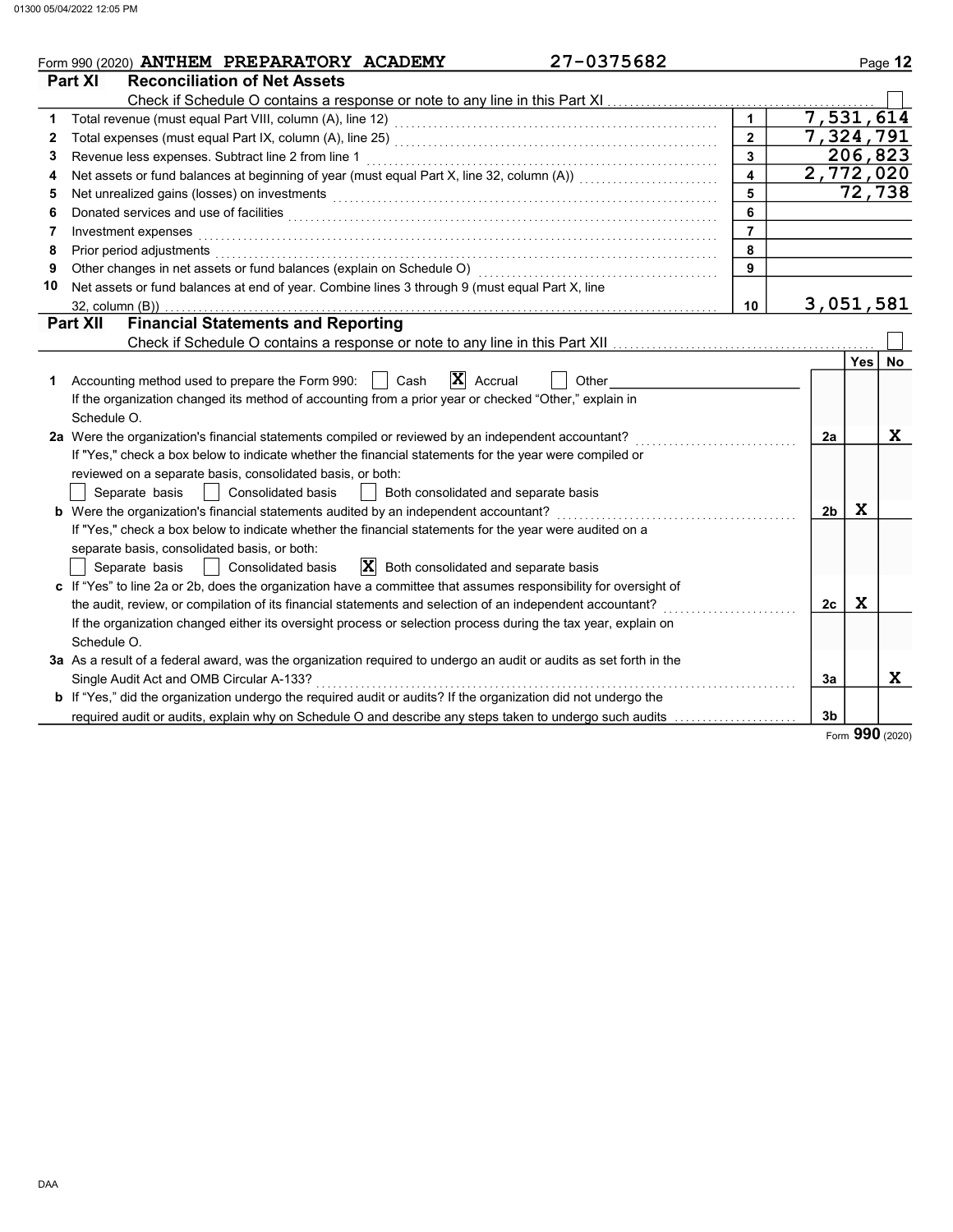|    | 27-0375682<br>Form 990 (2020) ANTHEM PREPARATORY ACADEMY                                                                                                                                                                       |                         |                        |             | Page 12   |
|----|--------------------------------------------------------------------------------------------------------------------------------------------------------------------------------------------------------------------------------|-------------------------|------------------------|-------------|-----------|
|    | Part XI<br><b>Reconciliation of Net Assets</b>                                                                                                                                                                                 |                         |                        |             |           |
|    | Check if Schedule O contains a response or note to any line in this Part XI                                                                                                                                                    |                         |                        |             |           |
| 1  |                                                                                                                                                                                                                                | $\mathbf{1}$            | 7,531,614              |             |           |
| 2  |                                                                                                                                                                                                                                | $\overline{2}$          | $\overline{7,324,791}$ |             |           |
| 3  | Revenue less expenses. Subtract line 2 from line 1                                                                                                                                                                             | $\mathbf{3}$            |                        | 206,823     |           |
| 4  |                                                                                                                                                                                                                                | $\overline{\mathbf{4}}$ | 2,772,020              |             |           |
| 5  | Net unrealized gains (losses) on investments [11] with the context of the context of the context of the context of the context of the context of the context of the context of the context of the context of the context of th | 5                       |                        |             | 72,738    |
| 6  | Donated services and use of facilities [[11] with the contract of the contract of the contract of the contract of the contract of the contract of the contract of the contract of the contract of the contract of the contract | 6                       |                        |             |           |
| 7  | Investment expenses                                                                                                                                                                                                            | $\overline{7}$          |                        |             |           |
| 8  | Prior period adjustments [11, 12] with the contract of the contract of the contract of the contract of the contract of the contract of the contract of the contract of the contract of the contract of the contract of the con | 8                       |                        |             |           |
| 9  |                                                                                                                                                                                                                                | 9                       |                        |             |           |
| 10 | Net assets or fund balances at end of year. Combine lines 3 through 9 (must equal Part X, line                                                                                                                                 |                         |                        |             |           |
|    | 32, column (B))                                                                                                                                                                                                                | 10                      | 3,051,581              |             |           |
|    | <b>Financial Statements and Reporting</b><br><b>Part XII</b>                                                                                                                                                                   |                         |                        |             |           |
|    |                                                                                                                                                                                                                                |                         |                        |             |           |
|    |                                                                                                                                                                                                                                |                         |                        | <b>Yes</b>  | <b>No</b> |
| 1  | $\mathbf{X}$ Accrual<br>Cash<br>Accounting method used to prepare the Form 990:    <br>Other                                                                                                                                   |                         |                        |             |           |
|    | If the organization changed its method of accounting from a prior year or checked "Other," explain in                                                                                                                          |                         |                        |             |           |
|    | Schedule O.                                                                                                                                                                                                                    |                         |                        |             |           |
|    | 2a Were the organization's financial statements compiled or reviewed by an independent accountant?                                                                                                                             |                         | 2a                     |             | X         |
|    | If "Yes," check a box below to indicate whether the financial statements for the year were compiled or                                                                                                                         |                         |                        |             |           |
|    | reviewed on a separate basis, consolidated basis, or both:                                                                                                                                                                     |                         |                        |             |           |
|    | Consolidated basis<br>Separate basis<br>Both consolidated and separate basis                                                                                                                                                   |                         |                        |             |           |
|    | b Were the organization's financial statements audited by an independent accountant?                                                                                                                                           |                         | 2 <sub>b</sub>         | X           |           |
|    | If "Yes," check a box below to indicate whether the financial statements for the year were audited on a                                                                                                                        |                         |                        |             |           |
|    | separate basis, consolidated basis, or both:                                                                                                                                                                                   |                         |                        |             |           |
|    | $ \mathbf{X} $ Both consolidated and separate basis<br>Consolidated basis<br>Separate basis                                                                                                                                    |                         |                        |             |           |
|    | c If "Yes" to line 2a or 2b, does the organization have a committee that assumes responsibility for oversight of                                                                                                               |                         |                        |             |           |
|    | the audit, review, or compilation of its financial statements and selection of an independent accountant?                                                                                                                      |                         | 2c                     | $\mathbf x$ |           |
|    | If the organization changed either its oversight process or selection process during the tax year, explain on                                                                                                                  |                         |                        |             |           |
|    | Schedule O.                                                                                                                                                                                                                    |                         |                        |             |           |
|    | 3a As a result of a federal award, was the organization required to undergo an audit or audits as set forth in the                                                                                                             |                         |                        |             |           |
|    | Single Audit Act and OMB Circular A-133?                                                                                                                                                                                       |                         | 3a                     |             | X         |
|    | <b>b</b> If "Yes," did the organization undergo the required audit or audits? If the organization did not undergo the                                                                                                          |                         |                        |             |           |
|    | required audit or audits, explain why on Schedule O and describe any steps taken to undergo such audits                                                                                                                        |                         | 3b                     | nnn         |           |

Form 990 (2020)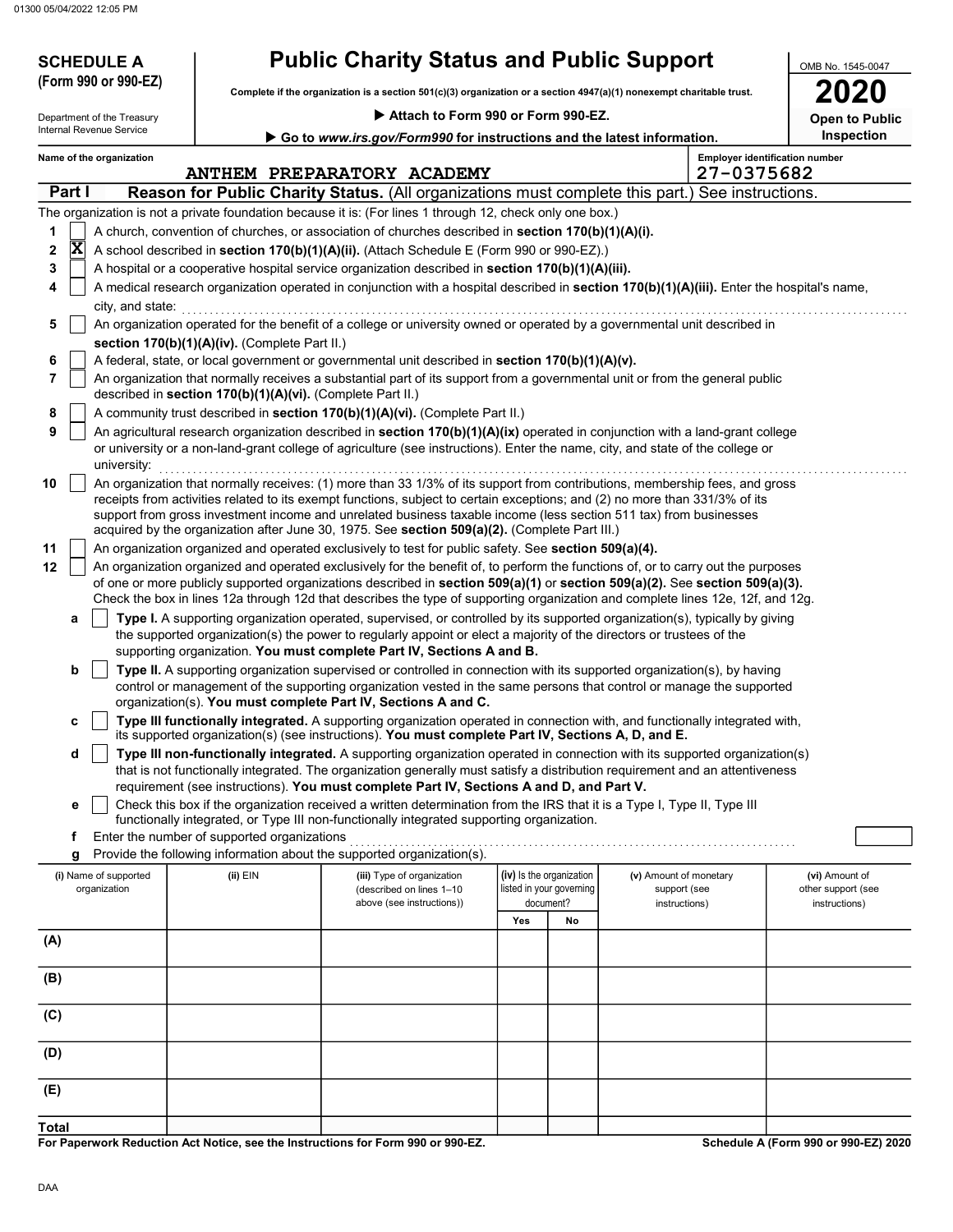01300 05/04/2022 12:05 PM

| <b>SCHEDULE A</b><br>(Form 990 or 990-EZ)              |                                                            | <b>Public Charity Status and Public Support</b>                                                                                                                                                                                                                                                                                                                                                                                                                                  | OMB No. 1545-0047                                                 |    |                                                         |            |                                                       |
|--------------------------------------------------------|------------------------------------------------------------|----------------------------------------------------------------------------------------------------------------------------------------------------------------------------------------------------------------------------------------------------------------------------------------------------------------------------------------------------------------------------------------------------------------------------------------------------------------------------------|-------------------------------------------------------------------|----|---------------------------------------------------------|------------|-------------------------------------------------------|
|                                                        |                                                            | Complete if the organization is a section 501(c)(3) organization or a section 4947(a)(1) nonexempt charitable trust.                                                                                                                                                                                                                                                                                                                                                             | 2020                                                              |    |                                                         |            |                                                       |
| Department of the Treasury<br>Internal Revenue Service |                                                            | Attach to Form 990 or Form 990-EZ.                                                                                                                                                                                                                                                                                                                                                                                                                                               |                                                                   |    |                                                         |            | <b>Open to Public</b>                                 |
|                                                        |                                                            | Go to www.irs.gov/Form990 for instructions and the latest information.                                                                                                                                                                                                                                                                                                                                                                                                           |                                                                   |    |                                                         |            | Inspection                                            |
| Name of the organization                               |                                                            | ANTHEM PREPARATORY ACADEMY                                                                                                                                                                                                                                                                                                                                                                                                                                                       |                                                                   |    |                                                         | 27-0375682 | <b>Employer identification number</b>                 |
| Part I                                                 |                                                            | <b>Reason for Public Charity Status.</b> (All organizations must complete this part.) See instructions.                                                                                                                                                                                                                                                                                                                                                                          |                                                                   |    |                                                         |            |                                                       |
|                                                        |                                                            | The organization is not a private foundation because it is: (For lines 1 through 12, check only one box.)                                                                                                                                                                                                                                                                                                                                                                        |                                                                   |    |                                                         |            |                                                       |
| 1                                                      |                                                            | A church, convention of churches, or association of churches described in section 170(b)(1)(A)(i).                                                                                                                                                                                                                                                                                                                                                                               |                                                                   |    |                                                         |            |                                                       |
| $ \mathbf{X} $<br>2                                    |                                                            | A school described in section 170(b)(1)(A)(ii). (Attach Schedule E (Form 990 or 990-EZ).)                                                                                                                                                                                                                                                                                                                                                                                        |                                                                   |    |                                                         |            |                                                       |
| 3                                                      |                                                            | A hospital or a cooperative hospital service organization described in section 170(b)(1)(A)(iii).                                                                                                                                                                                                                                                                                                                                                                                |                                                                   |    |                                                         |            |                                                       |
| 4<br>city, and state:                                  |                                                            | A medical research organization operated in conjunction with a hospital described in section 170(b)(1)(A)(iii). Enter the hospital's name,                                                                                                                                                                                                                                                                                                                                       |                                                                   |    |                                                         |            |                                                       |
| 5                                                      |                                                            | An organization operated for the benefit of a college or university owned or operated by a governmental unit described in                                                                                                                                                                                                                                                                                                                                                        |                                                                   |    |                                                         |            |                                                       |
|                                                        | section 170(b)(1)(A)(iv). (Complete Part II.)              |                                                                                                                                                                                                                                                                                                                                                                                                                                                                                  |                                                                   |    |                                                         |            |                                                       |
| 6                                                      |                                                            | A federal, state, or local government or governmental unit described in section 170(b)(1)(A)(v).                                                                                                                                                                                                                                                                                                                                                                                 |                                                                   |    |                                                         |            |                                                       |
| 7                                                      | described in section 170(b)(1)(A)(vi). (Complete Part II.) | An organization that normally receives a substantial part of its support from a governmental unit or from the general public                                                                                                                                                                                                                                                                                                                                                     |                                                                   |    |                                                         |            |                                                       |
| 8                                                      |                                                            | A community trust described in section 170(b)(1)(A)(vi). (Complete Part II.)                                                                                                                                                                                                                                                                                                                                                                                                     |                                                                   |    |                                                         |            |                                                       |
| 9<br>university:                                       |                                                            | An agricultural research organization described in section 170(b)(1)(A)(ix) operated in conjunction with a land-grant college<br>or university or a non-land-grant college of agriculture (see instructions). Enter the name, city, and state of the college or                                                                                                                                                                                                                  |                                                                   |    |                                                         |            |                                                       |
| 10                                                     |                                                            | An organization that normally receives: (1) more than 33 1/3% of its support from contributions, membership fees, and gross<br>receipts from activities related to its exempt functions, subject to certain exceptions; and (2) no more than 331/3% of its<br>support from gross investment income and unrelated business taxable income (less section 511 tax) from businesses<br>acquired by the organization after June 30, 1975. See section 509(a)(2). (Complete Part III.) |                                                                   |    |                                                         |            |                                                       |
| 11                                                     |                                                            | An organization organized and operated exclusively to test for public safety. See section 509(a)(4).                                                                                                                                                                                                                                                                                                                                                                             |                                                                   |    |                                                         |            |                                                       |
| 12                                                     |                                                            | An organization organized and operated exclusively for the benefit of, to perform the functions of, or to carry out the purposes<br>of one or more publicly supported organizations described in section 509(a)(1) or section 509(a)(2). See section 509(a)(3).<br>Check the box in lines 12a through 12d that describes the type of supporting organization and complete lines 12e, 12f, and 12g.                                                                               |                                                                   |    |                                                         |            |                                                       |
| a                                                      |                                                            | Type I. A supporting organization operated, supervised, or controlled by its supported organization(s), typically by giving<br>the supported organization(s) the power to regularly appoint or elect a majority of the directors or trustees of the<br>supporting organization. You must complete Part IV, Sections A and B.                                                                                                                                                     |                                                                   |    |                                                         |            |                                                       |
| b                                                      |                                                            | Type II. A supporting organization supervised or controlled in connection with its supported organization(s), by having                                                                                                                                                                                                                                                                                                                                                          |                                                                   |    |                                                         |            |                                                       |
|                                                        |                                                            | control or management of the supporting organization vested in the same persons that control or manage the supported                                                                                                                                                                                                                                                                                                                                                             |                                                                   |    |                                                         |            |                                                       |
|                                                        |                                                            | organization(s). You must complete Part IV, Sections A and C.                                                                                                                                                                                                                                                                                                                                                                                                                    |                                                                   |    |                                                         |            |                                                       |
|                                                        |                                                            | Type III functionally integrated. A supporting organization operated in connection with, and functionally integrated with,<br>its supported organization(s) (see instructions). You must complete Part IV, Sections A, D, and E.                                                                                                                                                                                                                                                 |                                                                   |    |                                                         |            |                                                       |
| d                                                      |                                                            | Type III non-functionally integrated. A supporting organization operated in connection with its supported organization(s)<br>that is not functionally integrated. The organization generally must satisfy a distribution requirement and an attentiveness                                                                                                                                                                                                                        |                                                                   |    |                                                         |            |                                                       |
|                                                        |                                                            | requirement (see instructions). You must complete Part IV, Sections A and D, and Part V.                                                                                                                                                                                                                                                                                                                                                                                         |                                                                   |    |                                                         |            |                                                       |
| е                                                      |                                                            | Check this box if the organization received a written determination from the IRS that it is a Type I, Type II, Type III<br>functionally integrated, or Type III non-functionally integrated supporting organization.                                                                                                                                                                                                                                                             |                                                                   |    |                                                         |            |                                                       |
| f                                                      | Enter the number of supported organizations                |                                                                                                                                                                                                                                                                                                                                                                                                                                                                                  |                                                                   |    |                                                         |            |                                                       |
| g                                                      |                                                            | Provide the following information about the supported organization(s).                                                                                                                                                                                                                                                                                                                                                                                                           |                                                                   |    |                                                         |            |                                                       |
| (i) Name of supported<br>organization                  | $(ii)$ EIN                                                 | (iii) Type of organization<br>(described on lines 1-10<br>above (see instructions))                                                                                                                                                                                                                                                                                                                                                                                              | (iv) Is the organization<br>listed in your governing<br>document? |    | (v) Amount of monetary<br>support (see<br>instructions) |            | (vi) Amount of<br>other support (see<br>instructions) |
|                                                        |                                                            |                                                                                                                                                                                                                                                                                                                                                                                                                                                                                  | Yes                                                               | No |                                                         |            |                                                       |
| (A)                                                    |                                                            |                                                                                                                                                                                                                                                                                                                                                                                                                                                                                  |                                                                   |    |                                                         |            |                                                       |
| (B)                                                    |                                                            |                                                                                                                                                                                                                                                                                                                                                                                                                                                                                  |                                                                   |    |                                                         |            |                                                       |
| (C)                                                    |                                                            |                                                                                                                                                                                                                                                                                                                                                                                                                                                                                  |                                                                   |    |                                                         |            |                                                       |
| (D)                                                    |                                                            |                                                                                                                                                                                                                                                                                                                                                                                                                                                                                  |                                                                   |    |                                                         |            |                                                       |
| (E)                                                    |                                                            |                                                                                                                                                                                                                                                                                                                                                                                                                                                                                  |                                                                   |    |                                                         |            |                                                       |
| <b>Total</b>                                           |                                                            |                                                                                                                                                                                                                                                                                                                                                                                                                                                                                  |                                                                   |    |                                                         |            |                                                       |

For Paperwork Reduction Act Notice, see the Instructions for Form 990 or 990-EZ.

Schedule A (Form 990 or 990-EZ) 2020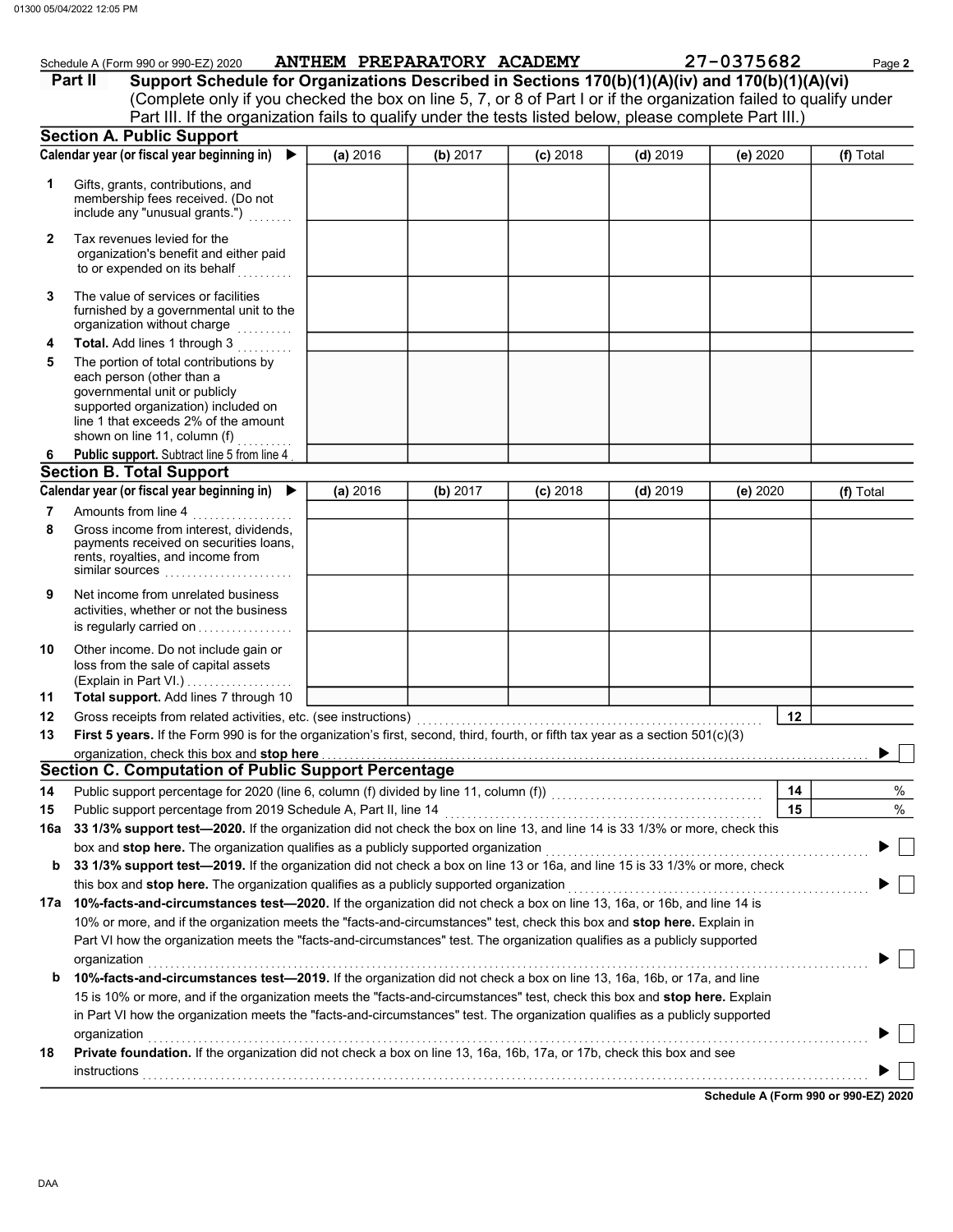|          | Schedule A (Form 990 or 990-EZ) 2020                                                                                                                                                                                                                                                                                                                                                          |          |          | ANTHEM PREPARATORY ACADEMY |            | 27-0375682 | Page 2    |
|----------|-----------------------------------------------------------------------------------------------------------------------------------------------------------------------------------------------------------------------------------------------------------------------------------------------------------------------------------------------------------------------------------------------|----------|----------|----------------------------|------------|------------|-----------|
|          | Support Schedule for Organizations Described in Sections 170(b)(1)(A)(iv) and 170(b)(1)(A)(vi)<br>Part II                                                                                                                                                                                                                                                                                     |          |          |                            |            |            |           |
|          | (Complete only if you checked the box on line 5, 7, or 8 of Part I or if the organization failed to qualify under                                                                                                                                                                                                                                                                             |          |          |                            |            |            |           |
|          | Part III. If the organization fails to qualify under the tests listed below, please complete Part III.)                                                                                                                                                                                                                                                                                       |          |          |                            |            |            |           |
|          | <b>Section A. Public Support</b>                                                                                                                                                                                                                                                                                                                                                              |          |          |                            |            |            |           |
|          | Calendar year (or fiscal year beginning in) $\blacktriangleright$                                                                                                                                                                                                                                                                                                                             | (a) 2016 | (b) 2017 | $(c)$ 2018                 | $(d)$ 2019 | (e) 2020   | (f) Total |
| 1        | Gifts, grants, contributions, and<br>membership fees received. (Do not<br>include any "unusual grants.")                                                                                                                                                                                                                                                                                      |          |          |                            |            |            |           |
| 2        | Tax revenues levied for the<br>organization's benefit and either paid<br>to or expended on its behalf                                                                                                                                                                                                                                                                                         |          |          |                            |            |            |           |
| 3        | The value of services or facilities<br>furnished by a governmental unit to the<br>organization without charge                                                                                                                                                                                                                                                                                 |          |          |                            |            |            |           |
| 4        | Total. Add lines 1 through 3                                                                                                                                                                                                                                                                                                                                                                  |          |          |                            |            |            |           |
| 5        | The portion of total contributions by<br>each person (other than a<br>governmental unit or publicly<br>supported organization) included on<br>line 1 that exceeds 2% of the amount<br>shown on line 11, column (f) $\ldots$                                                                                                                                                                   |          |          |                            |            |            |           |
| 6.       | Public support. Subtract line 5 from line 4                                                                                                                                                                                                                                                                                                                                                   |          |          |                            |            |            |           |
|          | <b>Section B. Total Support</b>                                                                                                                                                                                                                                                                                                                                                               |          |          |                            |            |            |           |
|          | Calendar year (or fiscal year beginning in)                                                                                                                                                                                                                                                                                                                                                   | (a) 2016 | (b) 2017 | $(c)$ 2018                 | $(d)$ 2019 | (e) 2020   | (f) Total |
| 7<br>8   | Amounts from line 4<br>Gross income from interest, dividends,<br>payments received on securities loans,<br>rents, royalties, and income from<br>similar sources                                                                                                                                                                                                                               |          |          |                            |            |            |           |
| 9        | Net income from unrelated business<br>activities, whether or not the business<br>is regularly carried on                                                                                                                                                                                                                                                                                      |          |          |                            |            |            |           |
| 10       | Other income. Do not include gain or<br>loss from the sale of capital assets<br>(Explain in Part VI.)<br>Total support. Add lines 7 through 10                                                                                                                                                                                                                                                |          |          |                            |            |            |           |
| 11<br>12 |                                                                                                                                                                                                                                                                                                                                                                                               |          |          |                            |            | 12         |           |
| 13       | First 5 years. If the Form 990 is for the organization's first, second, third, fourth, or fifth tax year as a section 501(c)(3)                                                                                                                                                                                                                                                               |          |          |                            |            |            |           |
|          | organization, check this box and stop here                                                                                                                                                                                                                                                                                                                                                    |          |          |                            |            |            | ▶         |
|          | <b>Section C. Computation of Public Support Percentage</b>                                                                                                                                                                                                                                                                                                                                    |          |          |                            |            |            |           |
| 14       |                                                                                                                                                                                                                                                                                                                                                                                               |          |          |                            |            | 14         | %         |
| 15       |                                                                                                                                                                                                                                                                                                                                                                                               |          |          |                            |            | 15         | %         |
| 16a      | 33 1/3% support test-2020. If the organization did not check the box on line 13, and line 14 is 33 1/3% or more, check this                                                                                                                                                                                                                                                                   |          |          |                            |            |            |           |
|          | box and stop here. The organization qualifies as a publicly supported organization                                                                                                                                                                                                                                                                                                            |          |          |                            |            |            |           |
| b        | 33 1/3% support test-2019. If the organization did not check a box on line 13 or 16a, and line 15 is 33 1/3% or more, check                                                                                                                                                                                                                                                                   |          |          |                            |            |            |           |
|          | this box and stop here. The organization qualifies as a publicly supported organization                                                                                                                                                                                                                                                                                                       |          |          |                            |            |            |           |
|          | 17a 10%-facts-and-circumstances test-2020. If the organization did not check a box on line 13, 16a, or 16b, and line 14 is                                                                                                                                                                                                                                                                    |          |          |                            |            |            |           |
| b        | 10% or more, and if the organization meets the "facts-and-circumstances" test, check this box and stop here. Explain in<br>Part VI how the organization meets the "facts-and-circumstances" test. The organization qualifies as a publicly supported<br>organization<br>10%-facts-and-circumstances test-2019. If the organization did not check a box on line 13, 16a, 16b, or 17a, and line |          |          |                            |            |            |           |
|          | 15 is 10% or more, and if the organization meets the "facts-and-circumstances" test, check this box and stop here. Explain                                                                                                                                                                                                                                                                    |          |          |                            |            |            |           |
|          | in Part VI how the organization meets the "facts-and-circumstances" test. The organization qualifies as a publicly supported                                                                                                                                                                                                                                                                  |          |          |                            |            |            |           |
|          | organization                                                                                                                                                                                                                                                                                                                                                                                  |          |          |                            |            |            |           |
| 18       | Private foundation. If the organization did not check a box on line 13, 16a, 16b, 17a, or 17b, check this box and see                                                                                                                                                                                                                                                                         |          |          |                            |            |            |           |

Schedule A (Form 990 or 990-EZ) 2020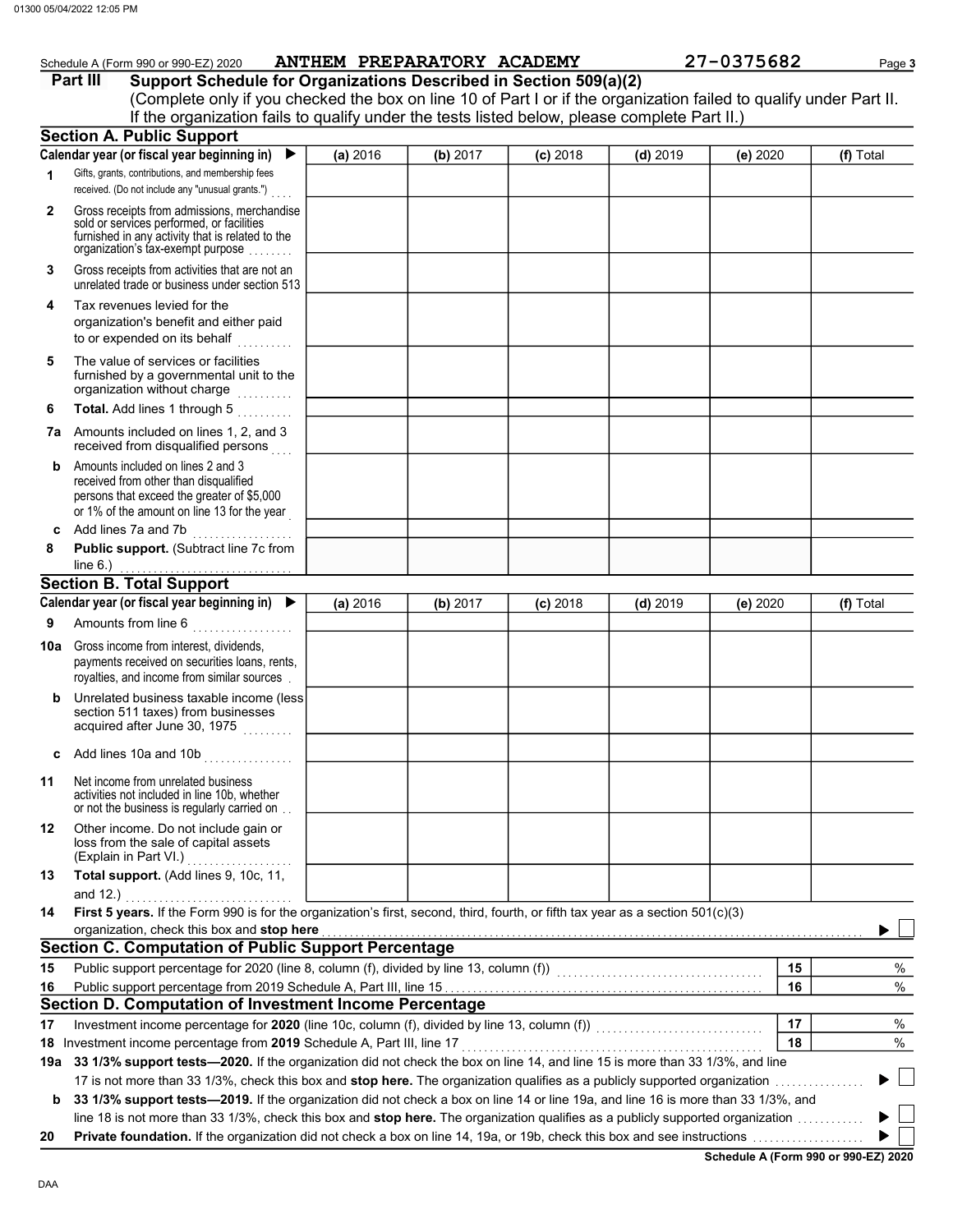|              | Schedule A (Form 990 or 990-EZ) 2020                                                                                                                                                         |          | ANTHEM PREPARATORY ACADEMY |            |            | 27-0375682 |    | Page 3    |
|--------------|----------------------------------------------------------------------------------------------------------------------------------------------------------------------------------------------|----------|----------------------------|------------|------------|------------|----|-----------|
|              | Support Schedule for Organizations Described in Section 509(a)(2)<br>Part III                                                                                                                |          |                            |            |            |            |    |           |
|              | (Complete only if you checked the box on line 10 of Part I or if the organization failed to qualify under Part II.                                                                           |          |                            |            |            |            |    |           |
|              | If the organization fails to qualify under the tests listed below, please complete Part II.)                                                                                                 |          |                            |            |            |            |    |           |
|              | <b>Section A. Public Support</b>                                                                                                                                                             |          |                            |            |            |            |    |           |
|              | Calendar year (or fiscal year beginning in) $\blacktriangleright$                                                                                                                            | (a) 2016 | (b) 2017                   | $(c)$ 2018 | $(d)$ 2019 | (e) 2020   |    | (f) Total |
| 1            | Gifts, grants, contributions, and membership fees<br>received. (Do not include any "unusual grants.")                                                                                        |          |                            |            |            |            |    |           |
| $\mathbf{2}$ | Gross receipts from admissions, merchandise<br>sold or services performed, or facilities<br>furnished in any activity that is related to the<br>organization's tax-exempt purpose            |          |                            |            |            |            |    |           |
| 3            | Gross receipts from activities that are not an<br>unrelated trade or business under section 513                                                                                              |          |                            |            |            |            |    |           |
| 4            | Tax revenues levied for the<br>organization's benefit and either paid<br>to or expended on its behalf                                                                                        |          |                            |            |            |            |    |           |
| 5            | The value of services or facilities<br>furnished by a governmental unit to the<br>organization without charge                                                                                |          |                            |            |            |            |    |           |
| 6            | Total. Add lines 1 through 5                                                                                                                                                                 |          |                            |            |            |            |    |           |
|              | 7a Amounts included on lines 1, 2, and 3<br>received from disqualified persons                                                                                                               |          |                            |            |            |            |    |           |
| b            | Amounts included on lines 2 and 3<br>received from other than disqualified<br>persons that exceed the greater of \$5,000<br>or 1% of the amount on line 13 for the year                      |          |                            |            |            |            |    |           |
| C            | Add lines 7a and 7b<br>.                                                                                                                                                                     |          |                            |            |            |            |    |           |
| 8            | Public support. (Subtract line 7c from<br>line $6.$ )                                                                                                                                        |          |                            |            |            |            |    |           |
|              | <b>Section B. Total Support</b>                                                                                                                                                              |          |                            |            |            |            |    |           |
|              | Calendar year (or fiscal year beginning in)                                                                                                                                                  | (a) 2016 | (b) 2017                   | $(c)$ 2018 | $(d)$ 2019 | (e) 2020   |    | (f) Total |
| 9            | Amounts from line 6                                                                                                                                                                          |          |                            |            |            |            |    |           |
|              | <b>10a</b> Gross income from interest, dividends,<br>payments received on securities loans, rents,<br>royalties, and income from similar sources.                                            |          |                            |            |            |            |    |           |
| b            | Unrelated business taxable income (less<br>section 511 taxes) from businesses<br>acquired after June 30, 1975                                                                                |          |                            |            |            |            |    |           |
| c            | Add lines 10a and 10b                                                                                                                                                                        |          |                            |            |            |            |    |           |
| 11           | Net income from unrelated business<br>activities not included in line 10b, whether<br>or not the business is regularly carried on                                                            |          |                            |            |            |            |    |           |
| 12           | Other income. Do not include gain or<br>loss from the sale of capital assets<br>(Explain in Part VI.)<br>.                                                                                   |          |                            |            |            |            |    |           |
| 13           | Total support. (Add lines 9, 10c, 11,<br>and 12.)                                                                                                                                            |          |                            |            |            |            |    |           |
| 14           | First 5 years. If the Form 990 is for the organization's first, second, third, fourth, or fifth tax year as a section 501(c)(3)                                                              |          |                            |            |            |            |    |           |
|              | organization, check this box and stop here                                                                                                                                                   |          |                            |            |            |            |    |           |
|              | <b>Section C. Computation of Public Support Percentage</b>                                                                                                                                   |          |                            |            |            |            |    |           |
| 15           | Public support percentage for 2020 (line 8, column (f), divided by line 13, column (f))<br>matrix (f)                                                                                        |          |                            |            |            |            | 15 | %         |
| 16           |                                                                                                                                                                                              |          |                            |            |            |            | 16 | $\%$      |
|              | Section D. Computation of Investment Income Percentage                                                                                                                                       |          |                            |            |            |            |    |           |
| 17           | Investment income percentage for 2020 (line 10c, column (f), divided by line 13, column (f))<br>Investment income percentage for 2020 (line 10c, column (f), divided by line 13, column (f)) |          |                            |            |            |            | 17 | %         |
|              | 18 Investment income percentage from 2019 Schedule A, Part III, line 17                                                                                                                      |          |                            |            |            |            | 18 | %         |
| 19а          | 33 1/3% support tests-2020. If the organization did not check the box on line 14, and line 15 is more than 33 1/3%, and line                                                                 |          |                            |            |            |            |    |           |
|              | b 33 1/3% support tests-2019. If the organization did not check a box on line 14 or line 19a, and line 16 is more than 33 1/3%, and                                                          |          |                            |            |            |            |    |           |

line 18 is not more than 33 1/3%, check this box and stop here. The organization qualifies as a publicly supported organization ............

20 Private foundation. If the organization did not check a box on line 14, 19a, or 19b, check this box and see instructions . . . . . . . . . . . . . . . . . . . .

Schedule A (Form 990 or 990-EZ) 2020

 $\blacktriangleright$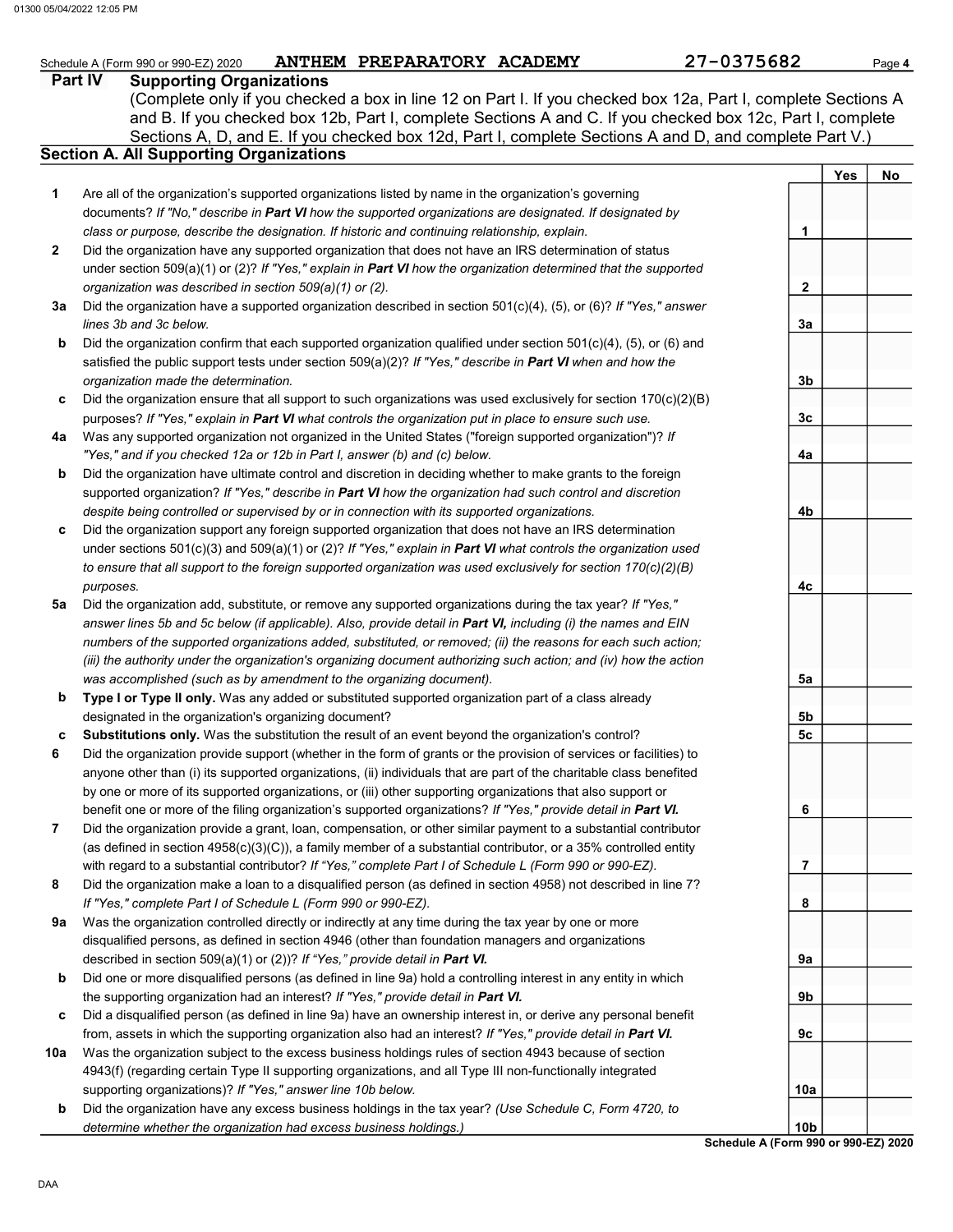|     | ANTHEM PREPARATORY ACADEMY<br>Schedule A (Form 990 or 990-EZ) 2020                                                  | 27-0375682      |     | Page 4 |
|-----|---------------------------------------------------------------------------------------------------------------------|-----------------|-----|--------|
|     | <b>Supporting Organizations</b><br><b>Part IV</b>                                                                   |                 |     |        |
|     | (Complete only if you checked a box in line 12 on Part I. If you checked box 12a, Part I, complete Sections A       |                 |     |        |
|     | and B. If you checked box 12b, Part I, complete Sections A and C. If you checked box 12c, Part I, complete          |                 |     |        |
|     | Sections A, D, and E. If you checked box 12d, Part I, complete Sections A and D, and complete Part V.)              |                 |     |        |
|     | <b>Section A. All Supporting Organizations</b>                                                                      |                 |     |        |
|     |                                                                                                                     |                 | Yes | No     |
| 1   | Are all of the organization's supported organizations listed by name in the organization's governing                |                 |     |        |
|     | documents? If "No," describe in Part VI how the supported organizations are designated. If designated by            |                 |     |        |
|     | class or purpose, describe the designation. If historic and continuing relationship, explain.                       | 1               |     |        |
| 2   | Did the organization have any supported organization that does not have an IRS determination of status              |                 |     |        |
|     | under section 509(a)(1) or (2)? If "Yes," explain in Part VI how the organization determined that the supported     |                 |     |        |
|     | organization was described in section 509(a)(1) or (2).                                                             | 2               |     |        |
| За  | Did the organization have a supported organization described in section 501(c)(4), (5), or (6)? If "Yes," answer    |                 |     |        |
|     | lines 3b and 3c below.                                                                                              | 3a              |     |        |
| b   | Did the organization confirm that each supported organization qualified under section $501(c)(4)$ , (5), or (6) and |                 |     |        |
|     | satisfied the public support tests under section 509(a)(2)? If "Yes," describe in Part VI when and how the          |                 |     |        |
|     | organization made the determination.                                                                                | 3b              |     |        |
|     |                                                                                                                     |                 |     |        |
| c   | Did the organization ensure that all support to such organizations was used exclusively for section $170(c)(2)(B)$  |                 |     |        |
|     | purposes? If "Yes," explain in Part VI what controls the organization put in place to ensure such use.              | 3c              |     |        |
| 4a  | Was any supported organization not organized in the United States ("foreign supported organization")? If            |                 |     |        |
|     | "Yes," and if you checked 12a or 12b in Part I, answer (b) and (c) below.                                           | 4a              |     |        |
| b   | Did the organization have ultimate control and discretion in deciding whether to make grants to the foreign         |                 |     |        |
|     | supported organization? If "Yes," describe in Part VI how the organization had such control and discretion          |                 |     |        |
|     | despite being controlled or supervised by or in connection with its supported organizations.                        | 4b              |     |        |
| c   | Did the organization support any foreign supported organization that does not have an IRS determination             |                 |     |        |
|     | under sections $501(c)(3)$ and $509(a)(1)$ or (2)? If "Yes," explain in Part VI what controls the organization used |                 |     |        |
|     | to ensure that all support to the foreign supported organization was used exclusively for section 170(c)(2)(B)      |                 |     |        |
|     | purposes.                                                                                                           | 4с              |     |        |
| 5a  | Did the organization add, substitute, or remove any supported organizations during the tax year? If "Yes,"          |                 |     |        |
|     | answer lines 5b and 5c below (if applicable). Also, provide detail in Part VI, including (i) the names and EIN      |                 |     |        |
|     | numbers of the supported organizations added, substituted, or removed; (ii) the reasons for each such action;       |                 |     |        |
|     | (iii) the authority under the organization's organizing document authorizing such action; and (iv) how the action   |                 |     |        |
|     | was accomplished (such as by amendment to the organizing document).                                                 | 5a              |     |        |
| b   | Type I or Type II only. Was any added or substituted supported organization part of a class already                 |                 |     |        |
|     | designated in the organization's organizing document?                                                               | 5b              |     |        |
| c   | Substitutions only. Was the substitution the result of an event beyond the organization's control?                  | 5c              |     |        |
| 6   | Did the organization provide support (whether in the form of grants or the provision of services or facilities) to  |                 |     |        |
|     | anyone other than (i) its supported organizations, (ii) individuals that are part of the charitable class benefited |                 |     |        |
|     | by one or more of its supported organizations, or (iii) other supporting organizations that also support or         |                 |     |        |
|     | benefit one or more of the filing organization's supported organizations? If "Yes," provide detail in Part VI.      | 6               |     |        |
| 7   | Did the organization provide a grant, loan, compensation, or other similar payment to a substantial contributor     |                 |     |        |
|     | (as defined in section 4958(c)(3)(C)), a family member of a substantial contributor, or a 35% controlled entity     |                 |     |        |
|     | with regard to a substantial contributor? If "Yes," complete Part I of Schedule L (Form 990 or 990-EZ).             | 7               |     |        |
| 8   | Did the organization make a loan to a disqualified person (as defined in section 4958) not described in line 7?     |                 |     |        |
|     | If "Yes," complete Part I of Schedule L (Form 990 or 990-EZ).                                                       | 8               |     |        |
| 9а  | Was the organization controlled directly or indirectly at any time during the tax year by one or more               |                 |     |        |
|     | disqualified persons, as defined in section 4946 (other than foundation managers and organizations                  |                 |     |        |
|     | described in section 509(a)(1) or (2))? If "Yes," provide detail in Part VI.                                        | 9а              |     |        |
| b   | Did one or more disqualified persons (as defined in line 9a) hold a controlling interest in any entity in which     |                 |     |        |
|     | the supporting organization had an interest? If "Yes," provide detail in Part VI.                                   | 9b              |     |        |
| c   | Did a disqualified person (as defined in line 9a) have an ownership interest in, or derive any personal benefit     |                 |     |        |
|     | from, assets in which the supporting organization also had an interest? If "Yes," provide detail in Part VI.        | 9c              |     |        |
| 10a | Was the organization subject to the excess business holdings rules of section 4943 because of section               |                 |     |        |
|     | 4943(f) (regarding certain Type II supporting organizations, and all Type III non-functionally integrated           |                 |     |        |
|     | supporting organizations)? If "Yes," answer line 10b below.                                                         | 10a             |     |        |
| b   | Did the organization have any excess business holdings in the tax year? (Use Schedule C, Form 4720, to              |                 |     |        |
|     | determine whether the organization had excess business holdings.)                                                   | 10 <sub>b</sub> |     |        |

Schedule A (Form 990 or 990-EZ) 2020 10b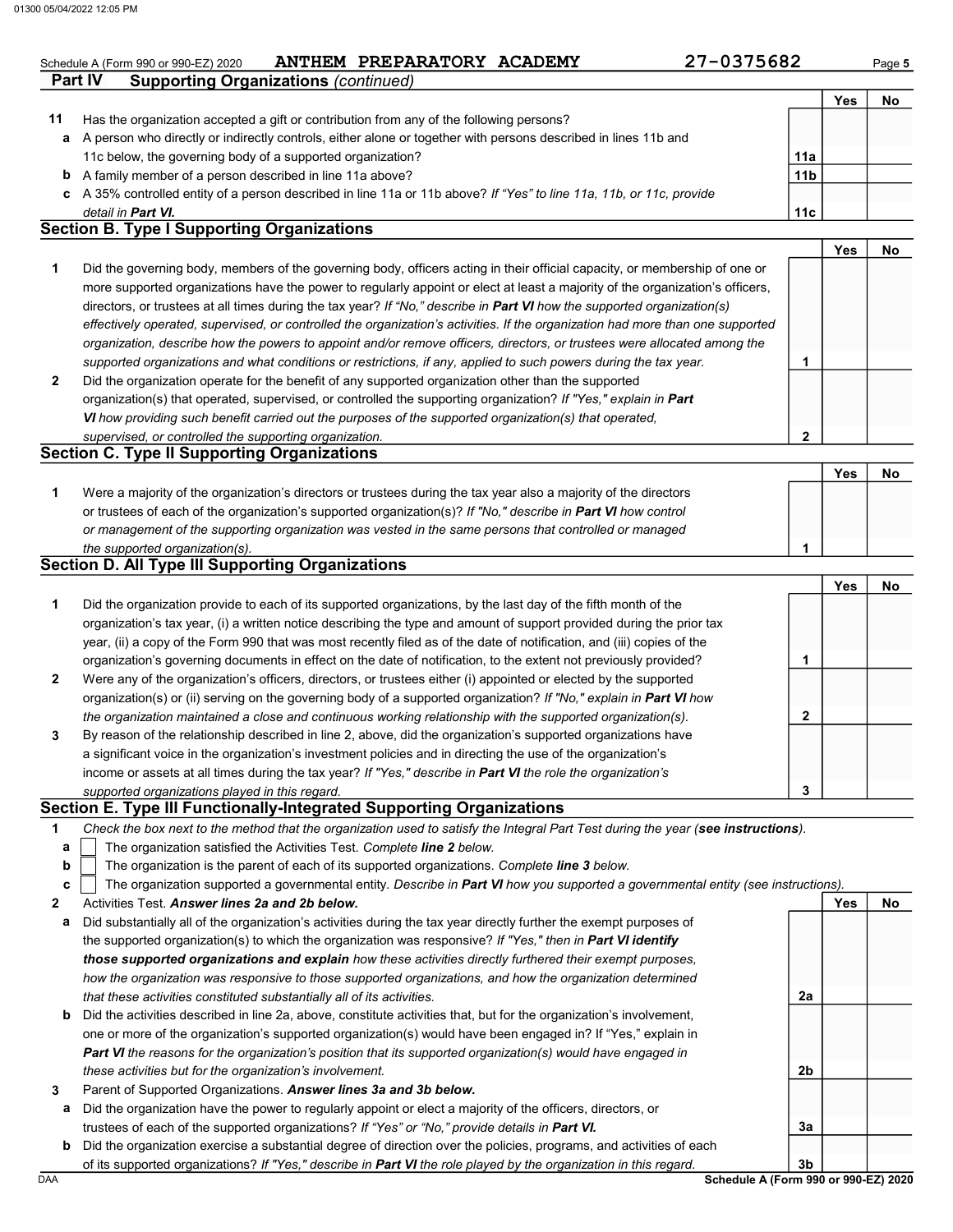# Schedule A (Form 990 or 990-EZ) 2020 ANTHEM PREPARATORY ACADEMY  $27-0375682$  Page 5

| 27-0375682 |  |  |  |
|------------|--|--|--|
|------------|--|--|--|

 $\sqrt{Y_{\text{PS}}}$  No

|    |                                                                                                                      |                 | Yes | No |
|----|----------------------------------------------------------------------------------------------------------------------|-----------------|-----|----|
| 11 | Has the organization accepted a gift or contribution from any of the following persons?                              |                 |     |    |
|    | a A person who directly or indirectly controls, either alone or together with persons described in lines 11b and     |                 |     |    |
|    | 11c below, the governing body of a supported organization?                                                           | 11a             |     |    |
|    | <b>b</b> A family member of a person described in line 11a above?                                                    | 11 <sub>b</sub> |     |    |
|    | c A 35% controlled entity of a person described in line 11a or 11b above? If "Yes" to line 11a, 11b, or 11c, provide |                 |     |    |
|    | detail in <b>Part VI.</b>                                                                                            | 11c             |     |    |
|    | <b>Cootian D. Tuna I Cunnorting Organizations</b>                                                                    |                 |     |    |

### Section B. Type I Supporting Organizations

**Part IV Supporting Organizations (continued)** 

| 1              | Did the governing body, members of the governing body, officers acting in their official capacity, or membership of one or     |   |  |
|----------------|--------------------------------------------------------------------------------------------------------------------------------|---|--|
|                | more supported organizations have the power to regularly appoint or elect at least a majority of the organization's officers,  |   |  |
|                | directors, or trustees at all times during the tax year? If "No," describe in <b>Part VI</b> how the supported organization(s) |   |  |
|                | effectively operated, supervised, or controlled the organization's activities. If the organization had more than one supported |   |  |
|                | organization, describe how the powers to appoint and/or remove officers, directors, or trustees were allocated among the       |   |  |
|                | supported organizations and what conditions or restrictions, if any, applied to such powers during the tax year.               |   |  |
| $\overline{2}$ | Did the organization operate for the benefit of any supported organization other than the supported                            |   |  |
|                | organization(s) that operated, supervised, or controlled the supporting organization? If "Yes," explain in Part                |   |  |
|                | VI how providing such benefit carried out the purposes of the supported organization(s) that operated,                         |   |  |
|                | supervised, or controlled the supporting organization.                                                                         | ◠ |  |

### supervised, or controlled the supporting organization. Section C. Type II Supporting Organizations

|                                                                                                                  |  | No |
|------------------------------------------------------------------------------------------------------------------|--|----|
| Were a majority of the organization's directors or trustees during the tax year also a majority of the directors |  |    |
| or trustees of each of the organization's supported organization(s)? If "No," describe in Part VI how control    |  |    |
| or management of the supporting organization was vested in the same persons that controlled or managed           |  |    |
| the supported organization(s).                                                                                   |  |    |

### Section D. All Type III Supporting Organizations

|                |                                                                                                                        |   | Yes | No |
|----------------|------------------------------------------------------------------------------------------------------------------------|---|-----|----|
| 1              | Did the organization provide to each of its supported organizations, by the last day of the fifth month of the         |   |     |    |
|                | organization's tax year, (i) a written notice describing the type and amount of support provided during the prior tax  |   |     |    |
|                | year, (ii) a copy of the Form 990 that was most recently filed as of the date of notification, and (iii) copies of the |   |     |    |
|                | organization's governing documents in effect on the date of notification, to the extent not previously provided?       |   |     |    |
| $\overline{2}$ | Were any of the organization's officers, directors, or trustees either (i) appointed or elected by the supported       |   |     |    |
|                | organization(s) or (ii) serving on the governing body of a supported organization? If "No," explain in Part VI how     |   |     |    |
|                | the organization maintained a close and continuous working relationship with the supported organization(s).            | 2 |     |    |
| $\mathbf{3}$   | By reason of the relationship described in line 2, above, did the organization's supported organizations have          |   |     |    |
|                | a significant voice in the organization's investment policies and in directing the use of the organization's           |   |     |    |
|                | income or assets at all times during the tax year? If "Yes," describe in Part VI the role the organization's           |   |     |    |
|                | supported organizations played in this regard.                                                                         | 3 |     |    |

### Section E. Type III Functionally-Integrated Supporting Organizations

| Check the box next to the method that the organization used to satisfy the Integral Part Test during the year (see instructions). |  |
|-----------------------------------------------------------------------------------------------------------------------------------|--|
|-----------------------------------------------------------------------------------------------------------------------------------|--|

- The organization satisfied the Activities Test. Complete line 2 below. a
- The organization is the parent of each of its supported organizations. Complete line 3 below. b

|  |  | ∠   The organization supported a governmental entity. Describe in Part VI how you supported a governmental entity (see instructions) |  |  |  |  |  |
|--|--|--------------------------------------------------------------------------------------------------------------------------------------|--|--|--|--|--|
|--|--|--------------------------------------------------------------------------------------------------------------------------------------|--|--|--|--|--|

- 2 Activities Test. Answer lines 2a and 2b below.
- a Did substantially all of the organization's activities during the tax year directly further the exempt purposes of the supported organization(s) to which the organization was responsive? If "Yes," then in Part VI identify those supported organizations and explain how these activities directly furthered their exempt purposes, how the organization was responsive to those supported organizations, and how the organization determined that these activities constituted substantially all of its activities.
- b Did the activities described in line 2a, above, constitute activities that, but for the organization's involvement, one or more of the organization's supported organization(s) would have been engaged in? If "Yes," explain in Part VI the reasons for the organization's position that its supported organization(s) would have engaged in these activities but for the organization's involvement.
- 3 Parent of Supported Organizations. Answer lines 3a and 3b below.
	- a Did the organization have the power to regularly appoint or elect a majority of the officers, directors, or trustees of each of the supported organizations? If "Yes" or "No," provide details in Part VI.
	- b Did the organization exercise a substantial degree of direction over the policies, programs, and activities of each of its supported organizations? If "Yes," describe in Part VI the role played by the organization in this regard.

2a

2b

3a

Yes No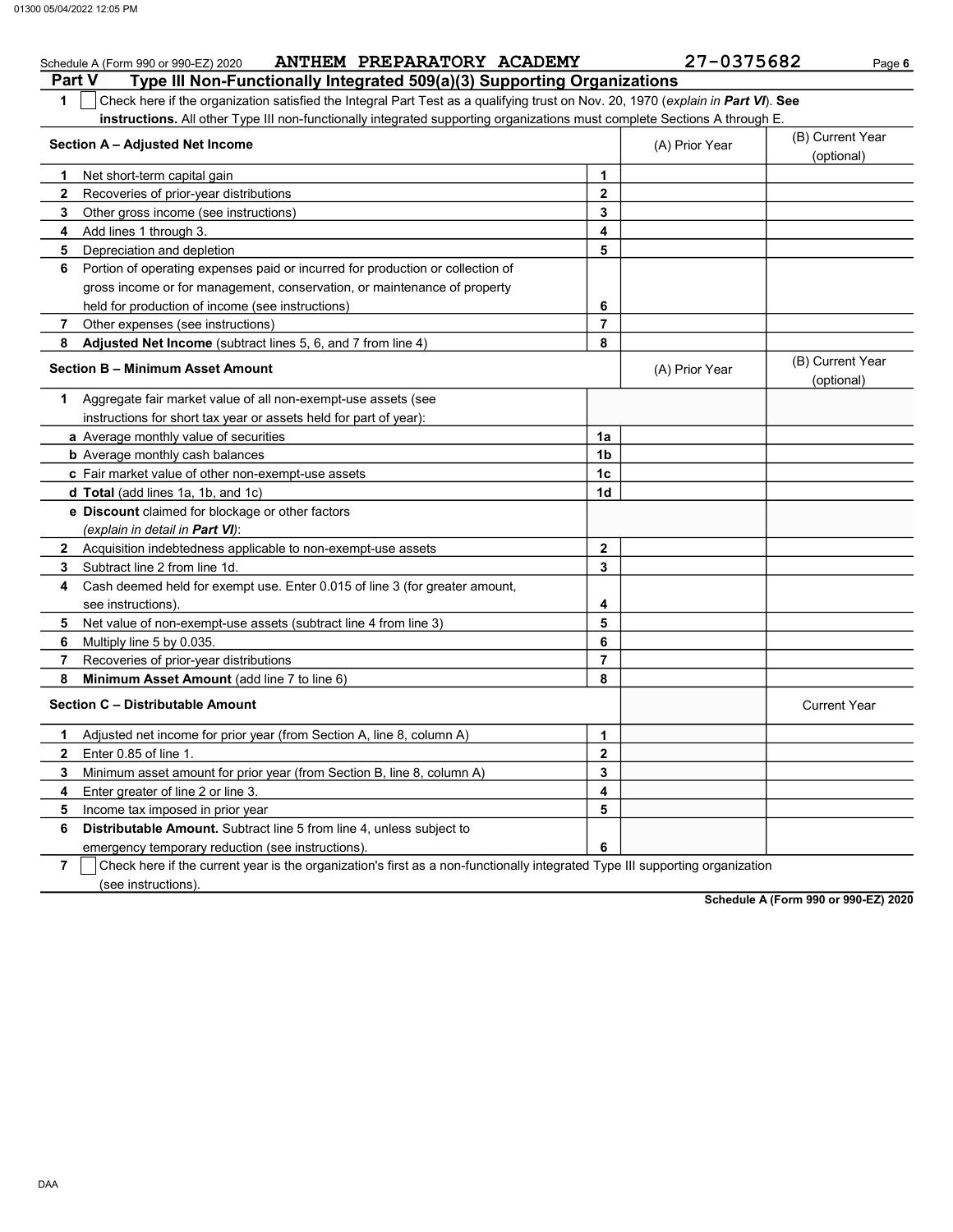|                | ANTHEM PREPARATORY ACADEMY<br>Schedule A (Form 990 or 990-EZ) 2020                                                               |                | 27-0375682     | Page 6                         |
|----------------|----------------------------------------------------------------------------------------------------------------------------------|----------------|----------------|--------------------------------|
| <b>Part V</b>  | Type III Non-Functionally Integrated 509(a)(3) Supporting Organizations                                                          |                |                |                                |
| 1              | Check here if the organization satisfied the Integral Part Test as a qualifying trust on Nov. 20, 1970 (explain in Part VI). See |                |                |                                |
|                | instructions. All other Type III non-functionally integrated supporting organizations must complete Sections A through E.        |                |                |                                |
|                | Section A - Adjusted Net Income                                                                                                  |                | (A) Prior Year | (B) Current Year               |
|                |                                                                                                                                  |                |                | (optional)                     |
| 1              | Net short-term capital gain                                                                                                      | 1              |                |                                |
| $\mathbf{2}$   | Recoveries of prior-year distributions                                                                                           | $\mathbf{2}$   |                |                                |
| 3              | Other gross income (see instructions)                                                                                            | 3              |                |                                |
| 4              | Add lines 1 through 3.                                                                                                           | 4              |                |                                |
| 5              | Depreciation and depletion                                                                                                       | 5              |                |                                |
| 6              | Portion of operating expenses paid or incurred for production or collection of                                                   |                |                |                                |
|                | gross income or for management, conservation, or maintenance of property                                                         |                |                |                                |
|                | held for production of income (see instructions)                                                                                 | 6              |                |                                |
| 7              | Other expenses (see instructions)                                                                                                | 7              |                |                                |
| 8              | Adjusted Net Income (subtract lines 5, 6, and 7 from line 4)                                                                     | 8              |                |                                |
|                | <b>Section B - Minimum Asset Amount</b>                                                                                          |                | (A) Prior Year | (B) Current Year<br>(optional) |
| 1.             | Aggregate fair market value of all non-exempt-use assets (see                                                                    |                |                |                                |
|                | instructions for short tax year or assets held for part of year):                                                                |                |                |                                |
|                | a Average monthly value of securities                                                                                            | 1a             |                |                                |
|                | <b>b</b> Average monthly cash balances                                                                                           | 1 <sub>b</sub> |                |                                |
|                | c Fair market value of other non-exempt-use assets                                                                               | 1 <sub>c</sub> |                |                                |
|                | d Total (add lines 1a, 1b, and 1c)                                                                                               | 1d             |                |                                |
|                | e Discount claimed for blockage or other factors                                                                                 |                |                |                                |
|                | (explain in detail in Part VI):                                                                                                  |                |                |                                |
| $\mathbf{2}$   | Acquisition indebtedness applicable to non-exempt-use assets                                                                     | $\mathbf{2}$   |                |                                |
| 3              | Subtract line 2 from line 1d.                                                                                                    | 3              |                |                                |
| 4              | Cash deemed held for exempt use. Enter 0.015 of line 3 (for greater amount,                                                      |                |                |                                |
|                | see instructions).                                                                                                               | 4              |                |                                |
| 5              | Net value of non-exempt-use assets (subtract line 4 from line 3)                                                                 | 5              |                |                                |
| 6              | Multiply line 5 by 0.035.                                                                                                        | 6              |                |                                |
| 7              | Recoveries of prior-year distributions                                                                                           | 7              |                |                                |
| 8              | Minimum Asset Amount (add line 7 to line 6)                                                                                      | 8              |                |                                |
|                | Section C - Distributable Amount                                                                                                 |                |                | <b>Current Year</b>            |
| 1.             | Adjusted net income for prior year (from Section A, line 8, column A)                                                            | 1              |                |                                |
| 2              | Enter 0.85 of line 1.                                                                                                            | 2              |                |                                |
| 3              | Minimum asset amount for prior year (from Section B, line 8, column A)                                                           | 3              |                |                                |
| 4              | Enter greater of line 2 or line 3.                                                                                               | 4              |                |                                |
| 5              | Income tax imposed in prior year                                                                                                 | 5              |                |                                |
| 6              | Distributable Amount. Subtract line 5 from line 4, unless subject to                                                             |                |                |                                |
|                | emergency temporary reduction (see instructions)                                                                                 | 6              |                |                                |
| $\overline{7}$ | Check here if the current year is the organization's first as a non-functionally integrated Type III supporting organization     |                |                |                                |

 $\overline{\phantom{a}}$  (see instructions).

Schedule A (Form 990 or 990-EZ) 2020

DAA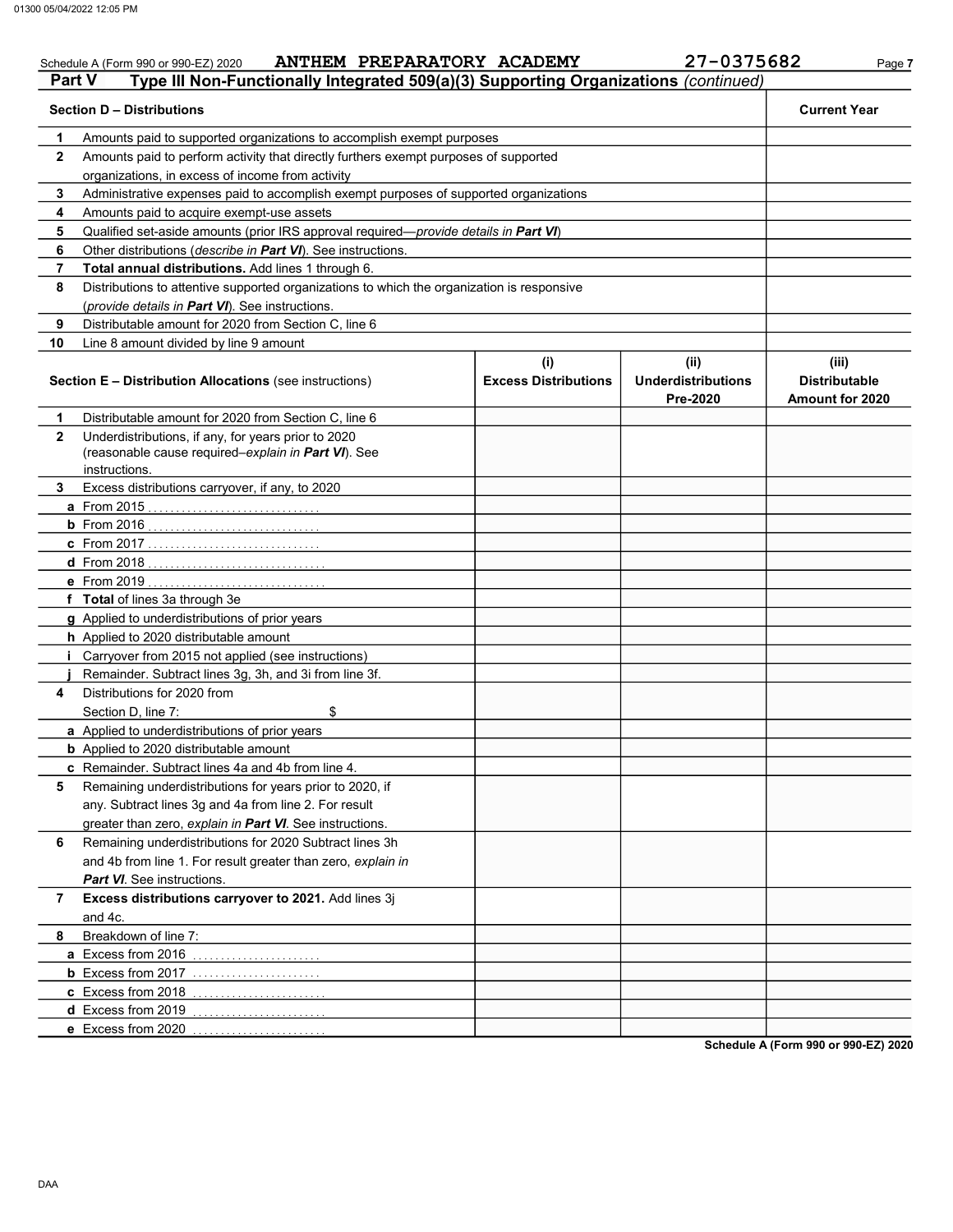### Schedule A (Form 990 or 990-EZ) 2020 ANTHEM PREPARATORY ACADEMY 27-0375682 Page 7 Part V Type III Non-Functionally Integrated 509(a)(3) Supporting Organizations (continued) Section D – Distributions Current Year 1 2 3 4 5 6 7 8 9 10 Amounts paid to supported organizations to accomplish exempt purposes Amounts paid to perform activity that directly furthers exempt purposes of supported organizations, in excess of income from activity Administrative expenses paid to accomplish exempt purposes of supported organizations Amounts paid to acquire exempt-use assets Qualified set-aside amounts (prior IRS approval required—provide details in Part VI) Other distributions (describe in Part VI). See instructions. Total annual distributions. Add lines 1 through 6. Distributions to attentive supported organizations to which the organization is responsive (provide details in Part VI). See instructions. Distributable amount for 2020 from Section C, line 6 Line 8 amount divided by line 9 amount Section E – Distribution Allocations (see instructions) Excess Distributions (i) (ii) Underdistributions Pre-2020 (iii) Distributable Amount for 2020 7 6 Remaining underdistributions for 2020 Subtract lines 3h 5 4 3 2 1 a From 2015 . . . . . . . . . . . . . . . . . . . . . . . . . . . . . . . b From 2016 . . . . . . . . . . . . . . . . . . . . . . . . . . . . . . . c From 2017 . . . . . . . . . . . . . . . . . . . . . . . . . . . . . . . d From 2018 . . . . . . . . . . . . . . . . . . . . . . . . . . . . . . . . e From 2019 . . . . . . . . . . . . . . . . . . . . . . . . . . . . . . . . f Total of lines 3a through 3e g Applied to underdistributions of prior years h Applied to 2020 distributable amount i Carryover from 2015 not applied (see instructions) j Remainder. Subtract lines 3g, 3h, and 3i from line 3f. a Applied to underdistributions of prior years **b** Applied to 2020 distributable amount c Remainder. Subtract lines 4a and 4b from line 4. Distributable amount for 2020 from Section C, line 6 Underdistributions, if any, for years prior to 2020 (reasonable cause required–explain in Part VI). See Excess distributions carryover, if any, to 2020 Distributions for 2020 from Section D, line 7: \$ Remaining underdistributions for years prior to 2020, if any. Subtract lines 3g and 4a from line 2. For result greater than zero, explain in Part VI. See instructions. and 4b from line 1. For result greater than zero, explain in Part VI. See instructions. Excess distributions carryover to 2021. Add lines 3j instructions.

a Excess from 2016 ........................ **b** Excess from 2017 ........................ c Excess from 2018 . . . . . . . . . . . . . . . . . . . . . . . . d Excess from 2019 ......................... e Excess from 2020 . . . . . . . . . . . . . . . . . . . . . . . .

Schedule A (Form 990 or 990-EZ) 2020

8

and 4c.

Breakdown of line 7: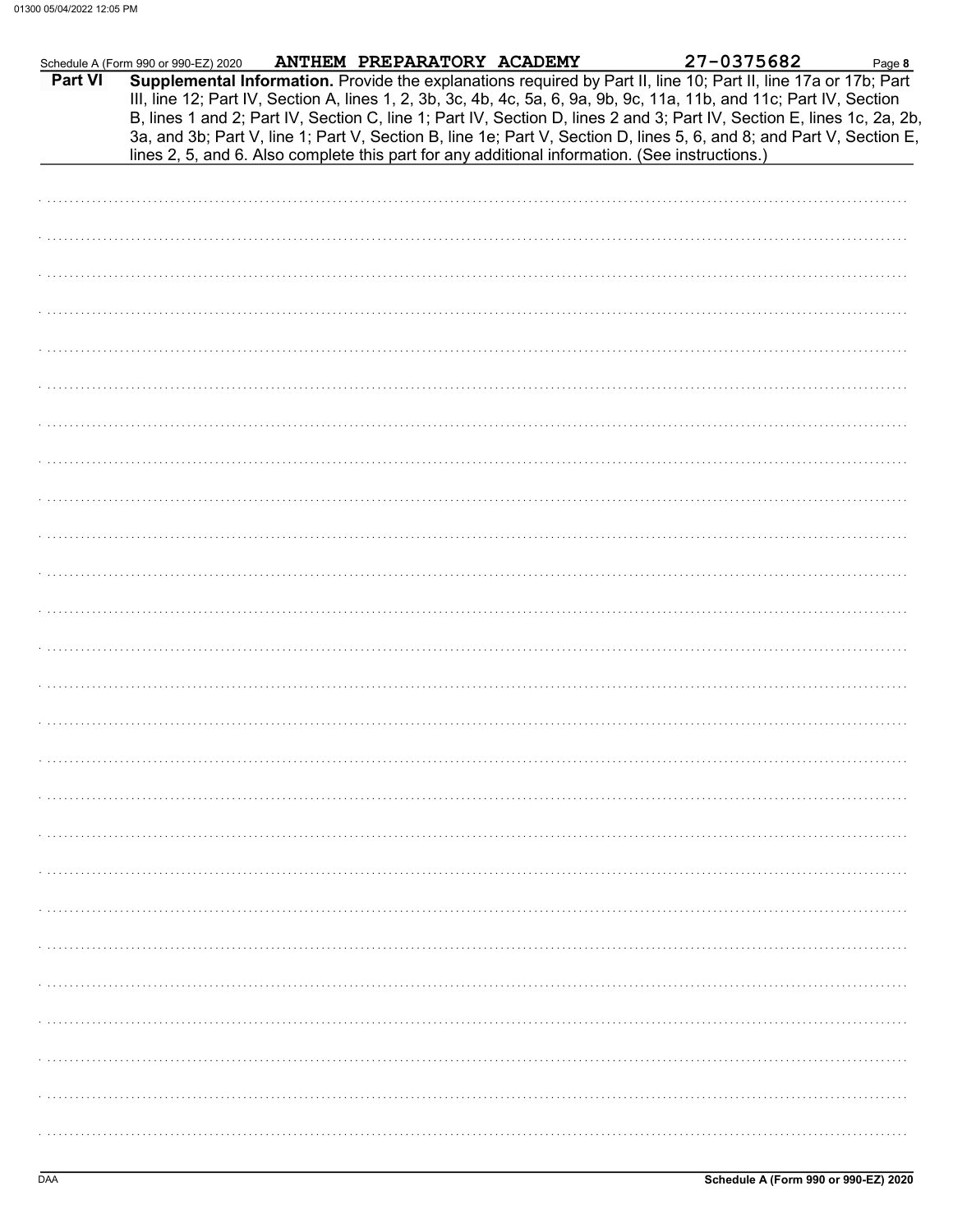|         | Schedule A (Form 990 or 990-EZ) 2020 | ANTHEM PREPARATORY ACADEMY | 27-0375682                                                                                                                                                                                                                                                                                                                                                                                                                                                                                | Page 8 |
|---------|--------------------------------------|----------------------------|-------------------------------------------------------------------------------------------------------------------------------------------------------------------------------------------------------------------------------------------------------------------------------------------------------------------------------------------------------------------------------------------------------------------------------------------------------------------------------------------|--------|
| Part VI |                                      |                            | Supplemental Information. Provide the explanations required by Part II, line 10; Part II, line 17a or 17b; Part<br>III, line 12; Part IV, Section A, lines 1, 2, 3b, 3c, 4b, 4c, 5a, 6, 9a, 9b, 9c, 11a, 11b, and 11c; Part IV, Section<br>B, lines 1 and 2; Part IV, Section C, line 1; Part IV, Section D, lines 2 and 3; Part IV, Section E, lines 1c, 2a, 2b,<br>3a, and 3b; Part V, line 1; Part V, Section B, line 1e; Part V, Section D, lines 5, 6, and 8; and Part V, Section E, |        |
|         |                                      |                            | lines 2, 5, and 6. Also complete this part for any additional information. (See instructions.)                                                                                                                                                                                                                                                                                                                                                                                            |        |
|         |                                      |                            |                                                                                                                                                                                                                                                                                                                                                                                                                                                                                           |        |
|         |                                      |                            |                                                                                                                                                                                                                                                                                                                                                                                                                                                                                           |        |
|         |                                      |                            |                                                                                                                                                                                                                                                                                                                                                                                                                                                                                           |        |
|         |                                      |                            |                                                                                                                                                                                                                                                                                                                                                                                                                                                                                           |        |
|         |                                      |                            |                                                                                                                                                                                                                                                                                                                                                                                                                                                                                           |        |
|         |                                      |                            |                                                                                                                                                                                                                                                                                                                                                                                                                                                                                           |        |
|         |                                      |                            |                                                                                                                                                                                                                                                                                                                                                                                                                                                                                           |        |
|         |                                      |                            |                                                                                                                                                                                                                                                                                                                                                                                                                                                                                           |        |
|         |                                      |                            |                                                                                                                                                                                                                                                                                                                                                                                                                                                                                           |        |
|         |                                      |                            |                                                                                                                                                                                                                                                                                                                                                                                                                                                                                           |        |
|         |                                      |                            |                                                                                                                                                                                                                                                                                                                                                                                                                                                                                           |        |
|         |                                      |                            |                                                                                                                                                                                                                                                                                                                                                                                                                                                                                           |        |
|         |                                      |                            |                                                                                                                                                                                                                                                                                                                                                                                                                                                                                           |        |
|         |                                      |                            |                                                                                                                                                                                                                                                                                                                                                                                                                                                                                           |        |
|         |                                      |                            |                                                                                                                                                                                                                                                                                                                                                                                                                                                                                           |        |
|         |                                      |                            |                                                                                                                                                                                                                                                                                                                                                                                                                                                                                           |        |
|         |                                      |                            |                                                                                                                                                                                                                                                                                                                                                                                                                                                                                           |        |
|         |                                      |                            |                                                                                                                                                                                                                                                                                                                                                                                                                                                                                           |        |
|         |                                      |                            |                                                                                                                                                                                                                                                                                                                                                                                                                                                                                           |        |
|         |                                      |                            |                                                                                                                                                                                                                                                                                                                                                                                                                                                                                           |        |
|         |                                      |                            |                                                                                                                                                                                                                                                                                                                                                                                                                                                                                           |        |
|         |                                      |                            |                                                                                                                                                                                                                                                                                                                                                                                                                                                                                           |        |
|         |                                      |                            |                                                                                                                                                                                                                                                                                                                                                                                                                                                                                           |        |
|         |                                      |                            |                                                                                                                                                                                                                                                                                                                                                                                                                                                                                           |        |
|         |                                      |                            |                                                                                                                                                                                                                                                                                                                                                                                                                                                                                           |        |
|         |                                      |                            |                                                                                                                                                                                                                                                                                                                                                                                                                                                                                           |        |
|         |                                      |                            |                                                                                                                                                                                                                                                                                                                                                                                                                                                                                           |        |
|         |                                      |                            |                                                                                                                                                                                                                                                                                                                                                                                                                                                                                           |        |
|         |                                      |                            |                                                                                                                                                                                                                                                                                                                                                                                                                                                                                           |        |
|         |                                      |                            |                                                                                                                                                                                                                                                                                                                                                                                                                                                                                           |        |
|         |                                      |                            |                                                                                                                                                                                                                                                                                                                                                                                                                                                                                           |        |
|         |                                      |                            |                                                                                                                                                                                                                                                                                                                                                                                                                                                                                           |        |
|         |                                      |                            |                                                                                                                                                                                                                                                                                                                                                                                                                                                                                           |        |
|         |                                      |                            |                                                                                                                                                                                                                                                                                                                                                                                                                                                                                           |        |
|         |                                      |                            |                                                                                                                                                                                                                                                                                                                                                                                                                                                                                           |        |
|         |                                      |                            |                                                                                                                                                                                                                                                                                                                                                                                                                                                                                           |        |
|         |                                      |                            |                                                                                                                                                                                                                                                                                                                                                                                                                                                                                           |        |
|         |                                      |                            |                                                                                                                                                                                                                                                                                                                                                                                                                                                                                           |        |
|         |                                      |                            |                                                                                                                                                                                                                                                                                                                                                                                                                                                                                           |        |
|         |                                      |                            |                                                                                                                                                                                                                                                                                                                                                                                                                                                                                           |        |
|         |                                      |                            |                                                                                                                                                                                                                                                                                                                                                                                                                                                                                           |        |
|         |                                      |                            |                                                                                                                                                                                                                                                                                                                                                                                                                                                                                           |        |
|         |                                      |                            |                                                                                                                                                                                                                                                                                                                                                                                                                                                                                           |        |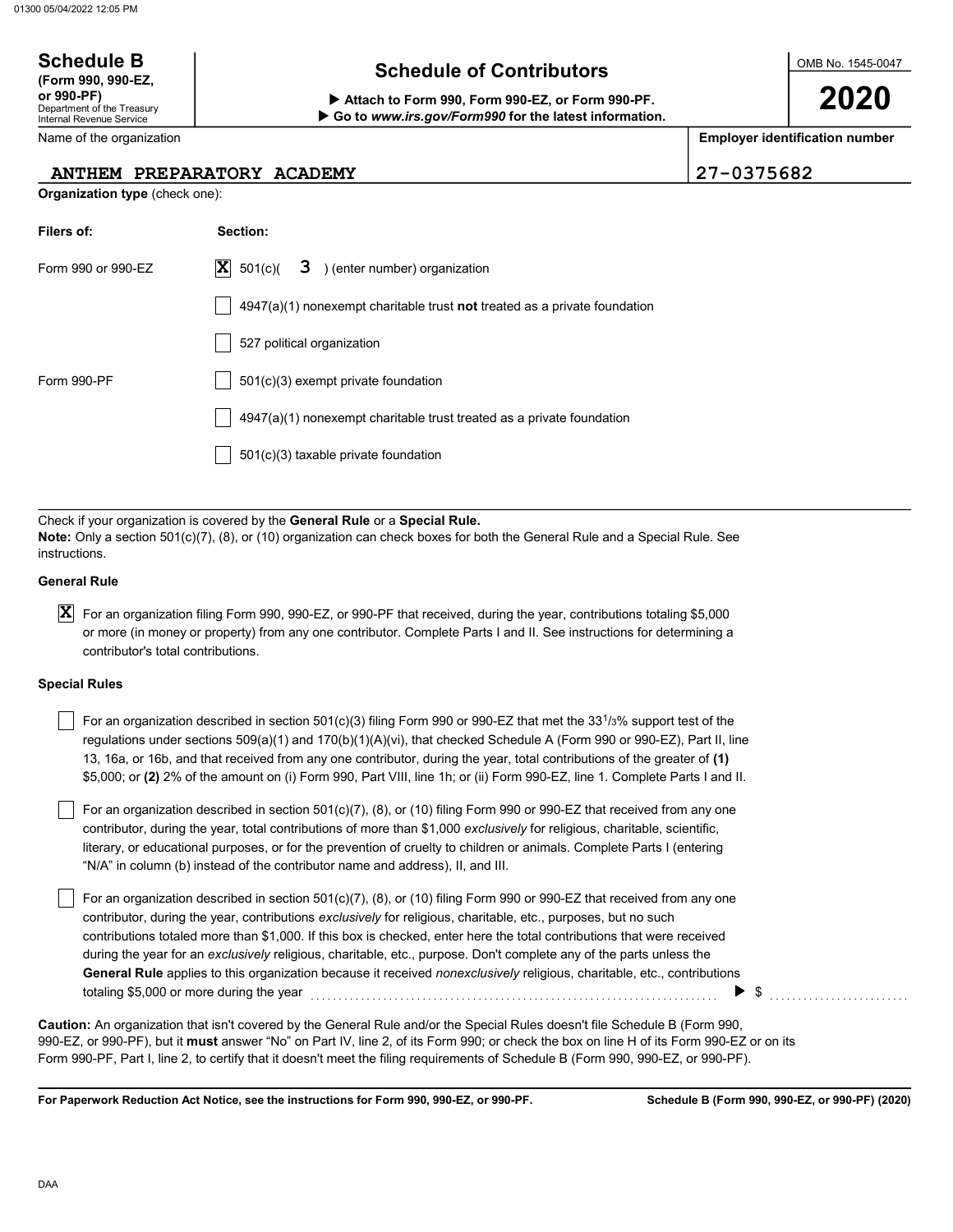# Schedule B<br>
(Form 990, 990-EZ,  $\begin{array}{ccc} \hline \text{Scheduledule of Contributions} \end{array}$

▶ Go to www.irs.gov/Form990 for the latest information.

OMB No. 1545-0047

2020

Employer identification number

| ANTHEM PREPARATORY ACADEMY               |                                                                                                                                                                                                                                                                                                                                                                                                                                                                                                                                                                                                                            | $27 - 0375682$ |  |  |  |  |  |
|------------------------------------------|----------------------------------------------------------------------------------------------------------------------------------------------------------------------------------------------------------------------------------------------------------------------------------------------------------------------------------------------------------------------------------------------------------------------------------------------------------------------------------------------------------------------------------------------------------------------------------------------------------------------------|----------------|--|--|--|--|--|
| Organization type (check one):           |                                                                                                                                                                                                                                                                                                                                                                                                                                                                                                                                                                                                                            |                |  |  |  |  |  |
| Filers of:                               | Section:                                                                                                                                                                                                                                                                                                                                                                                                                                                                                                                                                                                                                   |                |  |  |  |  |  |
| Form 990 or 990-EZ                       | X<br>501(c)<br>) (enter number) organization<br>3                                                                                                                                                                                                                                                                                                                                                                                                                                                                                                                                                                          |                |  |  |  |  |  |
|                                          | $4947(a)(1)$ nonexempt charitable trust <b>not</b> treated as a private foundation                                                                                                                                                                                                                                                                                                                                                                                                                                                                                                                                         |                |  |  |  |  |  |
|                                          | 527 political organization                                                                                                                                                                                                                                                                                                                                                                                                                                                                                                                                                                                                 |                |  |  |  |  |  |
| Form 990-PF                              | 501(c)(3) exempt private foundation                                                                                                                                                                                                                                                                                                                                                                                                                                                                                                                                                                                        |                |  |  |  |  |  |
|                                          | 4947(a)(1) nonexempt charitable trust treated as a private foundation                                                                                                                                                                                                                                                                                                                                                                                                                                                                                                                                                      |                |  |  |  |  |  |
|                                          | 501(c)(3) taxable private foundation                                                                                                                                                                                                                                                                                                                                                                                                                                                                                                                                                                                       |                |  |  |  |  |  |
|                                          |                                                                                                                                                                                                                                                                                                                                                                                                                                                                                                                                                                                                                            |                |  |  |  |  |  |
| instructions.                            | Check if your organization is covered by the General Rule or a Special Rule.<br><b>Note:</b> Only a section 501(c)(7), (8), or (10) organization can check boxes for both the General Rule and a Special Rule. See                                                                                                                                                                                                                                                                                                                                                                                                         |                |  |  |  |  |  |
| General Rule                             |                                                                                                                                                                                                                                                                                                                                                                                                                                                                                                                                                                                                                            |                |  |  |  |  |  |
| X<br>contributor's total contributions.  | For an organization filing Form 990, 990-EZ, or 990-PF that received, during the year, contributions totaling \$5,000<br>or more (in money or property) from any one contributor. Complete Parts I and II. See instructions for determining a                                                                                                                                                                                                                                                                                                                                                                              |                |  |  |  |  |  |
| Special Rules                            |                                                                                                                                                                                                                                                                                                                                                                                                                                                                                                                                                                                                                            |                |  |  |  |  |  |
|                                          | For an organization described in section 501(c)(3) filing Form 990 or 990-EZ that met the 33 <sup>1</sup> /3% support test of the<br>regulations under sections $509(a)(1)$ and $170(b)(1)(A)(vi)$ , that checked Schedule A (Form 990 or 990-EZ), Part II, line<br>13, 16a, or 16b, and that received from any one contributor, during the year, total contributions of the greater of (1)<br>\$5,000; or (2) 2% of the amount on (i) Form 990, Part VIII, line 1h; or (ii) Form 990-EZ, line 1. Complete Parts I and II.                                                                                                 |                |  |  |  |  |  |
|                                          | For an organization described in section $501(c)(7)$ , (8), or (10) filing Form 990 or 990-EZ that received from any one<br>contributor, during the year, total contributions of more than \$1,000 exclusively for religious, charitable, scientific,<br>literary, or educational purposes, or for the prevention of cruelty to children or animals. Complete Parts I (entering<br>"N/A" in column (b) instead of the contributor name and address), II, and III.                                                                                                                                                          |                |  |  |  |  |  |
| totaling \$5,000 or more during the year | For an organization described in section 501(c)(7), (8), or (10) filing Form 990 or 990-EZ that received from any one<br>contributor, during the year, contributions exclusively for religious, charitable, etc., purposes, but no such<br>contributions totaled more than \$1,000. If this box is checked, enter here the total contributions that were received<br>during the year for an exclusively religious, charitable, etc., purpose. Don't complete any of the parts unless the<br>General Rule applies to this organization because it received <i>nonexclusively</i> religious, charitable, etc., contributions | \$             |  |  |  |  |  |
|                                          | Caution: An organization that isn't covered by the General Rule and/or the Special Rules doesn't file Schedule B (Form 990,<br>990-EZ, or 990-PF), but it must answer "No" on Part IV, line 2, of its Form 990; or check the box on line H of its Form 990-EZ or on its<br>Form 990-PF, Part I, line 2, to certify that it doesn't meet the filing requirements of Schedule B (Form 990, 990-EZ, or 990-PF).                                                                                                                                                                                                               |                |  |  |  |  |  |

For Paperwork Reduction Act Notice, see the instructions for Form 990, 990-EZ, or 990-PF.

Department of the Treasury Internal Revenue Service Name of the organization or 990-PF) Attach to Form 990, Form 990-EZ, or Form 990-PF. **Organization type** (check one):  $\begin{array}{c} \text{A} \\ \text{A} \\ \text{B} \end{array}$ 

| <b>OCHEQUIE D</b>  |  |  |
|--------------------|--|--|
| (Form 990, 990-EZ, |  |  |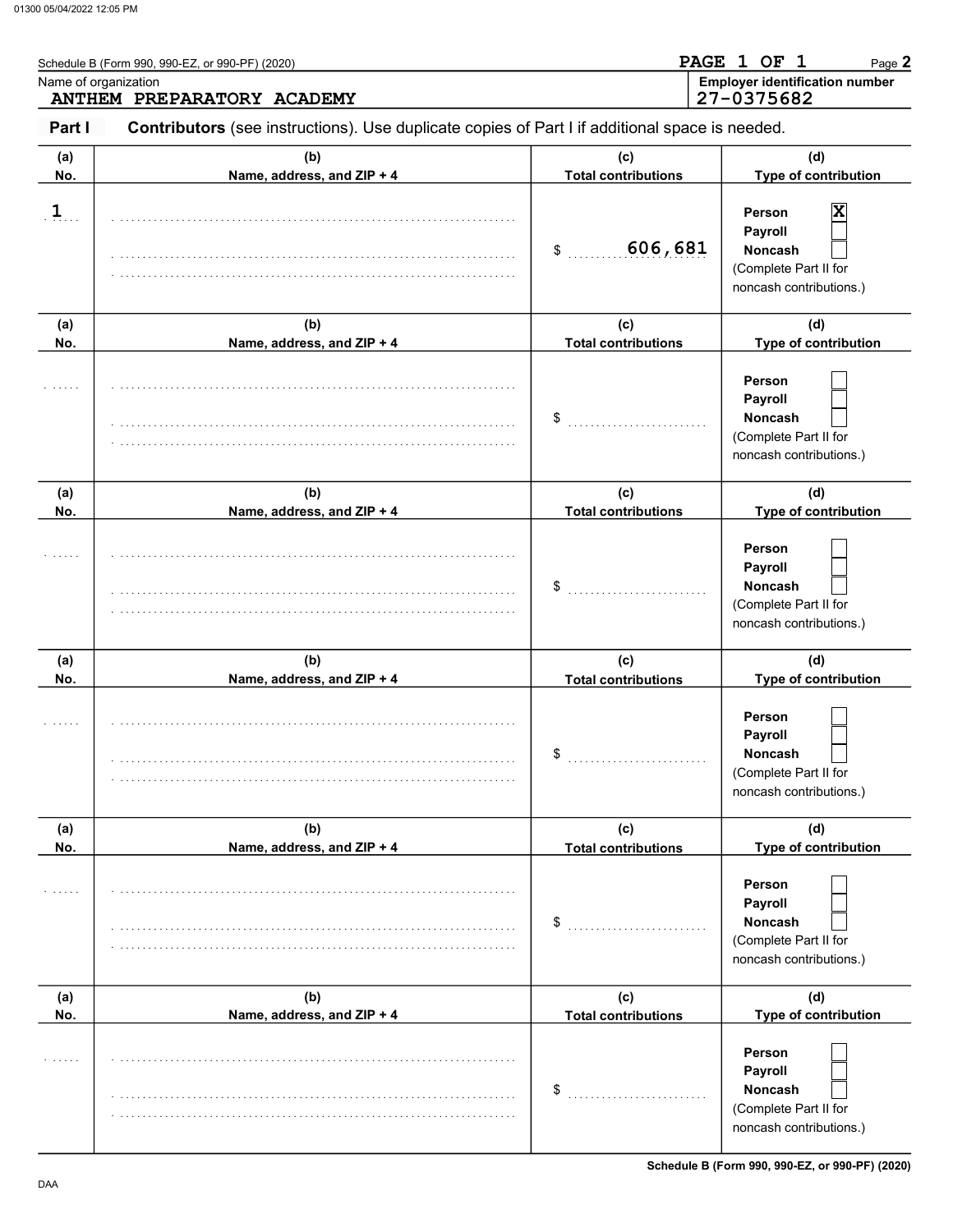| Name of organization | Schedule B (Form 990, 990-EZ, or 990-PF) (2020)<br>ANTHEM PREPARATORY ACADEMY                  |                                   | PAGE 1 OF 1<br>Page 2<br><b>Employer identification number</b><br>27-0375682            |
|----------------------|------------------------------------------------------------------------------------------------|-----------------------------------|-----------------------------------------------------------------------------------------|
| Part I               | Contributors (see instructions). Use duplicate copies of Part I if additional space is needed. |                                   |                                                                                         |
| (a)<br>No.           | (b)<br>Name, address, and ZIP + 4                                                              | (c)<br><b>Total contributions</b> | (d)<br>Type of contribution                                                             |
| $\overline{1}$       |                                                                                                | 606,681<br>\$                     | X<br>Person<br>Payroll<br>Noncash<br>(Complete Part II for<br>noncash contributions.)   |
| (a)<br>No.           | (b)<br>Name, address, and ZIP + 4                                                              | (c)<br><b>Total contributions</b> | (d)<br>Type of contribution                                                             |
|                      |                                                                                                | \$                                | Person<br>Payroll<br><b>Noncash</b><br>(Complete Part II for<br>noncash contributions.) |
| (a)<br>No.           | (b)<br>Name, address, and ZIP + 4                                                              | (c)<br><b>Total contributions</b> | (d)<br>Type of contribution                                                             |
|                      |                                                                                                | \$                                | Person<br>Payroll<br><b>Noncash</b><br>(Complete Part II for<br>noncash contributions.) |
| (a)<br>No.           | (b)<br>Name, address, and ZIP + 4                                                              | (c)<br><b>Total contributions</b> | (d)<br>Type of contribution                                                             |
|                      |                                                                                                | \$                                | Person<br>Payroll<br>Noncash<br>(Complete Part II for<br>noncash contributions.)        |
| (a)<br>No.           | (b)<br>Name, address, and ZIP + 4                                                              | (c)<br><b>Total contributions</b> | (d)<br>Type of contribution                                                             |
|                      |                                                                                                | \$                                | Person<br>Payroll<br>Noncash<br>(Complete Part II for<br>noncash contributions.)        |
| (a)<br>No.           | (b)<br>Name, address, and ZIP + 4                                                              | (c)<br><b>Total contributions</b> | (d)<br>Type of contribution                                                             |
|                      |                                                                                                | \$                                | Person<br>Payroll<br>Noncash<br>(Complete Part II for<br>noncash contributions.)        |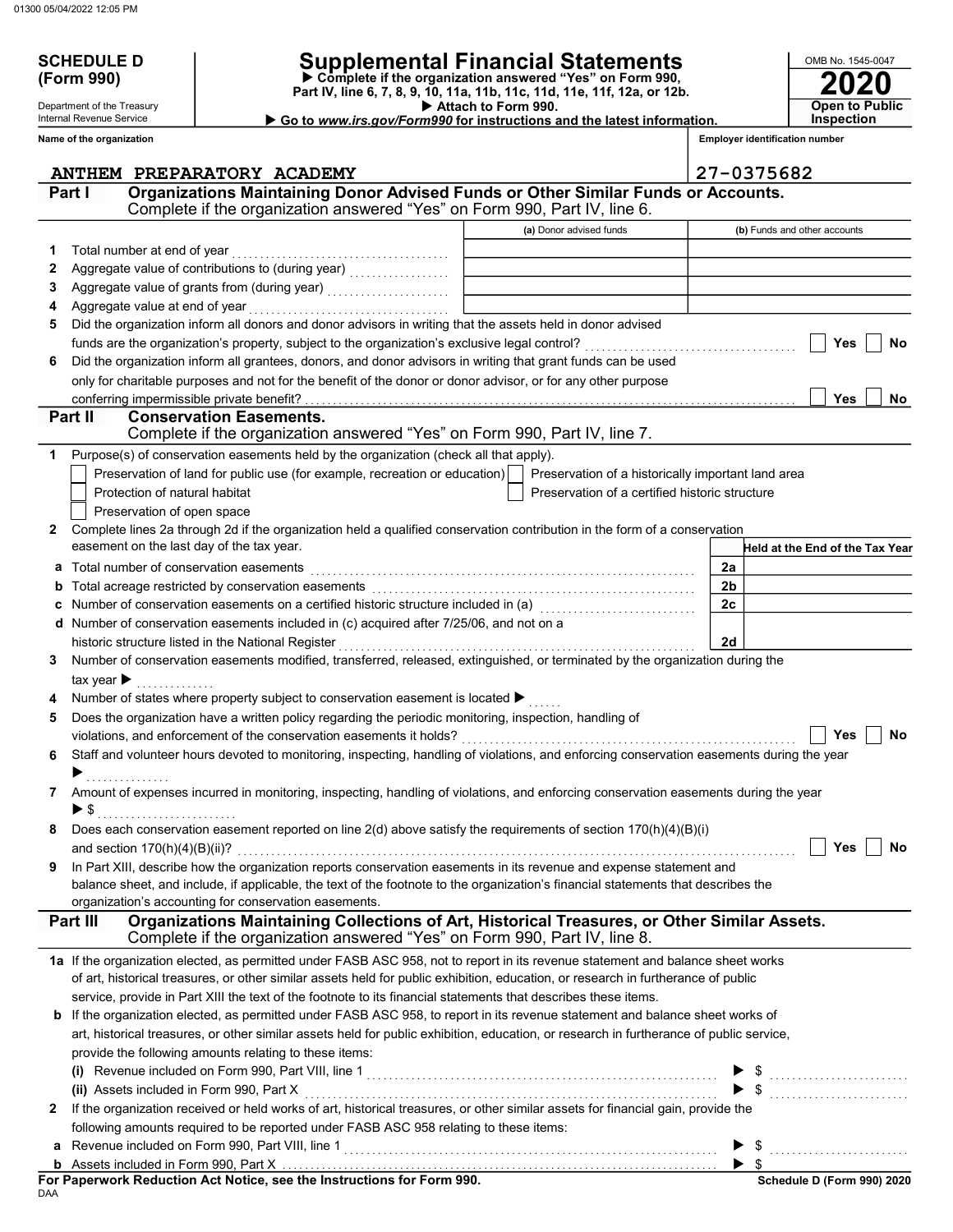SCHEDULE D<br>(Form 990)

Department of the Treasury Internal Revenue Service

## SCHEDULE D | Supplemental Financial Statements

 Attach to Form 990. Part IV, line 6, 7, 8, 9, 10, 11a, 11b, 11c, 11d, 11e, 11f, 12a, or 12b. Complete if the organization answered "Yes" on Form 990,

Go to www.irs.gov/Form990 for instructions and the latest information.

**Open to Public Inspection** 

2020

OMB No. 1545-0047

|        | Name of the organization                                                                                                                                                              |                                                    |                | <b>Employer identification number</b>  |
|--------|---------------------------------------------------------------------------------------------------------------------------------------------------------------------------------------|----------------------------------------------------|----------------|----------------------------------------|
|        | ANTHEM PREPARATORY ACADEMY                                                                                                                                                            |                                                    |                | 27-0375682                             |
| Part I | Organizations Maintaining Donor Advised Funds or Other Similar Funds or Accounts.<br>Complete if the organization answered "Yes" on Form 990, Part IV, line 6.                        |                                                    |                |                                        |
|        |                                                                                                                                                                                       | (a) Donor advised funds                            |                | (b) Funds and other accounts           |
| 1      | Total number at end of year                                                                                                                                                           |                                                    |                |                                        |
| 2      |                                                                                                                                                                                       |                                                    |                |                                        |
| 3      |                                                                                                                                                                                       |                                                    |                |                                        |
| 4      |                                                                                                                                                                                       |                                                    |                |                                        |
| 5      | Did the organization inform all donors and donor advisors in writing that the assets held in donor advised                                                                            |                                                    |                |                                        |
|        | funds are the organization's property, subject to the organization's exclusive legal control?                                                                                         |                                                    |                | Yes<br>No                              |
| 6      | Did the organization inform all grantees, donors, and donor advisors in writing that grant funds can be used                                                                          |                                                    |                |                                        |
|        | only for charitable purposes and not for the benefit of the donor or donor advisor, or for any other purpose                                                                          |                                                    |                |                                        |
|        |                                                                                                                                                                                       |                                                    |                | Yes<br>No                              |
|        | Part II<br><b>Conservation Easements.</b><br>Complete if the organization answered "Yes" on Form 990, Part IV, line 7.                                                                |                                                    |                |                                        |
| 1      | Purpose(s) of conservation easements held by the organization (check all that apply).                                                                                                 |                                                    |                |                                        |
|        | Preservation of land for public use (for example, recreation or education)                                                                                                            | Preservation of a historically important land area |                |                                        |
|        | Protection of natural habitat                                                                                                                                                         | Preservation of a certified historic structure     |                |                                        |
|        | Preservation of open space                                                                                                                                                            |                                                    |                |                                        |
| 2      | Complete lines 2a through 2d if the organization held a qualified conservation contribution in the form of a conservation                                                             |                                                    |                |                                        |
|        | easement on the last day of the tax year.                                                                                                                                             |                                                    |                | <b>Held at the End of the Tax Year</b> |
| a      | Total number of conservation easements                                                                                                                                                |                                                    | 2a             |                                        |
| b      |                                                                                                                                                                                       |                                                    | 2 <sub>b</sub> |                                        |
| с      | Number of conservation easements on a certified historic structure included in (a) [[[[[[[[[[[[[[[[[[[[[[[]]]]                                                                        |                                                    | 2c             |                                        |
|        | d Number of conservation easements included in (c) acquired after 7/25/06, and not on a                                                                                               |                                                    |                |                                        |
|        | historic structure listed in the National Register                                                                                                                                    |                                                    | 2d             |                                        |
| 3      | Number of conservation easements modified, transferred, released, extinguished, or terminated by the organization during the                                                          |                                                    |                |                                        |
|        | tax year $\blacktriangleright$                                                                                                                                                        |                                                    |                |                                        |
|        | Number of states where property subject to conservation easement is located ▶                                                                                                         |                                                    |                |                                        |
| 5      | Does the organization have a written policy regarding the periodic monitoring, inspection, handling of                                                                                |                                                    |                |                                        |
|        | violations, and enforcement of the conservation easements it holds?                                                                                                                   |                                                    |                | Yes<br>No                              |
| 6      | Staff and volunteer hours devoted to monitoring, inspecting, handling of violations, and enforcing conservation easements during the year                                             |                                                    |                |                                        |
| 7      | Amount of expenses incurred in monitoring, inspecting, handling of violations, and enforcing conservation easements during the year                                                   |                                                    |                |                                        |
|        | $\blacktriangleright$ \$                                                                                                                                                              |                                                    |                |                                        |
|        | Does each conservation easement reported on line $2(d)$ above satisfy the requirements of section $170(h)(4)(B)(i)$                                                                   |                                                    |                |                                        |
|        | and section $170(h)(4)(B)(ii)?$                                                                                                                                                       |                                                    |                | Yes<br>No                              |
| 9      | In Part XIII, describe how the organization reports conservation easements in its revenue and expense statement and                                                                   |                                                    |                |                                        |
|        | balance sheet, and include, if applicable, the text of the footnote to the organization's financial statements that describes the                                                     |                                                    |                |                                        |
|        | organization's accounting for conservation easements.                                                                                                                                 |                                                    |                |                                        |
|        | Organizations Maintaining Collections of Art, Historical Treasures, or Other Similar Assets.<br>Part III<br>Complete if the organization answered "Yes" on Form 990, Part IV, line 8. |                                                    |                |                                        |
|        | 1a If the organization elected, as permitted under FASB ASC 958, not to report in its revenue statement and balance sheet works                                                       |                                                    |                |                                        |
|        | of art, historical treasures, or other similar assets held for public exhibition, education, or research in furtherance of public                                                     |                                                    |                |                                        |
|        | service, provide in Part XIII the text of the footnote to its financial statements that describes these items.                                                                        |                                                    |                |                                        |
| b      | If the organization elected, as permitted under FASB ASC 958, to report in its revenue statement and balance sheet works of                                                           |                                                    |                |                                        |
|        | art, historical treasures, or other similar assets held for public exhibition, education, or research in furtherance of public service,                                               |                                                    |                |                                        |
|        | provide the following amounts relating to these items:                                                                                                                                |                                                    |                |                                        |
|        |                                                                                                                                                                                       |                                                    |                |                                        |
|        | (ii) Assets included in Form 990, Part X                                                                                                                                              |                                                    |                |                                        |
| 2      | If the organization received or held works of art, historical treasures, or other similar assets for financial gain, provide the                                                      |                                                    |                |                                        |
|        | following amounts required to be reported under FASB ASC 958 relating to these items:                                                                                                 |                                                    |                |                                        |
| a      |                                                                                                                                                                                       |                                                    |                |                                        |
| b      |                                                                                                                                                                                       |                                                    |                |                                        |

| For Paperwork Reduction Act Notice, see the Instructions for Form 990. |  |
|------------------------------------------------------------------------|--|
| DAA                                                                    |  |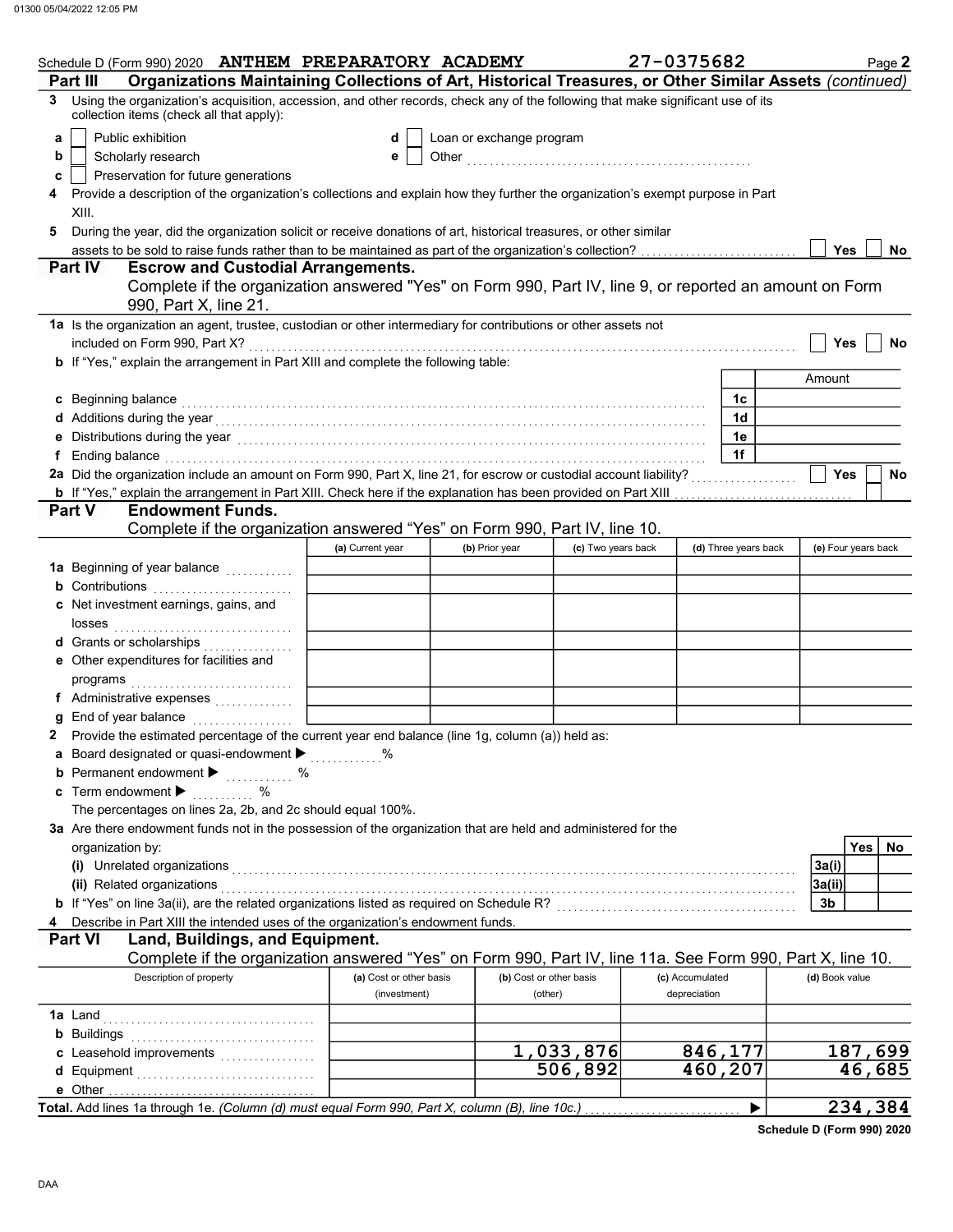|   | Schedule D (Form 990) 2020 ANTHEM PREPARATORY ACADEMY                                                                                                                                                                          |                         |                          |                         | 27-0375682      |                      | Page 2              |
|---|--------------------------------------------------------------------------------------------------------------------------------------------------------------------------------------------------------------------------------|-------------------------|--------------------------|-------------------------|-----------------|----------------------|---------------------|
|   | Organizations Maintaining Collections of Art, Historical Treasures, or Other Similar Assets (continued)<br>Part III                                                                                                            |                         |                          |                         |                 |                      |                     |
| 3 | Using the organization's acquisition, accession, and other records, check any of the following that make significant use of its<br>collection items (check all that apply):                                                    |                         |                          |                         |                 |                      |                     |
| a | Public exhibition                                                                                                                                                                                                              | d                       | Loan or exchange program |                         |                 |                      |                     |
| b | Scholarly research                                                                                                                                                                                                             | е                       |                          |                         |                 |                      |                     |
| c | Preservation for future generations                                                                                                                                                                                            |                         |                          |                         |                 |                      |                     |
|   | Provide a description of the organization's collections and explain how they further the organization's exempt purpose in Part<br>XIII.                                                                                        |                         |                          |                         |                 |                      |                     |
| 5 | During the year, did the organization solicit or receive donations of art, historical treasures, or other similar                                                                                                              |                         |                          |                         |                 |                      |                     |
|   |                                                                                                                                                                                                                                |                         |                          |                         |                 |                      | <b>Yes</b><br>No.   |
|   | <b>Part IV</b><br><b>Escrow and Custodial Arrangements.</b>                                                                                                                                                                    |                         |                          |                         |                 |                      |                     |
|   | Complete if the organization answered "Yes" on Form 990, Part IV, line 9, or reported an amount on Form<br>990, Part X, line 21.                                                                                               |                         |                          |                         |                 |                      |                     |
|   | 1a Is the organization an agent, trustee, custodian or other intermediary for contributions or other assets not                                                                                                                |                         |                          |                         |                 |                      | Yes<br>No           |
|   | b If "Yes," explain the arrangement in Part XIII and complete the following table:                                                                                                                                             |                         |                          |                         |                 |                      |                     |
|   |                                                                                                                                                                                                                                |                         |                          |                         |                 |                      | Amount              |
|   | c Beginning balance                                                                                                                                                                                                            |                         |                          |                         |                 | 1c                   |                     |
|   |                                                                                                                                                                                                                                |                         |                          |                         |                 | 1d                   |                     |
|   |                                                                                                                                                                                                                                |                         |                          |                         |                 | 1е                   |                     |
|   | f Ending balance encourance and contact the contract of the contract of the contract of the contract of the contract of the contract of the contract of the contract of the contract of the contract of the contract of the co |                         |                          |                         |                 | 1f                   |                     |
|   | 2a Did the organization include an amount on Form 990, Part X, line 21, for escrow or custodial account liability?                                                                                                             |                         |                          |                         |                 |                      | <b>Yes</b><br>No    |
|   |                                                                                                                                                                                                                                |                         |                          |                         |                 |                      |                     |
|   | <b>Endowment Funds.</b><br><b>Part V</b>                                                                                                                                                                                       |                         |                          |                         |                 |                      |                     |
|   | Complete if the organization answered "Yes" on Form 990, Part IV, line 10.                                                                                                                                                     |                         |                          |                         |                 |                      |                     |
|   |                                                                                                                                                                                                                                | (a) Current year        | (b) Prior year           | (c) Two years back      |                 | (d) Three years back | (e) Four years back |
|   | 1a Beginning of year balance <i>[[[[[[[[[[[[[[[[[[[[[[[[[[[[[[[]]]]</i> ]]]                                                                                                                                                    |                         |                          |                         |                 |                      |                     |
|   | <b>b</b> Contributions <b>contributions</b>                                                                                                                                                                                    |                         |                          |                         |                 |                      |                     |
|   | c Net investment earnings, gains, and                                                                                                                                                                                          |                         |                          |                         |                 |                      |                     |
|   | d Grants or scholarships                                                                                                                                                                                                       |                         |                          |                         |                 |                      |                     |
|   | e Other expenditures for facilities and                                                                                                                                                                                        |                         |                          |                         |                 |                      |                     |
|   |                                                                                                                                                                                                                                |                         |                          |                         |                 |                      |                     |
| g | End of year balance                                                                                                                                                                                                            |                         |                          |                         |                 |                      |                     |
|   | 2 Provide the estimated percentage of the current year end balance (line 1g, column (a)) held as:                                                                                                                              |                         |                          |                         |                 |                      |                     |
|   | a Board designated or quasi-endowment $\blacktriangleright$                                                                                                                                                                    |                         |                          |                         |                 |                      |                     |
|   | <b>b</b> Permanent endowment $\blacktriangleright$<br>. %                                                                                                                                                                      |                         |                          |                         |                 |                      |                     |
|   | c Term endowment $\blacktriangleright$<br>$\%$                                                                                                                                                                                 |                         |                          |                         |                 |                      |                     |
|   | The percentages on lines 2a, 2b, and 2c should equal 100%.                                                                                                                                                                     |                         |                          |                         |                 |                      |                     |
|   | 3a Are there endowment funds not in the possession of the organization that are held and administered for the                                                                                                                  |                         |                          |                         |                 |                      |                     |
|   | organization by:                                                                                                                                                                                                               |                         |                          |                         |                 |                      | Yes<br>No           |
|   | (i) Unrelated organizations (and according to the control of the control of the control of the control of the control of the control of the control of the control of the control of the control of the control of the control |                         |                          |                         |                 |                      | 3a(i)               |
|   | (ii) Related organizations                                                                                                                                                                                                     |                         |                          |                         |                 |                      | 3a(ii)              |
|   | b If "Yes" on line 3a(ii), are the related organizations listed as required on Schedule R? [[[[[[[[[[[[[[[[[[[                                                                                                                 |                         |                          |                         |                 |                      | 3b                  |
|   | Describe in Part XIII the intended uses of the organization's endowment funds.                                                                                                                                                 |                         |                          |                         |                 |                      |                     |
|   | Land, Buildings, and Equipment.<br><b>Part VI</b>                                                                                                                                                                              |                         |                          |                         |                 |                      |                     |
|   | Complete if the organization answered "Yes" on Form 990, Part IV, line 11a. See Form 990, Part X, line 10.                                                                                                                     |                         |                          |                         |                 |                      |                     |
|   | Description of property                                                                                                                                                                                                        | (a) Cost or other basis |                          | (b) Cost or other basis | (c) Accumulated |                      | (d) Book value      |
|   |                                                                                                                                                                                                                                | (investment)            |                          | (other)                 | depreciation    |                      |                     |
|   |                                                                                                                                                                                                                                |                         |                          |                         |                 |                      |                     |
|   |                                                                                                                                                                                                                                |                         |                          |                         |                 |                      |                     |
|   | c Leasehold improvements                                                                                                                                                                                                       |                         |                          | 1,033,876               |                 | 846,177              | 187,699             |
|   | d Equipment                                                                                                                                                                                                                    |                         |                          | 506,892                 |                 | 460,207              | 46,685              |
|   | Total. Add lines 1a through 1e. <i>(Column (d) must equal Form 990, Part X, column (B), line 10c.)</i>                                                                                                                         |                         |                          |                         |                 |                      | 234,384             |
|   |                                                                                                                                                                                                                                |                         |                          |                         |                 |                      |                     |

Schedule D (Form 990) 2020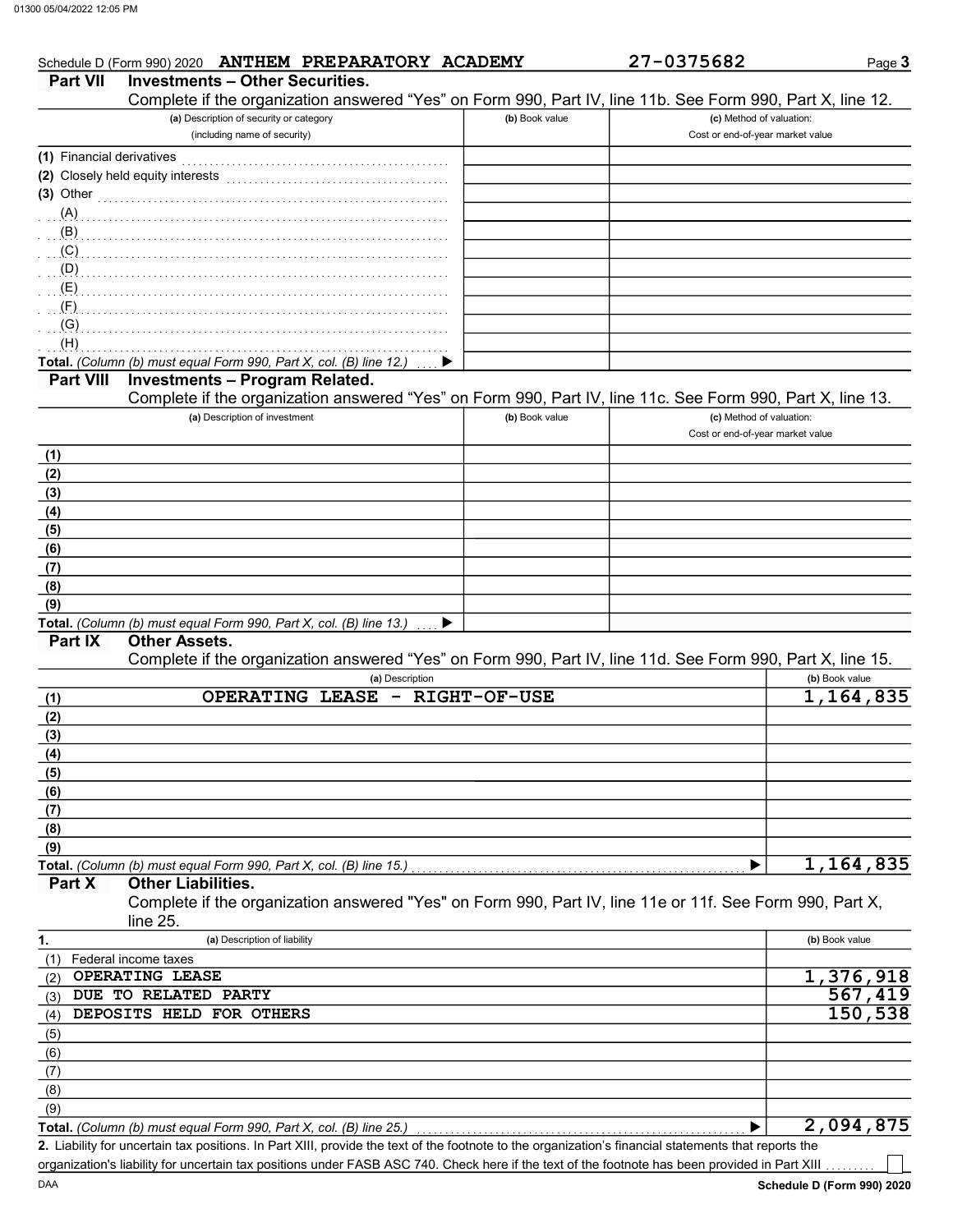|                                | Schedule D (Form 990) 2020 ANTHEM PREPARATORY ACADEMY                                                                                                |                | 27-0375682                       | Page 3               |
|--------------------------------|------------------------------------------------------------------------------------------------------------------------------------------------------|----------------|----------------------------------|----------------------|
| <b>Part VII</b>                | <b>Investments - Other Securities.</b><br>Complete if the organization answered "Yes" on Form 990, Part IV, line 11b. See Form 990, Part X, line 12. |                |                                  |                      |
|                                | (a) Description of security or category                                                                                                              | (b) Book value | (c) Method of valuation:         |                      |
|                                | (including name of security)                                                                                                                         |                | Cost or end-of-year market value |                      |
| (1) Financial derivatives      |                                                                                                                                                      |                |                                  |                      |
|                                |                                                                                                                                                      |                |                                  |                      |
|                                | (3) Other $\qquad \qquad$ (3) Other $\qquad \qquad$                                                                                                  |                |                                  |                      |
|                                | (A)                                                                                                                                                  |                |                                  |                      |
| (B)                            |                                                                                                                                                      |                |                                  |                      |
| (C)                            |                                                                                                                                                      |                |                                  |                      |
| (D)                            |                                                                                                                                                      |                |                                  |                      |
| $(E)$ . The summation of $(E)$ |                                                                                                                                                      |                |                                  |                      |
| (F)                            |                                                                                                                                                      |                |                                  |                      |
| (G)                            |                                                                                                                                                      |                |                                  |                      |
| (H)                            |                                                                                                                                                      |                |                                  |                      |
|                                | Total. (Column (b) must equal Form 990, Part X, col. (B) line 12.)                                                                                   |                |                                  |                      |
| <b>Part VIII</b>               | <b>Investments - Program Related.</b>                                                                                                                |                |                                  |                      |
|                                | Complete if the organization answered "Yes" on Form 990, Part IV, line 11c. See Form 990, Part X, line 13.                                           |                |                                  |                      |
|                                | (a) Description of investment                                                                                                                        | (b) Book value | (c) Method of valuation:         |                      |
|                                |                                                                                                                                                      |                | Cost or end-of-year market value |                      |
| (1)                            |                                                                                                                                                      |                |                                  |                      |
| (2)                            |                                                                                                                                                      |                |                                  |                      |
| (3)                            |                                                                                                                                                      |                |                                  |                      |
| (4)                            |                                                                                                                                                      |                |                                  |                      |
| (5)                            |                                                                                                                                                      |                |                                  |                      |
| (6)                            |                                                                                                                                                      |                |                                  |                      |
| (7)<br>(8)                     |                                                                                                                                                      |                |                                  |                      |
| (9)                            |                                                                                                                                                      |                |                                  |                      |
|                                | Total. (Column (b) must equal Form 990, Part X, col. (B) line 13.)<br>▸                                                                              |                |                                  |                      |
| Part IX                        | <b>Other Assets.</b>                                                                                                                                 |                |                                  |                      |
|                                | Complete if the organization answered "Yes" on Form 990, Part IV, line 11d. See Form 990, Part X, line 15.                                           |                |                                  |                      |
|                                | (a) Description                                                                                                                                      |                |                                  | (b) Book value       |
| (1)                            | OPERATING LEASE - RIGHT-OF-USE                                                                                                                       |                |                                  | 1,164,835            |
| (2)                            |                                                                                                                                                      |                |                                  |                      |
| (3)                            |                                                                                                                                                      |                |                                  |                      |
| (4)                            |                                                                                                                                                      |                |                                  |                      |
| (5)                            |                                                                                                                                                      |                |                                  |                      |
| (6)                            |                                                                                                                                                      |                |                                  |                      |
| (7)                            |                                                                                                                                                      |                |                                  |                      |
| (8)                            |                                                                                                                                                      |                |                                  |                      |
| (9)                            |                                                                                                                                                      |                |                                  |                      |
|                                |                                                                                                                                                      |                |                                  | 1,164,835            |
| Part X                         | <b>Other Liabilities.</b>                                                                                                                            |                |                                  |                      |
|                                | Complete if the organization answered "Yes" on Form 990, Part IV, line 11e or 11f. See Form 990, Part X,                                             |                |                                  |                      |
|                                | line 25.<br>(a) Description of liability                                                                                                             |                |                                  | (b) Book value       |
| 1.                             |                                                                                                                                                      |                |                                  |                      |
| (1)<br>(2)                     | Federal income taxes<br>OPERATING LEASE                                                                                                              |                |                                  | 1,376,918            |
| (3)                            | DUE TO RELATED PARTY                                                                                                                                 |                |                                  | $\overline{5}67,419$ |
| (4)                            | DEPOSITS HELD FOR OTHERS                                                                                                                             |                |                                  | 150,538              |
| (5)                            |                                                                                                                                                      |                |                                  |                      |
| (6)                            |                                                                                                                                                      |                |                                  |                      |
| (7)                            |                                                                                                                                                      |                |                                  |                      |
|                                |                                                                                                                                                      |                |                                  |                      |
|                                |                                                                                                                                                      |                |                                  |                      |
| (8)<br>(9)                     |                                                                                                                                                      |                |                                  |                      |

Liability for uncertain tax positions. In Part XIII, provide the text of the footnote to the organization's financial statements that reports the 2. organization's liability for uncertain tax positions under FASB ASC 740. Check here if the text of the footnote has been provided in Part XIII

┓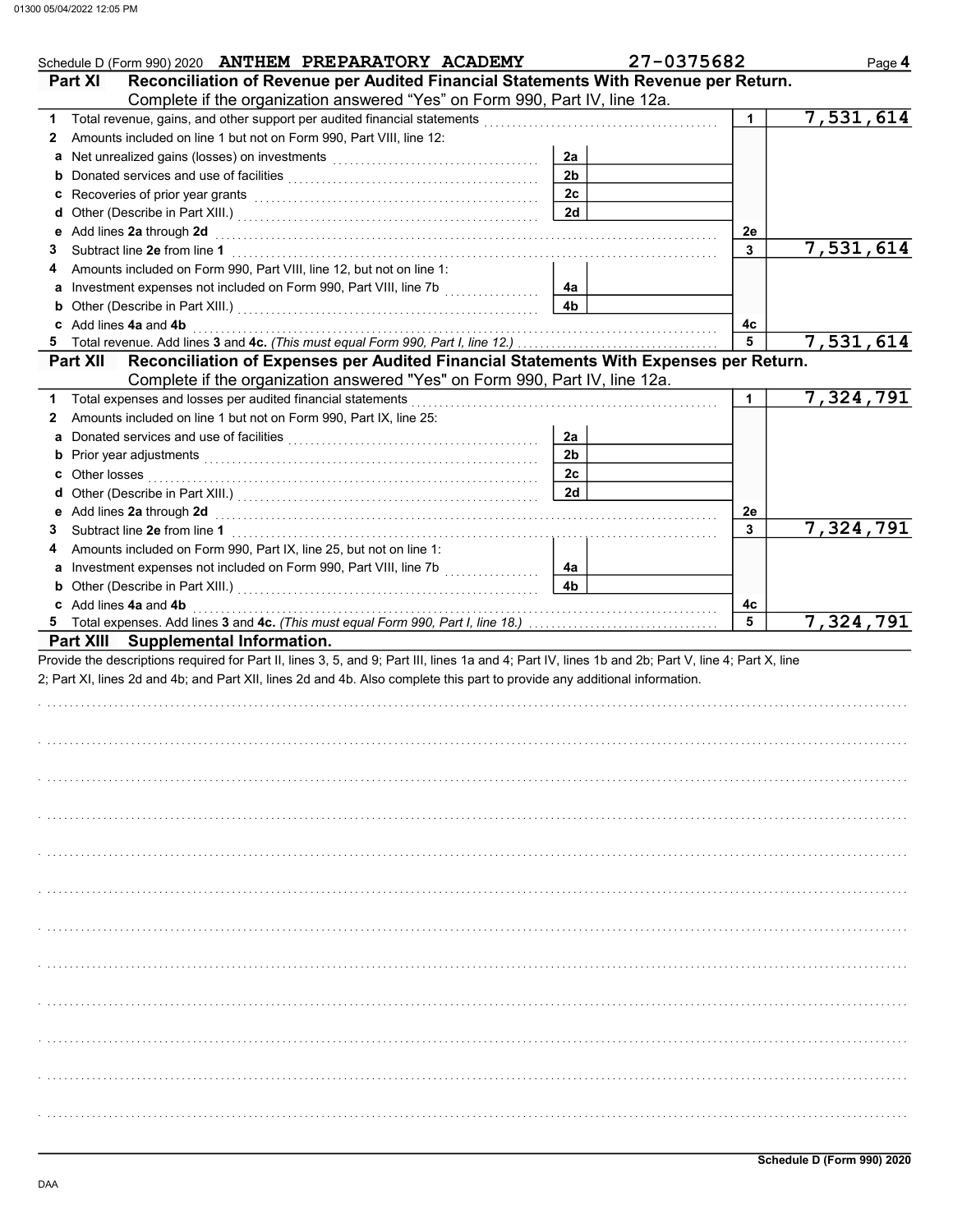| Schedule D (Form 990) 2020 ANTHEM PREPARATORY ACADEMY                                                                                                                                                                         |                | 27-0375682 | Page 4      |
|-------------------------------------------------------------------------------------------------------------------------------------------------------------------------------------------------------------------------------|----------------|------------|-------------|
| Reconciliation of Revenue per Audited Financial Statements With Revenue per Return.<br><b>Part XI</b>                                                                                                                         |                |            |             |
| Complete if the organization answered "Yes" on Form 990, Part IV, line 12a.                                                                                                                                                   |                |            |             |
| 1.                                                                                                                                                                                                                            |                | 1.         | 7,531,614   |
| Amounts included on line 1 but not on Form 990, Part VIII, line 12:<br>2                                                                                                                                                      |                |            |             |
|                                                                                                                                                                                                                               | 2a             |            |             |
|                                                                                                                                                                                                                               | 2 <sub>b</sub> |            |             |
|                                                                                                                                                                                                                               | 2c             |            |             |
|                                                                                                                                                                                                                               | 2d             |            |             |
| e Add lines 2a through 2d (enclosed) and the contract of Add lines 2a through 1                                                                                                                                               |                | 2e         |             |
| 3                                                                                                                                                                                                                             |                | 3          | 7,531,614   |
| Amounts included on Form 990, Part VIII, line 12, but not on line 1:<br>4                                                                                                                                                     |                |            |             |
| a Investment expenses not included on Form 990, Part VIII, line 7b                                                                                                                                                            | 4a             |            |             |
| <b>b</b> Other (Describe in Part XIII.) <b>CONSIDENT DESCRIPTION DESCRIPTION DESCRIPTION DESCRIPTION DESCRIPTION DESCRIPTION DESCRIPTION DESCRIPTION DESCRIPTION DESCRIPTION DESCRIPTION DESCRIPTION DESCRI</b>               | 4 <sub>b</sub> |            |             |
| c Add lines 4a and 4b                                                                                                                                                                                                         |                | 4с         |             |
| 5                                                                                                                                                                                                                             |                | 5          | 7,531,614   |
| Reconciliation of Expenses per Audited Financial Statements With Expenses per Return.<br><b>Part XII</b><br>Complete if the organization answered "Yes" on Form 990, Part IV, line 12a.                                       |                |            |             |
|                                                                                                                                                                                                                               |                |            |             |
| Total expenses and losses per audited financial statements<br>1                                                                                                                                                               |                | 1          | 7,324,791   |
| Amounts included on line 1 but not on Form 990, Part IX, line 25:<br>2                                                                                                                                                        |                |            |             |
| a Donated services and use of facilities [11] contained a contained service contained a position of a contained a contained a contained a contained a contained a contained a contained a contained a contained a contained a | 2a             |            |             |
|                                                                                                                                                                                                                               | 2 <sub>b</sub> |            |             |
|                                                                                                                                                                                                                               | 2c             |            |             |
|                                                                                                                                                                                                                               | 2d             |            |             |
| e Add lines 2a through 2d (enclosed) and the contract of Add lines 2a through 1                                                                                                                                               |                | 2e         |             |
| 3                                                                                                                                                                                                                             |                | 3          | 7, 324, 791 |
| Amounts included on Form 990, Part IX, line 25, but not on line 1:<br>4                                                                                                                                                       |                |            |             |
| a Investment expenses not included on Form 990, Part VIII, line 7b                                                                                                                                                            | 4a             |            |             |
| <b>b</b> Other (Describe in Part XIII.) <b>CONSERVING (2014)</b>                                                                                                                                                              | 4 <sub>b</sub> |            |             |
| c Add lines 4a and 4b                                                                                                                                                                                                         |                | 4с         |             |
| 5<br>Part XIII Supplemental Information.                                                                                                                                                                                      |                | 5          | 7,324,791   |
| 2; Part XI, lines 2d and 4b; and Part XII, lines 2d and 4b. Also complete this part to provide any additional information.                                                                                                    |                |            |             |
|                                                                                                                                                                                                                               |                |            |             |
|                                                                                                                                                                                                                               |                |            |             |
|                                                                                                                                                                                                                               |                |            |             |
|                                                                                                                                                                                                                               |                |            |             |
|                                                                                                                                                                                                                               |                |            |             |
|                                                                                                                                                                                                                               |                |            |             |
|                                                                                                                                                                                                                               |                |            |             |
|                                                                                                                                                                                                                               |                |            |             |
|                                                                                                                                                                                                                               |                |            |             |
|                                                                                                                                                                                                                               |                |            |             |
|                                                                                                                                                                                                                               |                |            |             |
|                                                                                                                                                                                                                               |                |            |             |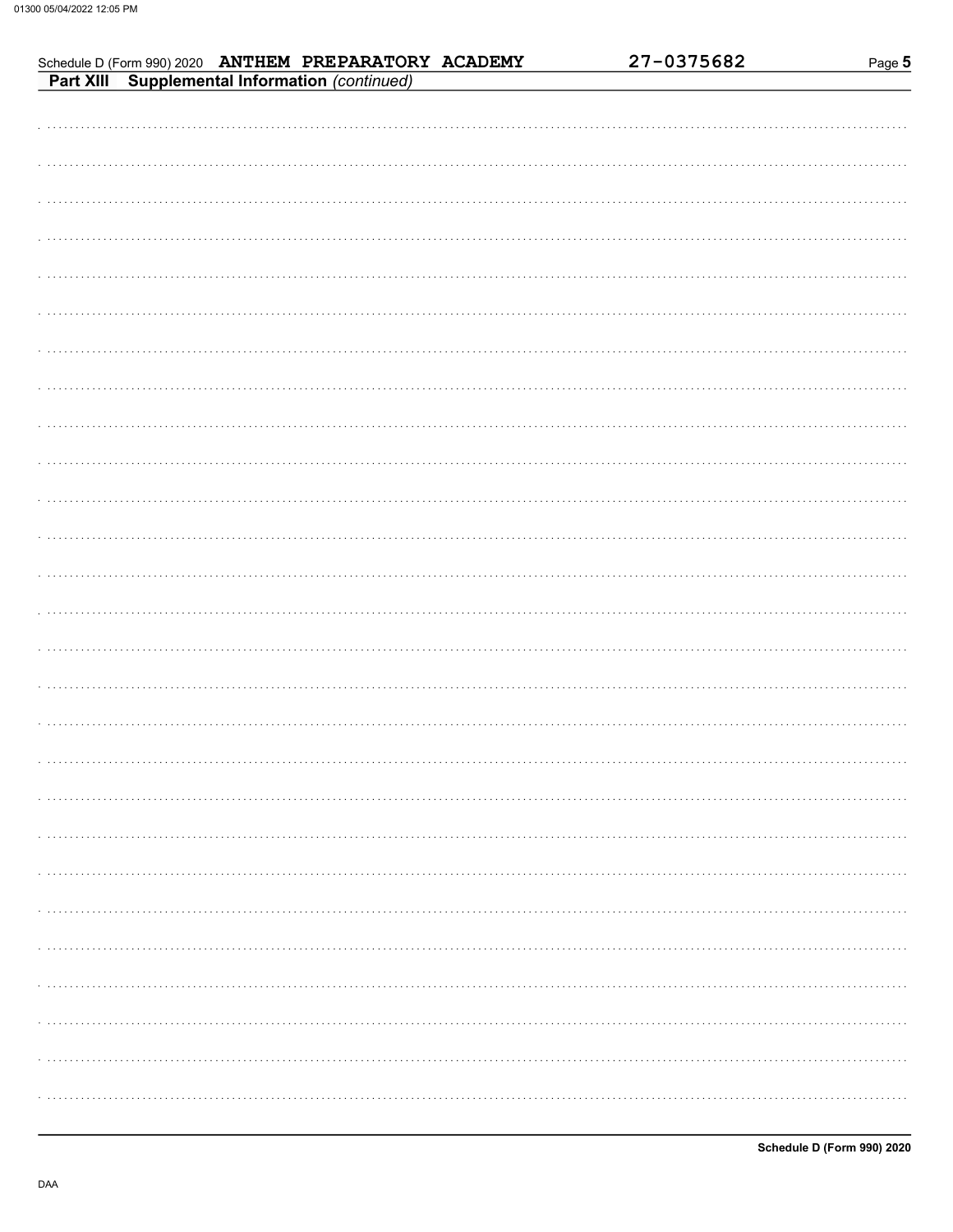| Schedule D (Form 990) 2020 ANTHEM PREPARATORY ACADEMY<br>Part XIII Supplemental Information (continued) | 27-0375682 | Page 5 |
|---------------------------------------------------------------------------------------------------------|------------|--------|
|                                                                                                         |            |        |
|                                                                                                         |            |        |
|                                                                                                         |            |        |
|                                                                                                         |            |        |
|                                                                                                         |            |        |
|                                                                                                         |            |        |
|                                                                                                         |            |        |
|                                                                                                         |            |        |
|                                                                                                         |            |        |
|                                                                                                         |            |        |
|                                                                                                         |            |        |
|                                                                                                         |            |        |
|                                                                                                         |            |        |
|                                                                                                         |            |        |
|                                                                                                         |            |        |
|                                                                                                         |            |        |
|                                                                                                         |            |        |
|                                                                                                         |            |        |
|                                                                                                         |            |        |
|                                                                                                         |            |        |
|                                                                                                         |            |        |
|                                                                                                         |            |        |
|                                                                                                         |            |        |
|                                                                                                         |            |        |
|                                                                                                         |            |        |
|                                                                                                         |            |        |
|                                                                                                         |            |        |
|                                                                                                         |            |        |
|                                                                                                         |            |        |
|                                                                                                         |            |        |
|                                                                                                         |            |        |
|                                                                                                         |            |        |
|                                                                                                         |            |        |
|                                                                                                         |            |        |
|                                                                                                         |            |        |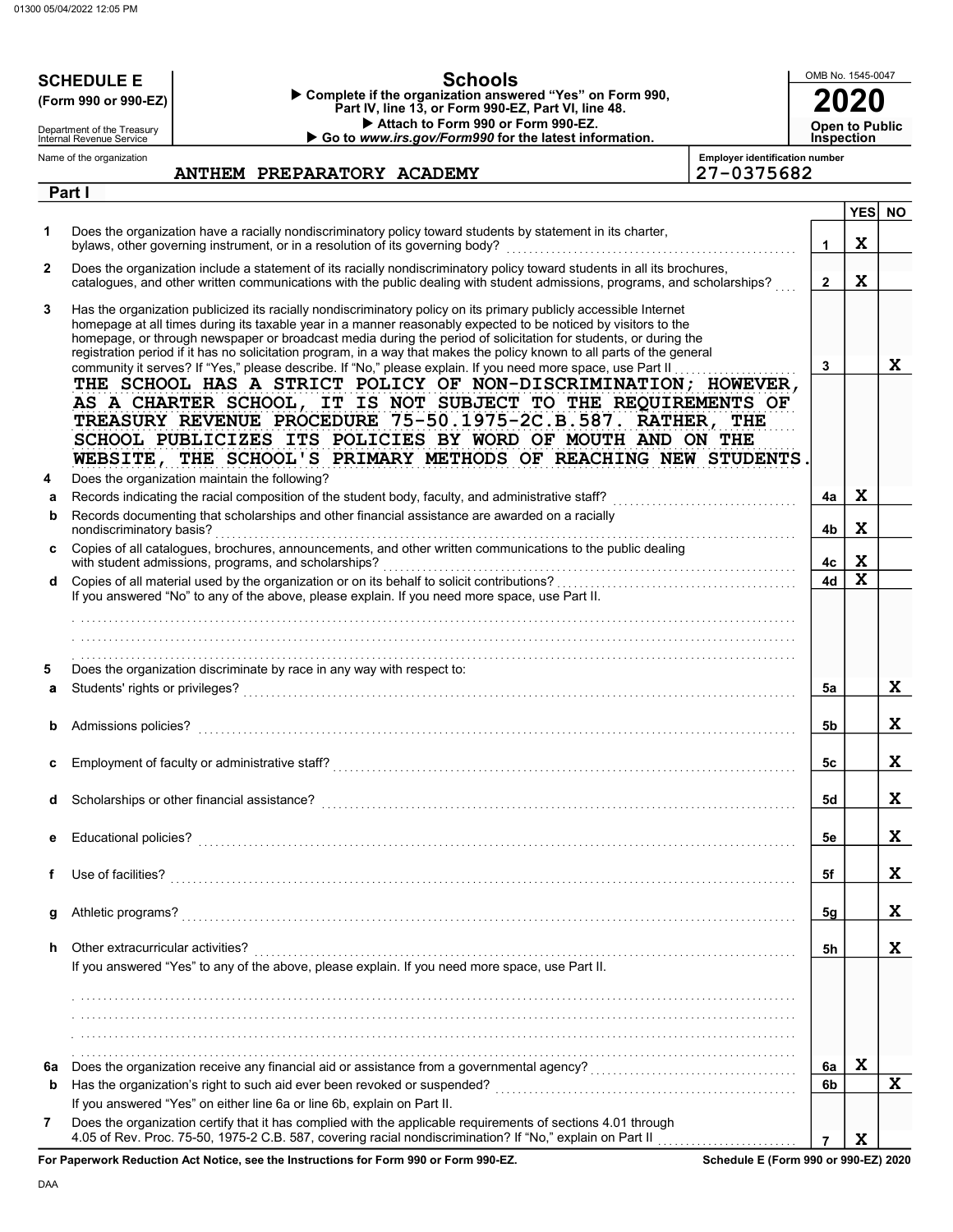|              | OMB No. 1545-0047<br><b>Schools</b><br><b>SCHEDULE E</b><br>Complete if the organization answered "Yes" on Form 990,<br>(Form 990 or 990-EZ)<br>Part IV, line 13, or Form 990-EZ, Part VI, line 48.<br>Attach to Form 990 or Form 990-EZ.<br><b>Open to Public</b>                                                                                                                                                                                                                |                            |  |  |  |  |                                                       |  |                                                                                                                                  |                   |             |           |
|--------------|-----------------------------------------------------------------------------------------------------------------------------------------------------------------------------------------------------------------------------------------------------------------------------------------------------------------------------------------------------------------------------------------------------------------------------------------------------------------------------------|----------------------------|--|--|--|--|-------------------------------------------------------|--|----------------------------------------------------------------------------------------------------------------------------------|-------------------|-------------|-----------|
|              | Department of the Treasury<br>Internal Revenue Service                                                                                                                                                                                                                                                                                                                                                                                                                            |                            |  |  |  |  | Go to www.irs.gov/Form990 for the latest information. |  |                                                                                                                                  | <b>Inspection</b> |             |           |
|              | Name of the organization                                                                                                                                                                                                                                                                                                                                                                                                                                                          |                            |  |  |  |  |                                                       |  | <b>Employer identification number</b>                                                                                            |                   |             |           |
|              | Part I                                                                                                                                                                                                                                                                                                                                                                                                                                                                            | ANTHEM PREPARATORY ACADEMY |  |  |  |  |                                                       |  | 27-0375682                                                                                                                       |                   |             |           |
|              |                                                                                                                                                                                                                                                                                                                                                                                                                                                                                   |                            |  |  |  |  |                                                       |  |                                                                                                                                  |                   | YES         | <b>NO</b> |
| 1            | Does the organization have a racially nondiscriminatory policy toward students by statement in its charter,<br>bylaws, other governing instrument, or in a resolution of its governing body?                                                                                                                                                                                                                                                                                      |                            |  |  |  |  |                                                       |  |                                                                                                                                  | $\mathbf 1$       | X           |           |
| $\mathbf{2}$ | Does the organization include a statement of its racially nondiscriminatory policy toward students in all its brochures,                                                                                                                                                                                                                                                                                                                                                          |                            |  |  |  |  |                                                       |  | catalogues, and other written communications with the public dealing with student admissions, programs, and scholarships?        | $\overline{2}$    | $\mathbf x$ |           |
| 3            | Has the organization publicized its racially nondiscriminatory policy on its primary publicly accessible Internet<br>homepage at all times during its taxable year in a manner reasonably expected to be noticed by visitors to the<br>homepage, or through newspaper or broadcast media during the period of solicitation for students, or during the<br>registration period if it has no solicitation program, in a way that makes the policy known to all parts of the general |                            |  |  |  |  |                                                       |  |                                                                                                                                  |                   |             |           |
|              | community it serves? If "Yes," please describe. If "No," please explain. If you need more space, use Part II<br>AS A CHARTER SCHOOL, IT IS NOT SUBJECT TO THE REQUIREMENTS OF<br>TREASURY REVENUE PROCEDURE 75-50.1975-2C.B.587. RATHER, THE<br>SCHOOL PUBLICIZES ITS POLICIES BY WORD OF MOUTH AND ON THE                                                                                                                                                                        |                            |  |  |  |  |                                                       |  | THE SCHOOL HAS A STRICT POLICY OF NON-DISCRIMINATION; HOWEVER,<br>WEBSITE, THE SCHOOL'S PRIMARY METHODS OF REACHING NEW STUDENTS | 3                 |             | X         |
| 4            | Does the organization maintain the following?                                                                                                                                                                                                                                                                                                                                                                                                                                     |                            |  |  |  |  |                                                       |  |                                                                                                                                  |                   |             |           |
| a<br>b       | Records documenting that scholarships and other financial assistance are awarded on a racially                                                                                                                                                                                                                                                                                                                                                                                    |                            |  |  |  |  |                                                       |  |                                                                                                                                  | 4a                | X           |           |
| c            | nondiscriminatory basis?<br>Copies of all catalogues, brochures, announcements, and other written communications to the public dealing                                                                                                                                                                                                                                                                                                                                            |                            |  |  |  |  |                                                       |  |                                                                                                                                  | 4b                | $\mathbf x$ |           |
|              | with student admissions, programs, and scholarships?                                                                                                                                                                                                                                                                                                                                                                                                                              |                            |  |  |  |  |                                                       |  |                                                                                                                                  | 4с                | X           |           |
| d            | If you answered "No" to any of the above, please explain. If you need more space, use Part II.                                                                                                                                                                                                                                                                                                                                                                                    |                            |  |  |  |  |                                                       |  |                                                                                                                                  | 4d                | $\mathbf x$ |           |
| 5            | Does the organization discriminate by race in any way with respect to:                                                                                                                                                                                                                                                                                                                                                                                                            |                            |  |  |  |  |                                                       |  |                                                                                                                                  |                   |             |           |
| a            | Students' rights or privileges?                                                                                                                                                                                                                                                                                                                                                                                                                                                   |                            |  |  |  |  |                                                       |  |                                                                                                                                  | 5a                |             | X         |
|              | Admissions policies?                                                                                                                                                                                                                                                                                                                                                                                                                                                              |                            |  |  |  |  |                                                       |  |                                                                                                                                  | 5b                |             | X         |
| c            |                                                                                                                                                                                                                                                                                                                                                                                                                                                                                   |                            |  |  |  |  |                                                       |  |                                                                                                                                  | 5c                |             | X         |
| d            | Scholarships or other financial assistance?                                                                                                                                                                                                                                                                                                                                                                                                                                       |                            |  |  |  |  |                                                       |  |                                                                                                                                  | 5d                |             | X         |
| е            |                                                                                                                                                                                                                                                                                                                                                                                                                                                                                   |                            |  |  |  |  |                                                       |  |                                                                                                                                  | 5е                |             | X         |
| f            |                                                                                                                                                                                                                                                                                                                                                                                                                                                                                   |                            |  |  |  |  |                                                       |  |                                                                                                                                  | 5f                |             | X         |
| g            |                                                                                                                                                                                                                                                                                                                                                                                                                                                                                   |                            |  |  |  |  |                                                       |  |                                                                                                                                  | 5g                |             | X         |
| h            | Other extracurricular activities?<br>If you answered "Yes" to any of the above, please explain. If you need more space, use Part II.                                                                                                                                                                                                                                                                                                                                              |                            |  |  |  |  |                                                       |  |                                                                                                                                  | 5h                |             | X         |
|              |                                                                                                                                                                                                                                                                                                                                                                                                                                                                                   |                            |  |  |  |  |                                                       |  |                                                                                                                                  |                   |             |           |
|              |                                                                                                                                                                                                                                                                                                                                                                                                                                                                                   |                            |  |  |  |  |                                                       |  |                                                                                                                                  |                   |             |           |
|              |                                                                                                                                                                                                                                                                                                                                                                                                                                                                                   |                            |  |  |  |  |                                                       |  |                                                                                                                                  |                   |             |           |
| 6a           |                                                                                                                                                                                                                                                                                                                                                                                                                                                                                   |                            |  |  |  |  |                                                       |  |                                                                                                                                  | 6a                | $\mathbf X$ |           |
| b            |                                                                                                                                                                                                                                                                                                                                                                                                                                                                                   |                            |  |  |  |  |                                                       |  |                                                                                                                                  | 6b                |             | X         |
|              | If you answered "Yes" on either line 6a or line 6b, explain on Part II.                                                                                                                                                                                                                                                                                                                                                                                                           |                            |  |  |  |  |                                                       |  |                                                                                                                                  |                   |             |           |
| 7            | Does the organization certify that it has complied with the applicable requirements of sections 4.01 through<br><b>Donoruserk Peduction Act Notice, can the Instructions for Form 000 or Form 000 FZ</b>                                                                                                                                                                                                                                                                          |                            |  |  |  |  |                                                       |  | Schodule E (Form 000 or 000 EZ) 2020                                                                                             | $\overline{7}$    | $\mathbf x$ |           |

For Paperwork Reduction Act Notice, see the Instructions for Form 990 or Form 990-EZ.

Schedule E (Form 990 or 990-EZ) 2020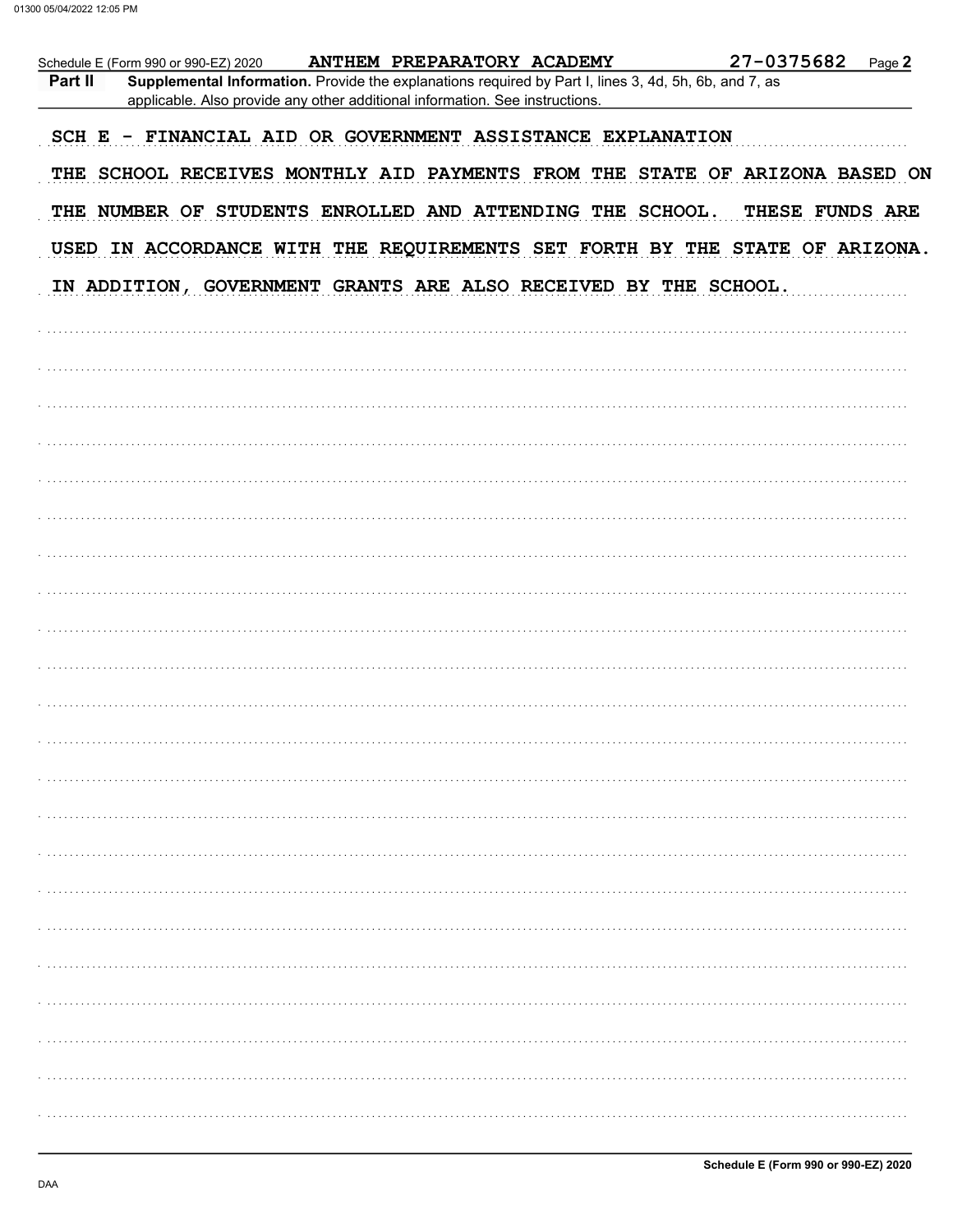|         | Schedule E (Form 990 or 990-EZ) 2020 |                                                                              | ANTHEM PREPARATORY ACADEMY                                                                            | 27-0375682                                                                  | Page 2 |
|---------|--------------------------------------|------------------------------------------------------------------------------|-------------------------------------------------------------------------------------------------------|-----------------------------------------------------------------------------|--------|
| Part II |                                      | applicable. Also provide any other additional information. See instructions. | Supplemental Information. Provide the explanations required by Part I, lines 3, 4d, 5h, 6b, and 7, as |                                                                             |        |
|         |                                      |                                                                              | SCH E - FINANCIAL AID OR GOVERNMENT ASSISTANCE EXPLANATION                                            |                                                                             |        |
|         |                                      |                                                                              |                                                                                                       | THE SCHOOL RECEIVES MONTHLY AID PAYMENTS FROM THE STATE OF ARIZONA BASED ON |        |
|         |                                      |                                                                              | THE NUMBER OF STUDENTS ENROLLED AND ATTENDING THE SCHOOL.                                             | THESE FUNDS ARE                                                             |        |
|         |                                      |                                                                              |                                                                                                       | USED IN ACCORDANCE WITH THE REQUIREMENTS SET FORTH BY THE STATE OF ARIZONA. |        |
|         |                                      |                                                                              | IN ADDITION, GOVERNMENT GRANTS ARE ALSO RECEIVED BY THE SCHOOL.                                       |                                                                             |        |
|         |                                      |                                                                              |                                                                                                       |                                                                             |        |
|         |                                      |                                                                              |                                                                                                       |                                                                             |        |
|         |                                      |                                                                              |                                                                                                       |                                                                             |        |
|         |                                      |                                                                              |                                                                                                       |                                                                             |        |
|         |                                      |                                                                              |                                                                                                       |                                                                             |        |
|         |                                      |                                                                              |                                                                                                       |                                                                             |        |
|         |                                      |                                                                              |                                                                                                       |                                                                             |        |
|         |                                      |                                                                              |                                                                                                       |                                                                             |        |
|         |                                      |                                                                              |                                                                                                       |                                                                             |        |
|         |                                      |                                                                              |                                                                                                       |                                                                             |        |
|         |                                      |                                                                              |                                                                                                       |                                                                             |        |
|         |                                      |                                                                              |                                                                                                       |                                                                             |        |
|         |                                      |                                                                              |                                                                                                       |                                                                             |        |
|         |                                      |                                                                              |                                                                                                       |                                                                             |        |
|         |                                      |                                                                              |                                                                                                       |                                                                             |        |
|         |                                      |                                                                              |                                                                                                       |                                                                             |        |
|         |                                      |                                                                              |                                                                                                       |                                                                             |        |
|         |                                      |                                                                              |                                                                                                       |                                                                             |        |
|         |                                      |                                                                              |                                                                                                       |                                                                             |        |
|         |                                      |                                                                              |                                                                                                       |                                                                             |        |
|         |                                      |                                                                              |                                                                                                       |                                                                             |        |
|         |                                      |                                                                              |                                                                                                       |                                                                             |        |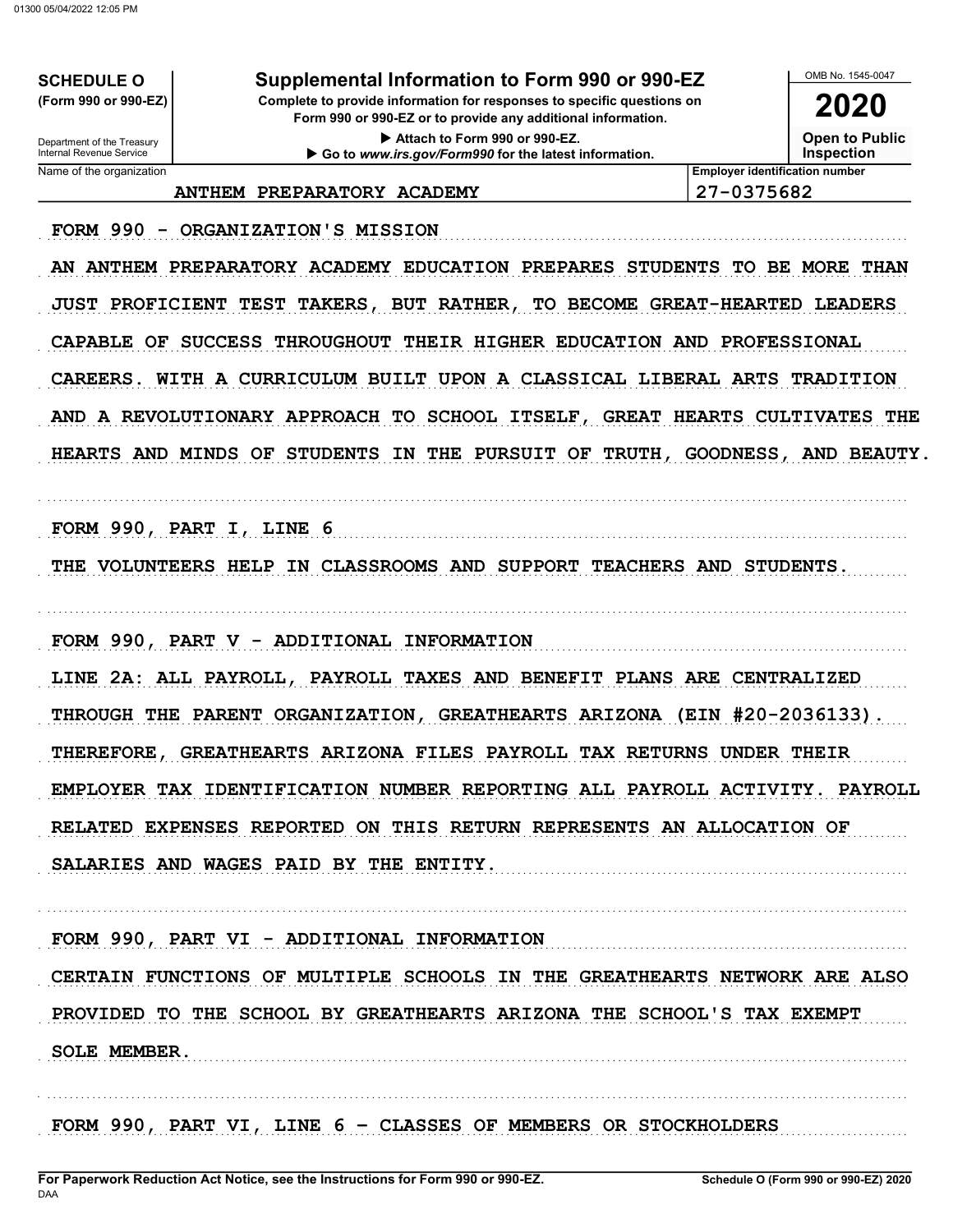**SCHEDULE O** (Form 990 or 990-EZ)

### Supplemental Information to Form 990 or 990-EZ

Complete to provide information for responses to specific questions on Form 990 or 990-EZ or to provide any additional information.

> Attach to Form 990 or 990-EZ. Go to www.irs.gov/Form990 for the latest information.

OMB No 1545-0047 2020

**Open to Public** 

**Inspection** 

Department of the Treasury<br>Internal Revenue Service Name of the organization

ANTHEM PREPARATORY ACADEMY

27-0375682

**Employer identification number** 

FORM 990 - ORGANIZATION'S MISSION

AN ANTHEM PREPARATORY ACADEMY EDUCATION PREPARES STUDENTS TO BE MORE THAN JUST PROFICIENT TEST TAKERS, BUT RATHER, TO BECOME GREAT-HEARTED LEADERS CAPABLE OF SUCCESS THROUGHOUT THEIR HIGHER EDUCATION AND PROFESSIONAL CAREERS. WITH A CURRICULUM BUILT UPON A CLASSICAL LIBERAL ARTS TRADITION AND A REVOLUTIONARY APPROACH TO SCHOOL ITSELF, GREAT HEARTS CULTIVATES THE HEARTS AND MINDS OF STUDENTS IN THE PURSUIT OF TRUTH, GOODNESS, AND BEAUTY.

FORM 990, PART I, LINE 6

THE VOLUNTEERS HELP IN CLASSROOMS AND SUPPORT TEACHERS AND STUDENTS.

FORM 990, PART V - ADDITIONAL INFORMATION

LINE 2A: ALL PAYROLL, PAYROLL TAXES AND BENEFIT PLANS ARE CENTRALIZED THROUGH THE PARENT ORGANIZATION, GREATHEARTS ARIZONA (EIN #20-2036133). THEREFORE, GREATHEARTS ARIZONA FILES PAYROLL TAX RETURNS UNDER THEIR EMPLOYER TAX IDENTIFICATION NUMBER REPORTING ALL PAYROLL ACTIVITY. PAYROLL RELATED EXPENSES REPORTED ON THIS RETURN REPRESENTS AN ALLOCATION OF SALARIES AND WAGES PAID BY THE ENTITY.

FORM 990, PART VI - ADDITIONAL INFORMATION CERTAIN FUNCTIONS OF MULTIPLE SCHOOLS IN THE GREATHEARTS NETWORK ARE ALSO PROVIDED TO THE SCHOOL BY GREATHEARTS ARIZONA THE SCHOOL'S TAX EXEMPT SOLE MEMBER.

FORM 990, PART VI, LINE 6 - CLASSES OF MEMBERS OR STOCKHOLDERS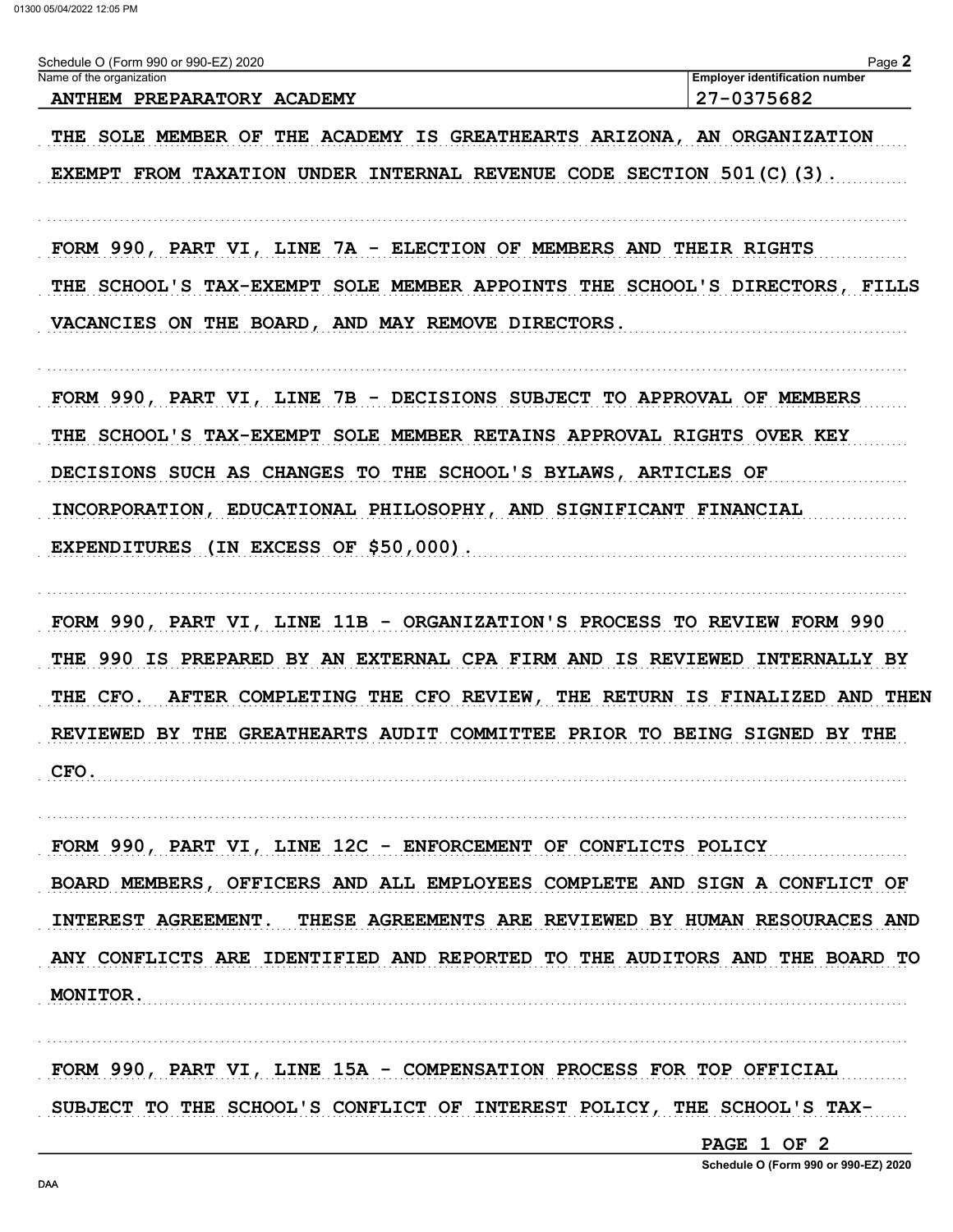| Schedule O (Form 990 or 990-EZ) 2020                  | $P$ ade $\blacksquare$                |
|-------------------------------------------------------|---------------------------------------|
| Name of the organization                              | <b>Employer identification number</b> |
| <b>PREPARATORY</b><br><b>ANTHEM</b><br><b>ACADEMY</b> | 7-0375682                             |

THE SOLE MEMBER OF THE ACADEMY IS GREATHEARTS ARIZONA, AN ORGANIZATION EXEMPT FROM TAXATION UNDER INTERNAL REVENUE CODE SECTION 501(C)(3).

FORM 990, PART VI, LINE 7A - ELECTION OF MEMBERS AND THEIR RIGHTS THE SCHOOL'S TAX-EXEMPT SOLE MEMBER APPOINTS THE SCHOOL'S DIRECTORS, FILLS VACANCIES ON THE BOARD, AND MAY REMOVE DIRECTORS.

FORM 990, PART VI, LINE 7B - DECISIONS SUBJECT TO APPROVAL OF MEMBERS THE SCHOOL'S TAX-EXEMPT SOLE MEMBER RETAINS APPROVAL RIGHTS OVER KEY DECISIONS SUCH AS CHANGES TO THE SCHOOL'S BYLAWS, ARTICLES OF INCORPORATION, EDUCATIONAL PHILOSOPHY, AND SIGNIFICANT FINANCIAL EXPENDITURES (IN EXCESS OF \$50,000).

FORM 990, PART VI, LINE 11B - ORGANIZATION'S PROCESS TO REVIEW FORM 990 THE 990 IS PREPARED BY AN EXTERNAL CPA FIRM AND IS REVIEWED INTERNALLY BY THE CFO. AFTER COMPLETING THE CFO REVIEW, THE RETURN IS FINALIZED AND THEN REVIEWED BY THE GREATHEARTS AUDIT COMMITTEE PRIOR TO BEING SIGNED BY THE CFO.

FORM 990, PART VI, LINE 12C - ENFORCEMENT OF CONFLICTS POLICY BOARD MEMBERS, OFFICERS AND ALL EMPLOYEES COMPLETE AND SIGN A CONFLICT OF INTEREST AGREEMENT. THESE AGREEMENTS ARE REVIEWED BY HUMAN RESOURACES AND ANY CONFLICTS ARE IDENTIFIED AND REPORTED TO THE AUDITORS AND THE BOARD TO MONITOR.

FORM 990, PART VI, LINE 15A - COMPENSATION PROCESS FOR TOP OFFICIAL SUBJECT TO THE SCHOOL'S CONFLICT OF INTEREST POLICY, THE SCHOOL'S TAX-

PAGE 1 OF 2

Schedule O (Form 990 or 990-EZ) 2020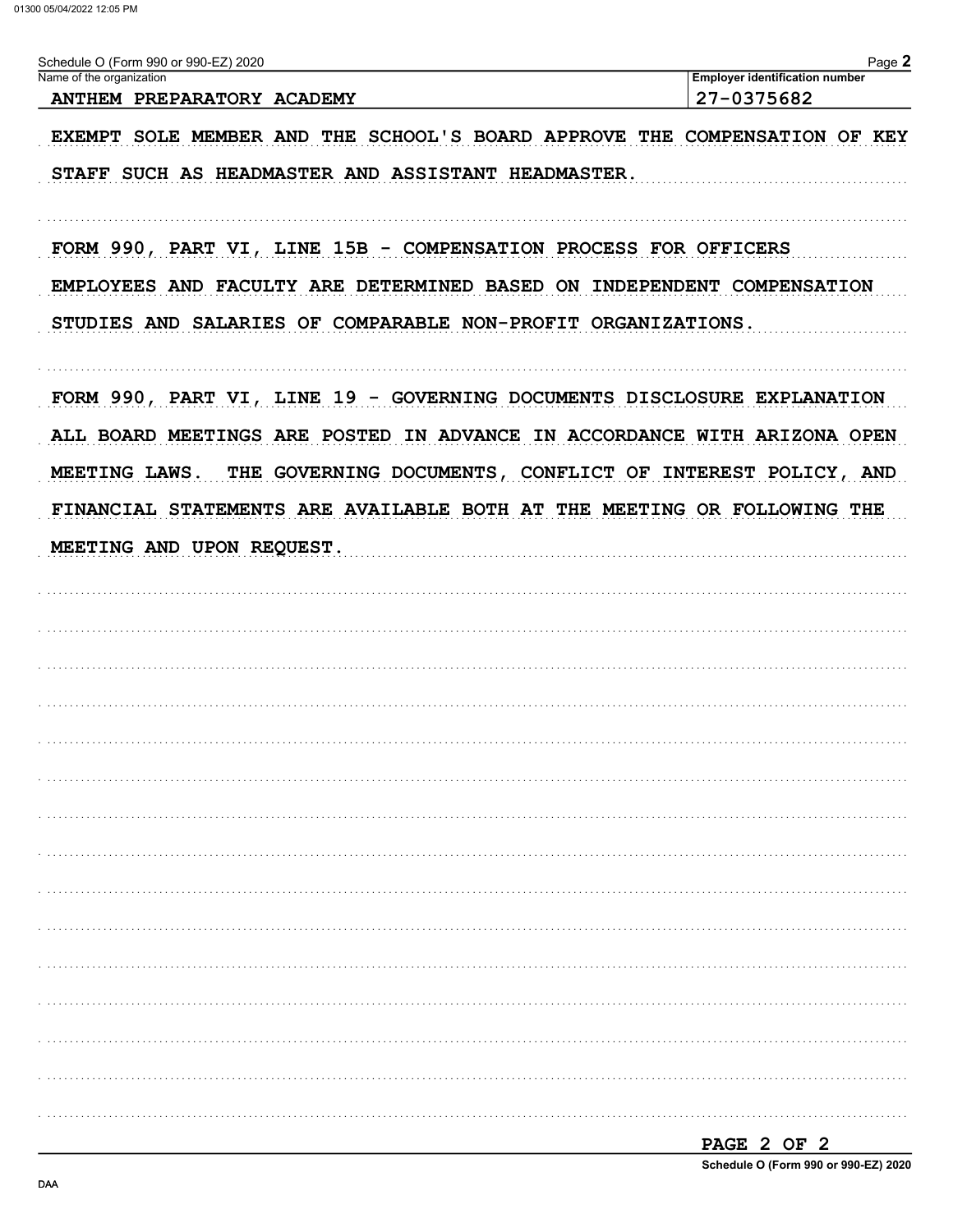| Schedule O (Form 990 or 990-EZ) 2020                                                                                                                                                                                              | Page $2$                                            |
|-----------------------------------------------------------------------------------------------------------------------------------------------------------------------------------------------------------------------------------|-----------------------------------------------------|
| Name of the organization<br>ANTHEM PREPARATORY ACADEMY                                                                                                                                                                            | <b>Employer identification number</b><br>27-0375682 |
|                                                                                                                                                                                                                                   |                                                     |
| EXEMPT SOLE MEMBER AND THE SCHOOL'S BOARD APPROVE THE COMPENSATION OF KEY                                                                                                                                                         |                                                     |
| STAFF SUCH AS HEADMASTER AND ASSISTANT HEADMASTER.                                                                                                                                                                                |                                                     |
| FORM 990, PART VI, LINE 15B - COMPENSATION PROCESS FOR OFFICERS                                                                                                                                                                   |                                                     |
| EMPLOYEES AND FACULTY ARE DETERMINED BASED ON INDEPENDENT COMPENSATION                                                                                                                                                            |                                                     |
| STUDIES AND SALARIES OF COMPARABLE NON-PROFIT ORGANIZATIONS.                                                                                                                                                                      |                                                     |
| FORM 990, PART VI, LINE 19 - GOVERNING DOCUMENTS DISCLOSURE EXPLANATION<br>ALL BOARD MEETINGS ARE POSTED IN ADVANCE IN ACCORDANCE WITH ARIZONA OPEN<br>MEETING LAWS.<br>THE GOVERNING DOCUMENTS, CONFLICT OF INTEREST POLICY, AND |                                                     |
| FINANCIAL STATEMENTS ARE AVAILABLE BOTH AT THE MEETING OR FOLLOWING THE                                                                                                                                                           |                                                     |
| MEETING AND UPON REQUEST.                                                                                                                                                                                                         |                                                     |
|                                                                                                                                                                                                                                   |                                                     |
|                                                                                                                                                                                                                                   |                                                     |
|                                                                                                                                                                                                                                   |                                                     |
|                                                                                                                                                                                                                                   |                                                     |
|                                                                                                                                                                                                                                   |                                                     |
|                                                                                                                                                                                                                                   |                                                     |
|                                                                                                                                                                                                                                   |                                                     |
|                                                                                                                                                                                                                                   |                                                     |
|                                                                                                                                                                                                                                   |                                                     |
|                                                                                                                                                                                                                                   |                                                     |
|                                                                                                                                                                                                                                   |                                                     |
|                                                                                                                                                                                                                                   |                                                     |
|                                                                                                                                                                                                                                   |                                                     |
|                                                                                                                                                                                                                                   |                                                     |
|                                                                                                                                                                                                                                   |                                                     |
|                                                                                                                                                                                                                                   |                                                     |
|                                                                                                                                                                                                                                   |                                                     |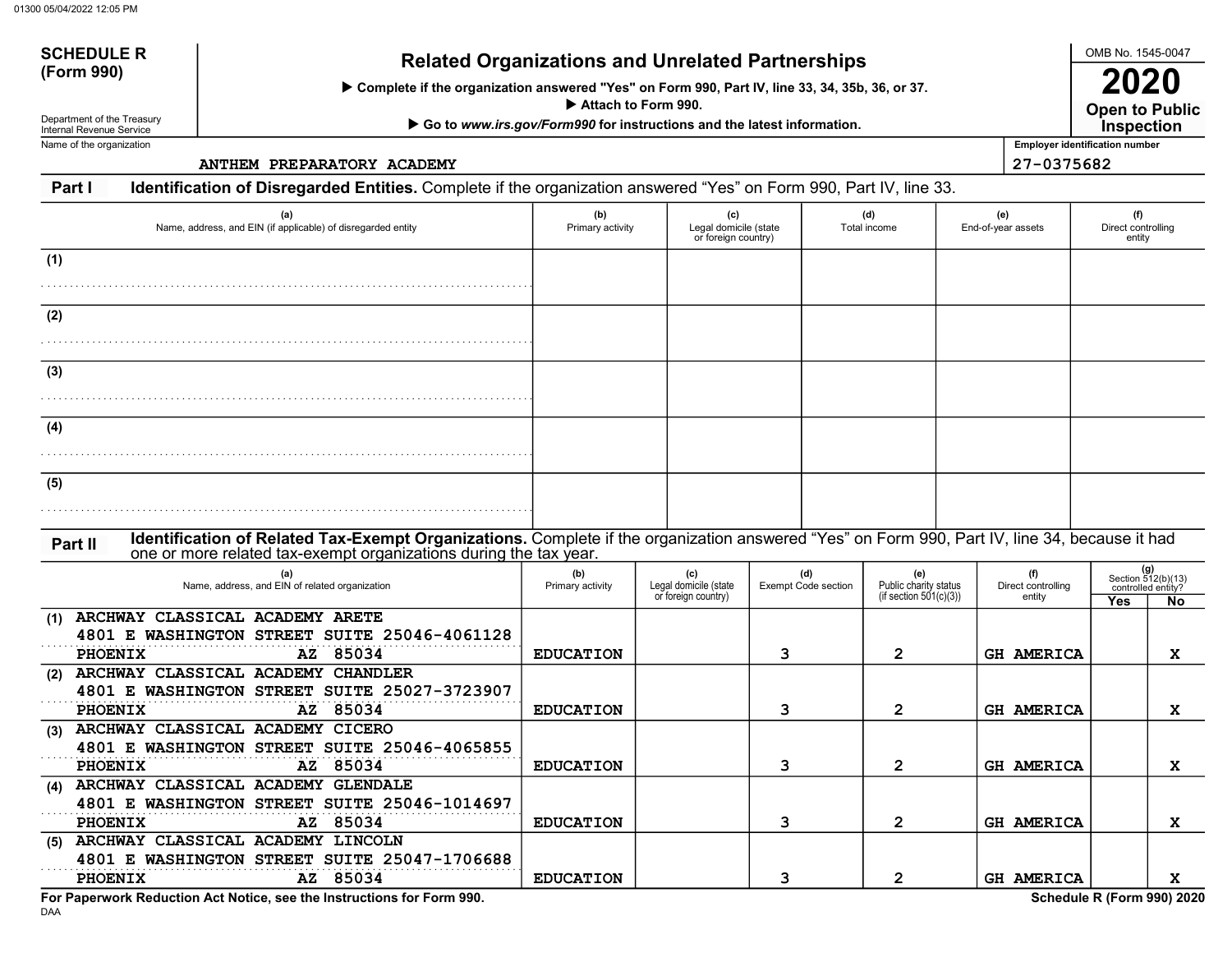# SCHEDULE R<br>(Form 990) Related Organizations and Unrelated Partnerships

Complete if the organization answered "Yes" on Form 990, Part IV, line 33, 34, 35b, 36, or 37.

Attach to Form 990.

▶ Go to www.irs.gov/Form990 for instructions and the latest information.

Department of the Treasury Internal Revenue Service Name of the organization

SCHEDULE R

ANTHEM PREPARATORY ACADEMY 27-0375682

Open to Public 2020 **Inspection** 

OMB No. 1545-0047

Employer identification number

Part I Identification of Disregarded Entities. Complete if the organization answered "Yes" on Form 990, Part IV, line 33.

| (a)<br>Name, address, and EIN (if applicable) of disregarded entity                                                                                                                                                           | (b)<br>Primary activity              | (c)<br>Legal domicile (state<br>or foreign country) |                                   | (d)<br>Total income                                       | (e)<br>End-of-year assets              | (f)<br>Direct controlling<br>entity                                   |
|-------------------------------------------------------------------------------------------------------------------------------------------------------------------------------------------------------------------------------|--------------------------------------|-----------------------------------------------------|-----------------------------------|-----------------------------------------------------------|----------------------------------------|-----------------------------------------------------------------------|
| (1)                                                                                                                                                                                                                           |                                      |                                                     |                                   |                                                           |                                        |                                                                       |
| (2)                                                                                                                                                                                                                           |                                      |                                                     |                                   |                                                           |                                        |                                                                       |
| (3)                                                                                                                                                                                                                           |                                      |                                                     |                                   |                                                           |                                        |                                                                       |
| (4)                                                                                                                                                                                                                           |                                      |                                                     |                                   |                                                           |                                        |                                                                       |
| (5)                                                                                                                                                                                                                           |                                      |                                                     |                                   |                                                           |                                        |                                                                       |
| Identification of Related Tax-Exempt Organizations. Complete if the organization answered "Yes" on Form 990, Part IV, line 34, because it had<br>Part II<br>one or more related tax-exempt organizations during the tax year. |                                      |                                                     |                                   |                                                           |                                        |                                                                       |
| (a)<br>Name, address, and EIN of related organization                                                                                                                                                                         | (b)<br>Primary activity              | (c)<br>Legal domicile (state<br>or foreign country) | (d)<br><b>Exempt Code section</b> | (e)<br>Public charity status<br>(if section $501(c)(3)$ ) | (f)<br>Direct controlling<br>entity    | $(g)$<br>Section 512(b)(13)<br>controlled entity?<br>Yes<br><b>No</b> |
| ARCHWAY CLASSICAL ACADEMY ARETE<br>(1)<br>4801 E WASHINGTON STREET SUITE 25046-4061128<br>PHOENIX<br>AZ 85034                                                                                                                 | <b>EDUCATION</b>                     |                                                     | 3                                 | $\mathbf{2}$                                              | <b>GH AMERICA</b>                      | X                                                                     |
| ARCHWAY CLASSICAL ACADEMY CHANDLER<br>(2)<br>4801 E WASHINGTON STREET SUITE 25027-3723907<br>PHOENIX<br>AZ 85034                                                                                                              | <b>EDUCATION</b>                     |                                                     | 3                                 | 2                                                         | GH AMERICA                             | X                                                                     |
| (3) ARCHWAY CLASSICAL ACADEMY CICERO<br>4801 E WASHINGTON STREET SUITE 25046-4065855<br><b>PHOENIX</b><br>AZ 85034                                                                                                            | <b>EDUCATION</b>                     |                                                     | 3                                 | $\mathbf{2}$                                              | <b>GH AMERICA</b>                      | X                                                                     |
| (4) ARCHWAY CLASSICAL ACADEMY GLENDALE<br>4801 E WASHINGTON STREET SUITE 25046-1014697<br>PHOENIX<br>AZ 85034                                                                                                                 |                                      |                                                     |                                   |                                                           |                                        |                                                                       |
| (5) ARCHWAY CLASSICAL ACADEMY LINCOLN<br>4801 E WASHINGTON STREET SUITE 25047-1706688<br>AZ 85034<br><b>PHOENIX</b>                                                                                                           | <b>EDUCATION</b><br><b>EDUCATION</b> |                                                     | 3<br>3                            | $\mathbf{2}$<br>$\mathbf{2}$                              | <b>GH AMERICA</b><br><b>GH AMERICA</b> | X<br>x                                                                |

DAA For Paperwork Reduction Act Notice, see the Instructions for Form 990. Schedule R (Form 990) 2020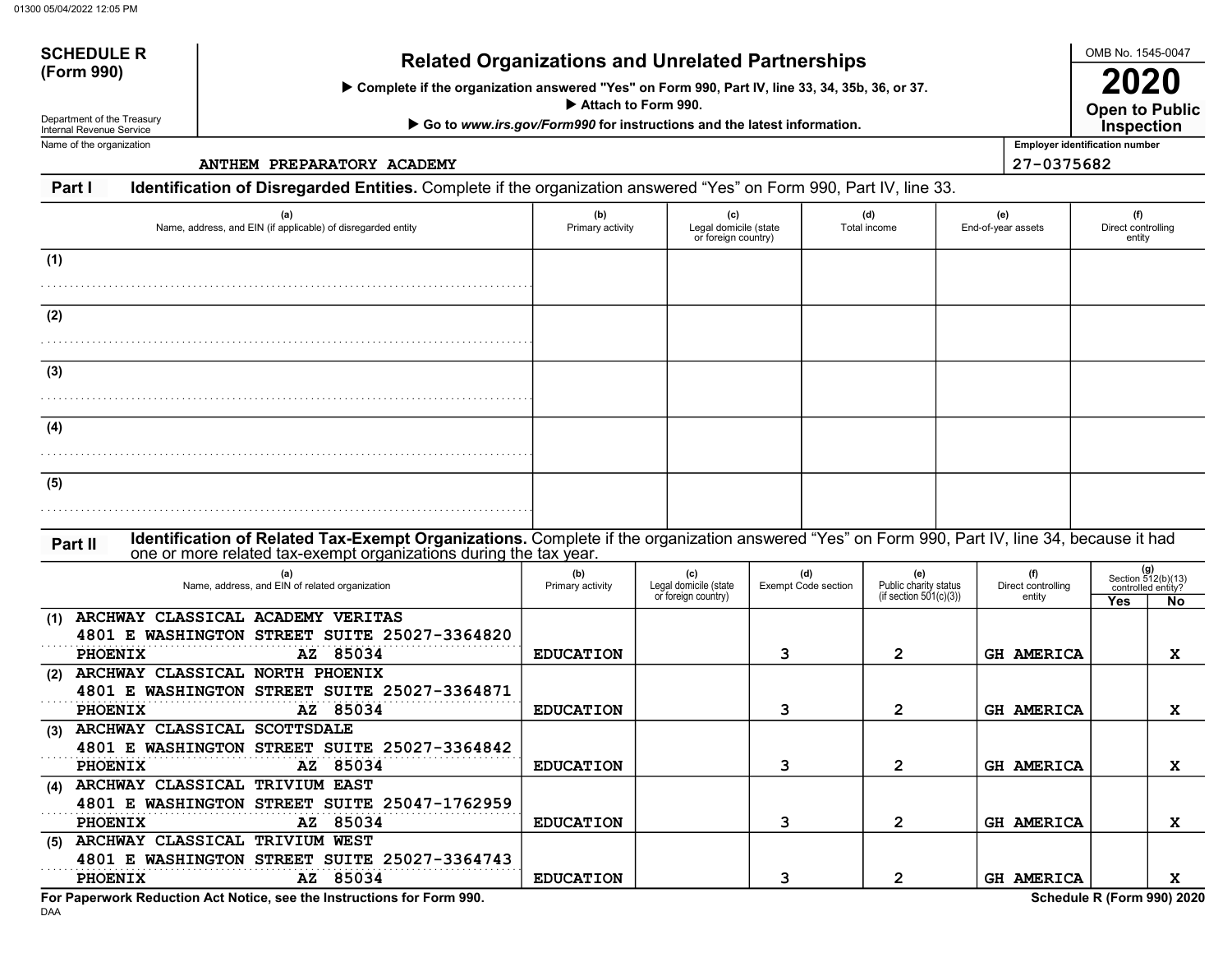# SCHEDULE R<br>(Form 990) Related Organizations and Unrelated Partnerships

Complete if the organization answered "Yes" on Form 990, Part IV, line 33, 34, 35b, 36, or 37.

Attach to Form 990.

▶ Go to www.irs.gov/Form990 for instructions and the latest information.

Department of the Treasury Internal Revenue Service Name of the organization

SCHEDULE R

ANTHEM PREPARATORY ACADEMY 27-0375682

Open to Public 2020 **Inspection** 

Employer identification number

Part I Identification of Disregarded Entities. Complete if the organization answered "Yes" on Form 990, Part IV, line 33.

| (a)<br>Name, address, and EIN (if applicable) of disregarded entity                                                                                                                                                           | (b)<br>Primary activity | (c)<br>Legal domicile (state<br>or foreign country) |                                   | (d)<br>Total income                                       | (e)<br>End-of-year assets           | (f)<br>Direct controlling<br>entity |                                                                |
|-------------------------------------------------------------------------------------------------------------------------------------------------------------------------------------------------------------------------------|-------------------------|-----------------------------------------------------|-----------------------------------|-----------------------------------------------------------|-------------------------------------|-------------------------------------|----------------------------------------------------------------|
| (1)                                                                                                                                                                                                                           |                         |                                                     |                                   |                                                           |                                     |                                     |                                                                |
|                                                                                                                                                                                                                               |                         |                                                     |                                   |                                                           |                                     |                                     |                                                                |
| (2)                                                                                                                                                                                                                           |                         |                                                     |                                   |                                                           |                                     |                                     |                                                                |
|                                                                                                                                                                                                                               |                         |                                                     |                                   |                                                           |                                     |                                     |                                                                |
| (3)                                                                                                                                                                                                                           |                         |                                                     |                                   |                                                           |                                     |                                     |                                                                |
| (4)                                                                                                                                                                                                                           |                         |                                                     |                                   |                                                           |                                     |                                     |                                                                |
|                                                                                                                                                                                                                               |                         |                                                     |                                   |                                                           |                                     |                                     |                                                                |
| (5)                                                                                                                                                                                                                           |                         |                                                     |                                   |                                                           |                                     |                                     |                                                                |
|                                                                                                                                                                                                                               |                         |                                                     |                                   |                                                           |                                     |                                     |                                                                |
| Identification of Related Tax-Exempt Organizations. Complete if the organization answered "Yes" on Form 990, Part IV, line 34, because it had<br>Part II<br>one or more related tax-exempt organizations during the tax year. |                         |                                                     |                                   |                                                           |                                     |                                     |                                                                |
| (a)<br>Name, address, and EIN of related organization                                                                                                                                                                         | (b)<br>Primary activity | (c)<br>Legal domicile (state<br>or foreign country) | (d)<br><b>Exempt Code section</b> | (e)<br>Public charity status<br>(if section $501(c)(3)$ ) | (f)<br>Direct controlling<br>entity | Yes                                 | $(g)$<br>Section 512(b)(13)<br>controlled entity?<br><b>No</b> |
| ARCHWAY CLASSICAL ACADEMY VERITAS<br>(1)                                                                                                                                                                                      |                         |                                                     |                                   |                                                           |                                     |                                     |                                                                |
| 4801 E WASHINGTON STREET SUITE 25027-3364820<br>AZ 85034<br>PHOENIX                                                                                                                                                           | <b>EDUCATION</b>        |                                                     | 3                                 | $\overline{2}$                                            | <b>GH AMERICA</b>                   |                                     | X                                                              |
| ARCHWAY CLASSICAL NORTH PHOENIX<br>(2)                                                                                                                                                                                        |                         |                                                     |                                   |                                                           |                                     |                                     |                                                                |
| 4801 E WASHINGTON STREET SUITE 25027-3364871<br>AZ 85034<br><b>PHOENIX</b>                                                                                                                                                    | <b>EDUCATION</b>        |                                                     | 3                                 | $\mathbf{2}$                                              | <b>GH AMERICA</b>                   |                                     | X                                                              |
| (3) ARCHWAY CLASSICAL SCOTTSDALE<br>4801 E WASHINGTON STREET SUITE 25027-3364842                                                                                                                                              |                         |                                                     |                                   |                                                           |                                     |                                     |                                                                |
| PHOENIX<br>AZ 85034                                                                                                                                                                                                           | <b>EDUCATION</b>        |                                                     | 3                                 | $\overline{2}$                                            | <b>GH AMERICA</b>                   |                                     | X                                                              |
| (4) ARCHWAY CLASSICAL TRIVIUM EAST<br>4801 E WASHINGTON STREET SUITE 25047-1762959                                                                                                                                            |                         |                                                     |                                   |                                                           |                                     |                                     |                                                                |
| AZ 85034<br>PHOENIX                                                                                                                                                                                                           | <b>EDUCATION</b>        |                                                     | 3                                 | $\overline{2}$                                            | <b>GH AMERICA</b>                   |                                     | X                                                              |
| (5) ARCHWAY CLASSICAL TRIVIUM WEST<br>4801 E WASHINGTON STREET SUITE 25027-3364743                                                                                                                                            |                         |                                                     |                                   |                                                           |                                     |                                     |                                                                |
| AZ 85034<br><b>PHOENIX</b>                                                                                                                                                                                                    | <b>EDUCATION</b>        |                                                     | 3                                 | $\mathbf{2}$                                              | <b>GH AMERICA</b>                   |                                     | x                                                              |

DAA For Paperwork Reduction Act Notice, see the Instructions for Form 990. Schedule R (Form 990) 2020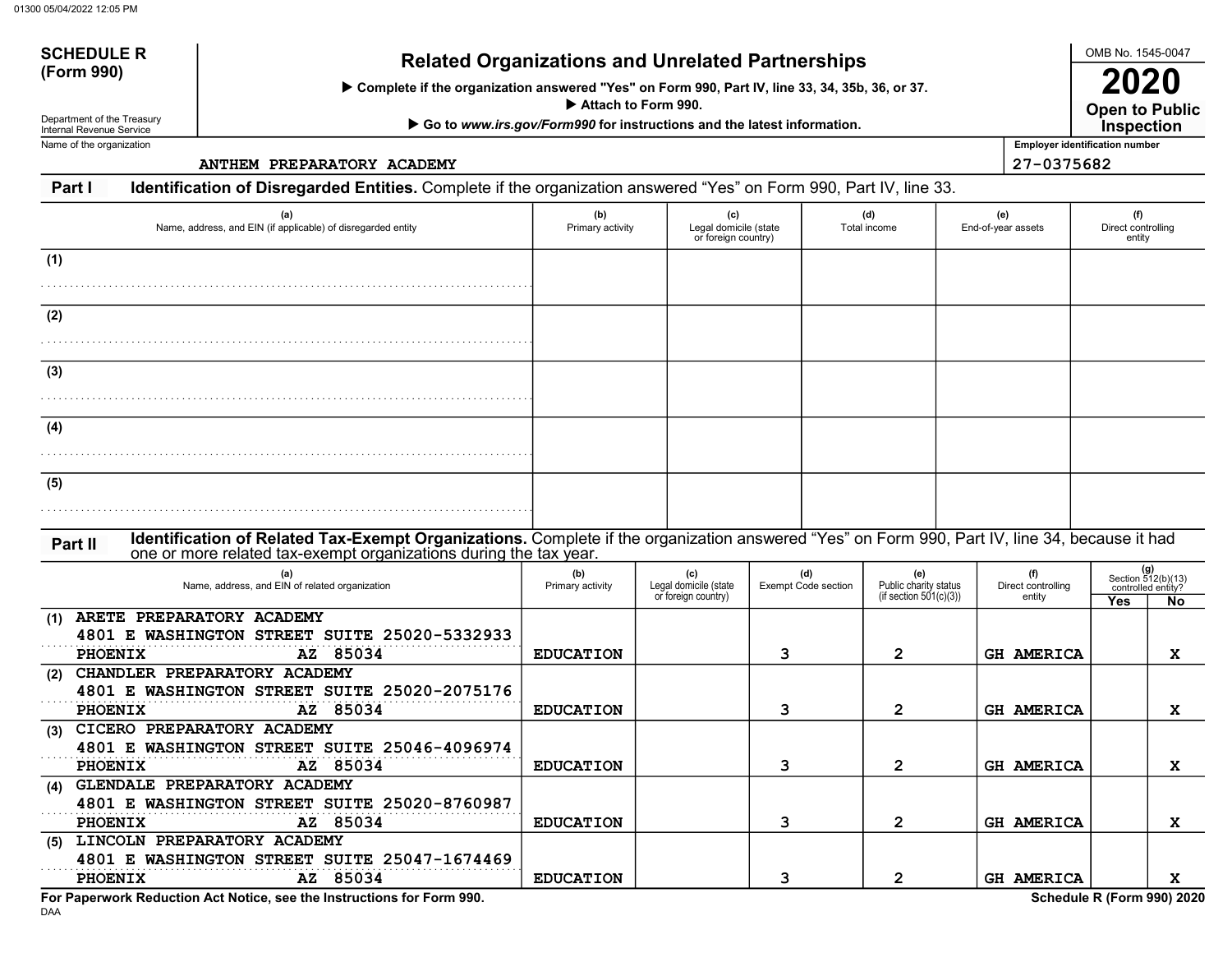# SCHEDULE Related Organizations and Unrelated Partnerships (Form 990)

Complete if the organization answered "Yes" on Form 990, Part IV, line 33, 34, 35b, 36, or 37.

Attach to Form 990.

▶ Go to www.irs.gov/Form990 for instructions and the latest information.

Department of the Treasury Internal Revenue Service Name of the organization

SCHEDULE R

ANTHEM PREPARATORY ACADEMY 27-0375682

Open to Public 2020 Inspection

OMB No. 1545-0047

Employer identification number

Part I Identification of Disregarded Entities. Complete if the organization answered "Yes" on Form 990, Part IV, line 33.

| (a)<br>Name, address, and EIN (if applicable) of disregarded entity                                                                                                                                                           | (b)<br>Primary activity | (c)<br>Legal domicile (state<br>or foreign country) |                                   | (d)<br>Total income                                       | (e)<br>End-of-year assets           | (f)<br>Direct controlling<br>entity |                                                              |
|-------------------------------------------------------------------------------------------------------------------------------------------------------------------------------------------------------------------------------|-------------------------|-----------------------------------------------------|-----------------------------------|-----------------------------------------------------------|-------------------------------------|-------------------------------------|--------------------------------------------------------------|
| (1)                                                                                                                                                                                                                           |                         |                                                     |                                   |                                                           |                                     |                                     |                                                              |
| (2)                                                                                                                                                                                                                           |                         |                                                     |                                   |                                                           |                                     |                                     |                                                              |
| (3)                                                                                                                                                                                                                           |                         |                                                     |                                   |                                                           |                                     |                                     |                                                              |
|                                                                                                                                                                                                                               |                         |                                                     |                                   |                                                           |                                     |                                     |                                                              |
| (4)                                                                                                                                                                                                                           |                         |                                                     |                                   |                                                           |                                     |                                     |                                                              |
| (5)                                                                                                                                                                                                                           |                         |                                                     |                                   |                                                           |                                     |                                     |                                                              |
| Identification of Related Tax-Exempt Organizations. Complete if the organization answered "Yes" on Form 990, Part IV, line 34, because it had<br>Part II<br>one or more related tax-exempt organizations during the tax year. |                         |                                                     |                                   |                                                           |                                     |                                     |                                                              |
| (a)<br>Name, address, and EIN of related organization                                                                                                                                                                         | (b)<br>Primary activity | (c)<br>Legal domicile (state<br>or foreign country) | (d)<br><b>Exempt Code section</b> | (e)<br>Public charity status<br>(if section $501(c)(3)$ ) | (f)<br>Direct controlling<br>entity | Yes                                 | (g)<br>Section 512(b)(13)<br>controlled entity?<br><b>No</b> |
| ARETE PREPARATORY ACADEMY<br>(1)<br>4801 E WASHINGTON STREET SUITE 25020-5332933<br>PHOENIX<br>AZ 85034                                                                                                                       | <b>EDUCATION</b>        |                                                     | 3                                 | $\mathbf{2}$                                              | <b>GH AMERICA</b>                   |                                     | X                                                            |
| CHANDLER PREPARATORY ACADEMY<br>(2)<br>4801 E WASHINGTON STREET SUITE 25020-2075176<br>PHOENIX<br>AZ 85034                                                                                                                    | <b>EDUCATION</b>        |                                                     | 3                                 | $\mathbf{2}$                                              | <b>GH AMERICA</b>                   |                                     | X                                                            |
| CICERO PREPARATORY ACADEMY<br>(3)<br>4801 E WASHINGTON STREET SUITE 25046-4096974<br>PHOENIX<br>AZ 85034                                                                                                                      | <b>EDUCATION</b>        |                                                     | 3                                 | $\overline{2}$                                            | <b>GH AMERICA</b>                   |                                     | $\mathbf{x}$                                                 |
| GLENDALE PREPARATORY ACADEMY<br>(4)<br>4801 E WASHINGTON STREET SUITE 25020-8760987<br>AZ 85034<br>PHOENIX                                                                                                                    | <b>EDUCATION</b>        |                                                     | 3                                 | $\mathbf{2}$                                              | <b>GH AMERICA</b>                   |                                     | $\mathbf{x}$                                                 |
| (5) LINCOLN PREPARATORY ACADEMY<br>4801 E WASHINGTON STREET SUITE 25047-1674469<br>AZ 85034<br><b>PHOENIX</b>                                                                                                                 | <b>EDUCATION</b>        |                                                     | 3                                 | $\mathbf{2}$                                              | <b>GH AMERICA</b>                   |                                     | X                                                            |

DAA For Paperwork Reduction Act Notice, see the Instructions for Form 990. Schedule R (Form 990) 2020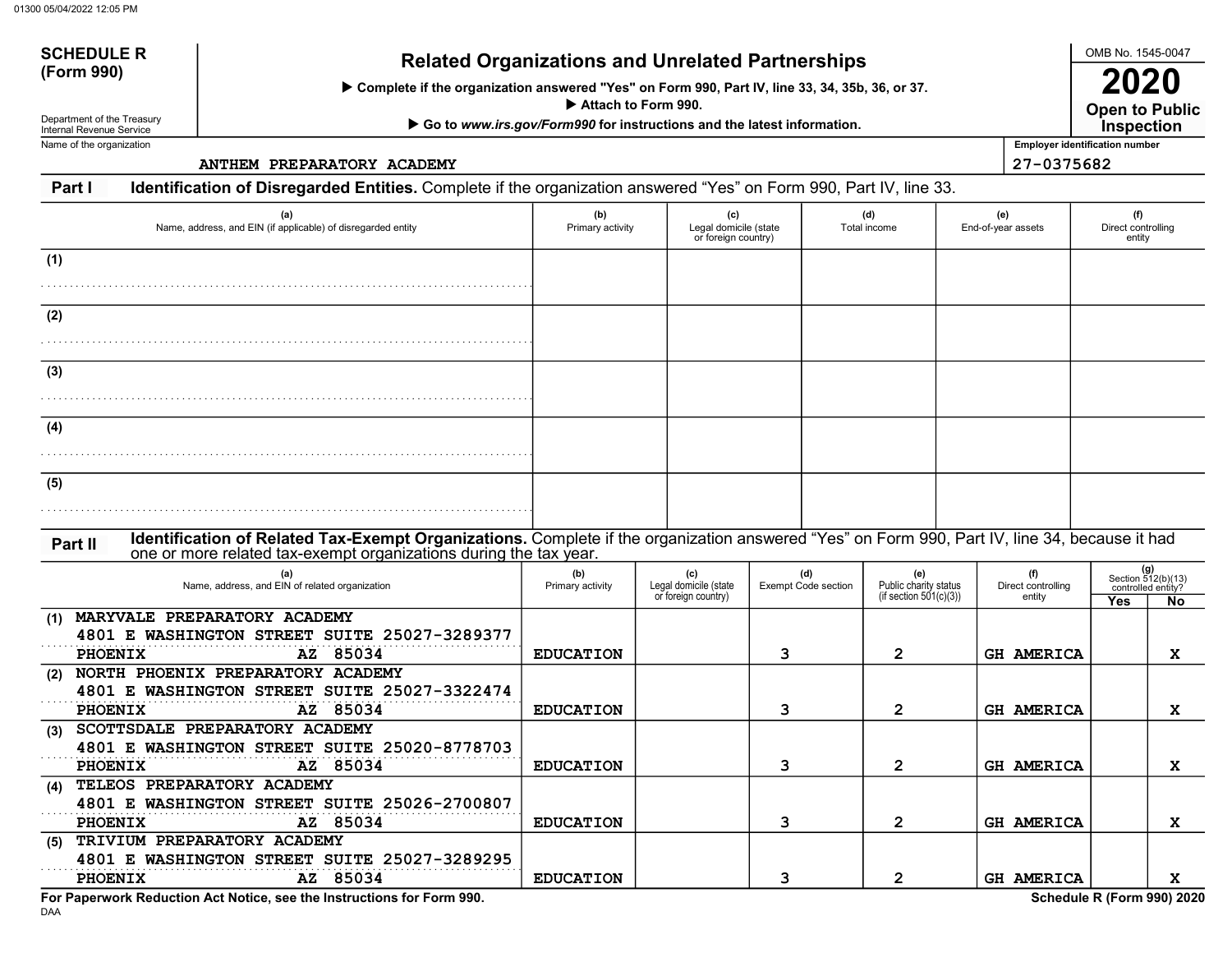# SCHEDULE R<br>(Form 990) Related Organizations and Unrelated Partnerships

Complete if the organization answered "Yes" on Form 990, Part IV, line 33, 34, 35b, 36, or 37.

Attach to Form 990.

▶ Go to www.irs.gov/Form990 for instructions and the latest information.

Department of the Treasury Internal Revenue Service Name of the organization

SCHEDULE R

ANTHEM PREPARATORY ACADEMY 27-0375682

Open to Public 2020 **Inspection** 

OMB No. 1545-0047

Employer identification number

Part I Identification of Disregarded Entities. Complete if the organization answered "Yes" on Form 990, Part IV, line 33.

| (a)<br>Name, address, and EIN (if applicable) of disregarded entity                                                                                                                                                           | (b)<br>Primary activity | (c)<br>Legal domicile (state<br>or foreign country) |                                   | (d)<br>Total income                                       | (e)<br>End-of-year assets           | (f)<br>Direct controlling<br>entity                                   |
|-------------------------------------------------------------------------------------------------------------------------------------------------------------------------------------------------------------------------------|-------------------------|-----------------------------------------------------|-----------------------------------|-----------------------------------------------------------|-------------------------------------|-----------------------------------------------------------------------|
| (1)                                                                                                                                                                                                                           |                         |                                                     |                                   |                                                           |                                     |                                                                       |
| (2)                                                                                                                                                                                                                           |                         |                                                     |                                   |                                                           |                                     |                                                                       |
| (3)                                                                                                                                                                                                                           |                         |                                                     |                                   |                                                           |                                     |                                                                       |
| (4)                                                                                                                                                                                                                           |                         |                                                     |                                   |                                                           |                                     |                                                                       |
| (5)                                                                                                                                                                                                                           |                         |                                                     |                                   |                                                           |                                     |                                                                       |
| Identification of Related Tax-Exempt Organizations. Complete if the organization answered "Yes" on Form 990, Part IV, line 34, because it had<br>Part II<br>one or more related tax-exempt organizations during the tax year. |                         |                                                     |                                   |                                                           |                                     |                                                                       |
| (a)<br>Name, address, and EIN of related organization                                                                                                                                                                         | (b)<br>Primary activity | (c)<br>Legal domicile (state<br>or foreign country) | (d)<br><b>Exempt Code section</b> | (e)<br>Public charity status<br>(if section $501(c)(3)$ ) | (f)<br>Direct controlling<br>entity | $(g)$<br>Section 512(b)(13)<br>controlled entity?<br>Yes<br><b>No</b> |
| MARYVALE PREPARATORY ACADEMY<br>(1)<br>4801 E WASHINGTON STREET SUITE 25027-3289377<br>PHOENIX<br>AZ 85034                                                                                                                    | <b>EDUCATION</b>        |                                                     | 3                                 | $\overline{2}$                                            | <b>GH AMERICA</b>                   | x                                                                     |
| NORTH PHOENIX PREPARATORY ACADEMY<br>(2)<br>4801 E WASHINGTON STREET SUITE 25027-3322474<br>AZ 85034<br><b>PHOENIX</b>                                                                                                        | <b>EDUCATION</b>        |                                                     | 3                                 | $\overline{2}$                                            | <b>GH AMERICA</b>                   | x                                                                     |
| SCOTTSDALE PREPARATORY ACADEMY<br>(3)<br>4801 E WASHINGTON STREET SUITE 25020-8778703<br>PHOENIX<br>AZ 85034                                                                                                                  | <b>EDUCATION</b>        |                                                     | 3                                 | $\overline{2}$                                            | <b>GH AMERICA</b>                   | X                                                                     |
| TELEOS PREPARATORY ACADEMY<br>(4)<br>4801 E WASHINGTON STREET SUITE 25026-2700807<br>PHOENIX<br>AZ 85034                                                                                                                      | <b>EDUCATION</b>        |                                                     | 3                                 | $\mathbf{2}$                                              | GH AMERICA                          | x                                                                     |
| TRIVIUM PREPARATORY ACADEMY<br>(5)<br>4801 E WASHINGTON STREET SUITE 25027-3289295<br>AZ 85034<br><b>PHOENIX</b>                                                                                                              | <b>EDUCATION</b>        |                                                     | 3                                 | $\mathbf{2}$                                              | <b>GH AMERICA</b>                   | x                                                                     |

For Paperwork Reduction Act Notice, see the Instructions for Form 990. Schedule R (Form 990) 2020

DAA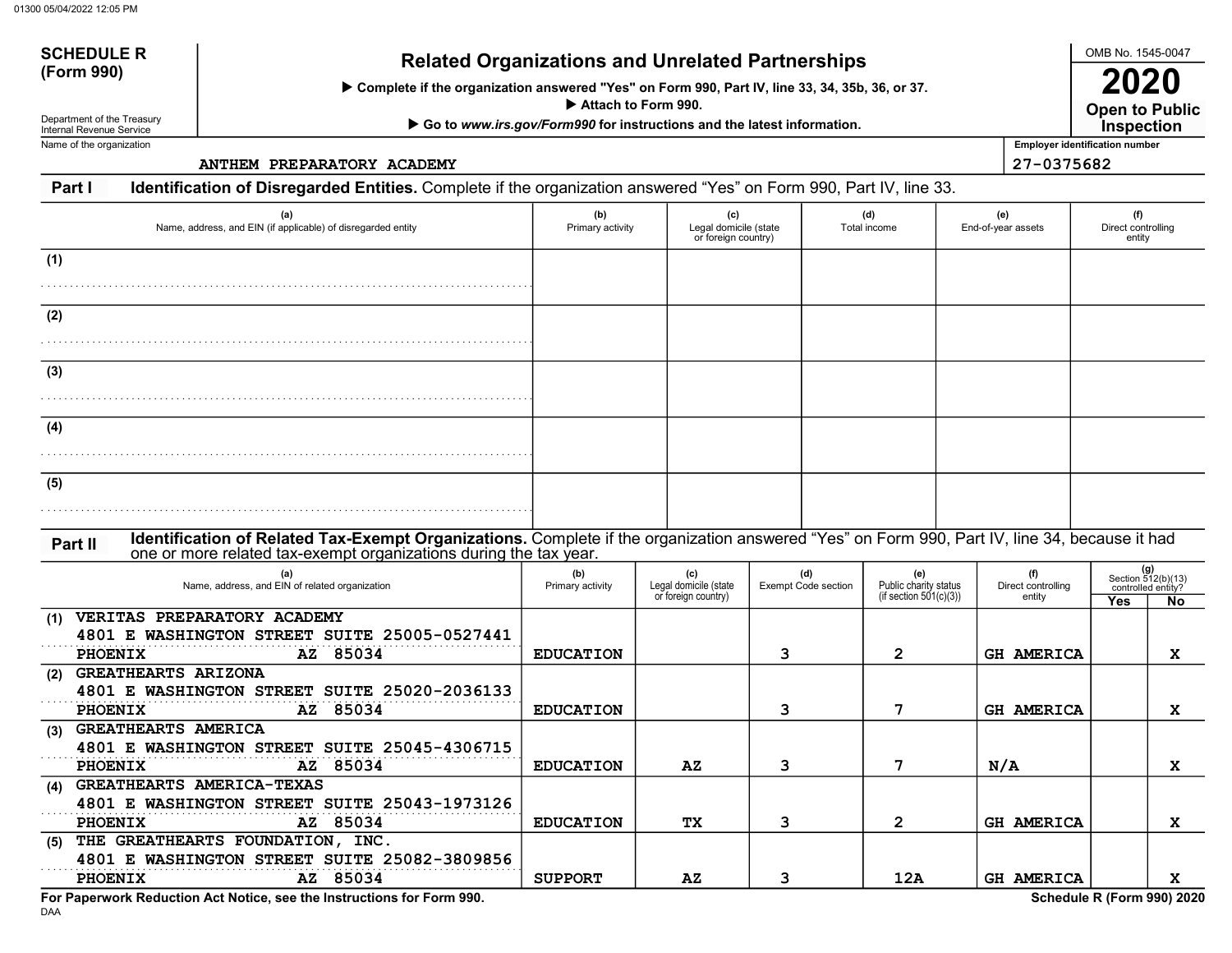# SCHEDULE R<br>(Form 990) Related Organizations and Unrelated Partnerships

Complete if the organization answered "Yes" on Form 990, Part IV, line 33, 34, 35b, 36, or 37.

Attach to Form 990.

▶ Go to www.irs.gov/Form990 for instructions and the latest information.

Department of the Treasury Internal Revenue Service Name of the organization

SCHEDULE R

ANTHEM PREPARATORY ACADEMY 27-0375682

Open to Public 2020 **Inspection** 

OMB No. 1545-0047

Employer identification number

Part I Identification of Disregarded Entities. Complete if the organization answered "Yes" on Form 990, Part IV, line 33.

| (a)<br>Name, address, and EIN (if applicable) of disregarded entity                                                                                                                                                           | (b)<br>Primary activity | (c)<br>Legal domicile (state<br>or foreign country) |                                   | (d)<br>Total income |                                                           | (e)<br>End-of-year assets           | (f)<br>Direct controlling<br>entity |                                                         |
|-------------------------------------------------------------------------------------------------------------------------------------------------------------------------------------------------------------------------------|-------------------------|-----------------------------------------------------|-----------------------------------|---------------------|-----------------------------------------------------------|-------------------------------------|-------------------------------------|---------------------------------------------------------|
| (1)                                                                                                                                                                                                                           |                         |                                                     |                                   |                     |                                                           |                                     |                                     |                                                         |
| (2)                                                                                                                                                                                                                           |                         |                                                     |                                   |                     |                                                           |                                     |                                     |                                                         |
| (3)                                                                                                                                                                                                                           |                         |                                                     |                                   |                     |                                                           |                                     |                                     |                                                         |
| (4)                                                                                                                                                                                                                           |                         |                                                     |                                   |                     |                                                           |                                     |                                     |                                                         |
| (5)                                                                                                                                                                                                                           |                         |                                                     |                                   |                     |                                                           |                                     |                                     |                                                         |
| Identification of Related Tax-Exempt Organizations. Complete if the organization answered "Yes" on Form 990, Part IV, line 34, because it had<br>Part II<br>one or more related tax-exempt organizations during the tax year. |                         |                                                     |                                   |                     |                                                           |                                     |                                     |                                                         |
| (a)<br>Name, address, and EIN of related organization                                                                                                                                                                         | (b)<br>Primary activity | (c)<br>Legal domicile (state<br>or foreign country) | (d)<br><b>Exempt Code section</b> |                     | (e)<br>Public charity status<br>(if section $501(c)(3)$ ) | (f)<br>Direct controlling<br>entity | Yes                                 | $(g)$<br>Section 512(b)(13)<br>controlled entity?<br>No |
| VERITAS PREPARATORY ACADEMY<br>(1)<br>4801 E WASHINGTON STREET SUITE 25005-0527441<br>PHOENIX<br>AZ 85034                                                                                                                     | <b>EDUCATION</b>        |                                                     | 3                                 |                     | $\overline{2}$                                            | <b>GH AMERICA</b>                   |                                     | $\mathbf{x}$                                            |
| <b>GREATHEARTS ARIZONA</b><br>(2)<br>4801 E WASHINGTON STREET SUITE 25020-2036133<br><b>PHOENIX</b><br>AZ 85034                                                                                                               | <b>EDUCATION</b>        |                                                     | 3                                 |                     | 7                                                         | <b>GH AMERICA</b>                   |                                     | X                                                       |
| <b>GREATHEARTS AMERICA</b><br>(3)<br>4801 E WASHINGTON STREET SUITE 25045-4306715<br>85034<br><b>PHOENIX</b><br>AZ                                                                                                            | <b>EDUCATION</b>        | $\mathbf{A} \mathbf{Z}$                             | 3                                 |                     | 7                                                         | N/A                                 |                                     | X                                                       |
| <b>GREATHEARTS AMERICA-TEXAS</b><br>(4)<br>4801 E WASHINGTON STREET SUITE 25043-1973126<br>AZ 85034<br><b>PHOENIX</b>                                                                                                         | <b>EDUCATION</b>        | TХ                                                  | 3                                 |                     | $\overline{2}$                                            | <b>GH AMERICA</b>                   |                                     | X                                                       |
| THE GREATHEARTS FOUNDATION, INC.<br>(5)<br>4801 E WASHINGTON STREET SUITE 25082-3809856<br>AZ 85034<br><b>PHOENIX</b>                                                                                                         | <b>SUPPORT</b>          | AZ                                                  | 3                                 |                     | 12A                                                       | <b>GH AMERICA</b>                   |                                     | X                                                       |

For Paperwork Reduction Act Notice, see the Instructions for Form 990. Schedule R (Form 990) 2020

DAA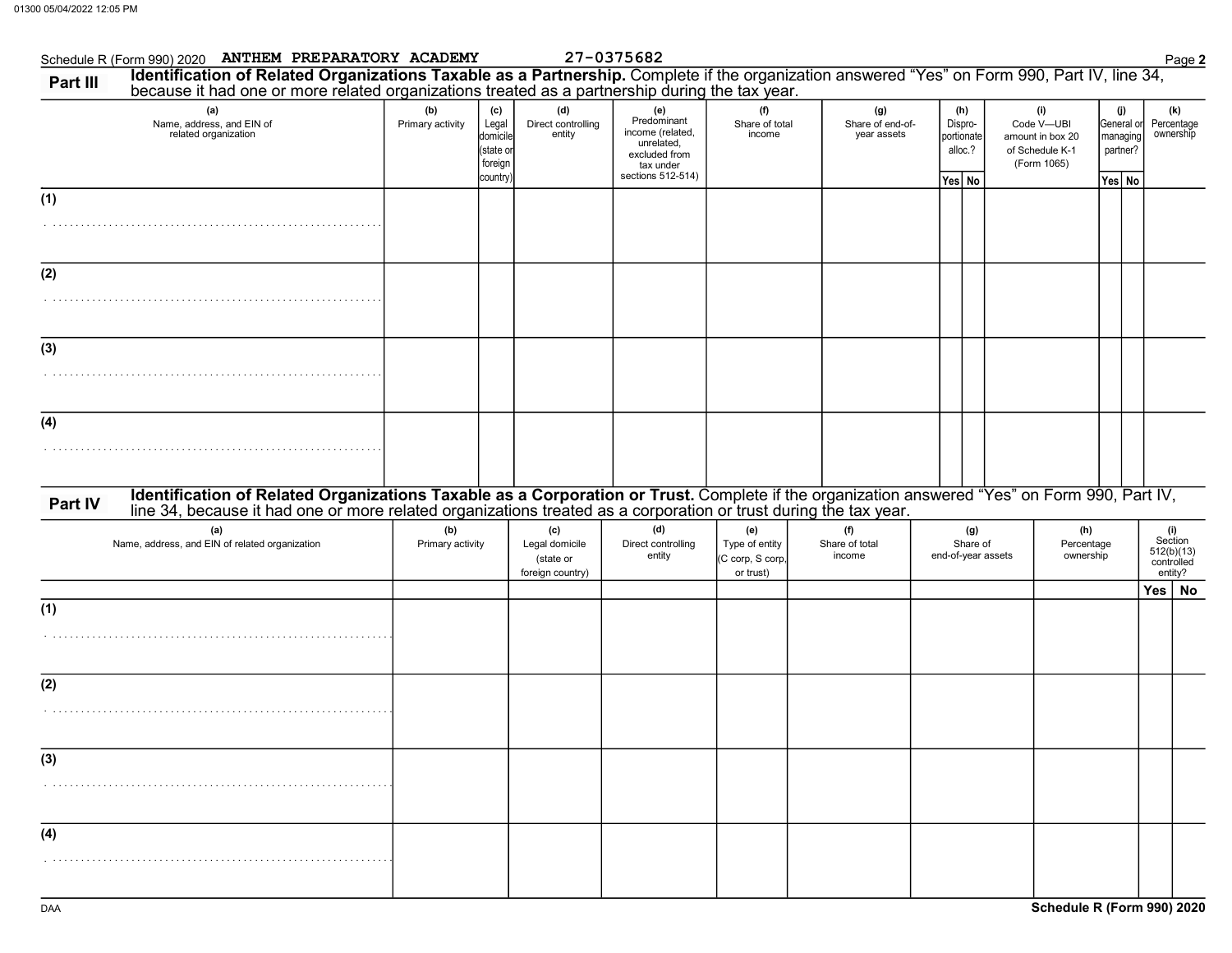|          | Schedule R (Form 990) 2020 ANTHEM PREPARATORY ACADEMY                                                                                                                                                                          |                         |                                                              |                                                        | 27-0375682                                                                                              |                                                        |                                        |                                                   |                                                                         |                                                     | Page 2                                                |
|----------|--------------------------------------------------------------------------------------------------------------------------------------------------------------------------------------------------------------------------------|-------------------------|--------------------------------------------------------------|--------------------------------------------------------|---------------------------------------------------------------------------------------------------------|--------------------------------------------------------|----------------------------------------|---------------------------------------------------|-------------------------------------------------------------------------|-----------------------------------------------------|-------------------------------------------------------|
| Part III | Identification of Related Organizations Taxable as a Partnership. Complete if the organization answered "Yes" on Form 990, Part IV, line 34, because it had one or more related organizations treated as a partnership during  |                         |                                                              |                                                        |                                                                                                         |                                                        |                                        |                                                   |                                                                         |                                                     |                                                       |
|          | (a)<br>Name, address, and EIN of<br>related organization                                                                                                                                                                       | (b)<br>Primary activity | (c)<br>Legal<br>domicile<br>(state or<br>foreign<br>country) | (d)<br>Direct controlling<br>entity                    | (e)<br>Predominant<br>income (related,<br>unrelated,<br>excluded from<br>tax under<br>sections 512-514) | (f)<br>Share of total<br>income                        | (g)<br>Share of end-of-<br>year assets | (h)<br>Dispro-<br>portionate<br>alloc.?<br>Yes No | (i)<br>Code V-UBI<br>amount in box 20<br>of Schedule K-1<br>(Form 1065) | (j)<br>General or<br>managing<br>partner?<br>Yes No | (k)<br>Percentage<br>ownership                        |
| (1)      |                                                                                                                                                                                                                                |                         |                                                              |                                                        |                                                                                                         |                                                        |                                        |                                                   |                                                                         |                                                     |                                                       |
| (2)      |                                                                                                                                                                                                                                |                         |                                                              |                                                        |                                                                                                         |                                                        |                                        |                                                   |                                                                         |                                                     |                                                       |
| (3)      |                                                                                                                                                                                                                                |                         |                                                              |                                                        |                                                                                                         |                                                        |                                        |                                                   |                                                                         |                                                     |                                                       |
| (4)      |                                                                                                                                                                                                                                |                         |                                                              |                                                        |                                                                                                         |                                                        |                                        |                                                   |                                                                         |                                                     |                                                       |
| Part IV  | Identification of Related Organizations Taxable as a Corporation or Trust. Complete if the organization answered "Yes" on Form 990, Part IV, line 34, because it had one or more related organizations treated as a corporatio |                         |                                                              |                                                        |                                                                                                         |                                                        |                                        |                                                   |                                                                         |                                                     |                                                       |
|          | (a)<br>Name, address, and EIN of related organization                                                                                                                                                                          | (b)<br>Primary activity |                                                              | (c)<br>Legal domicile<br>(state or<br>foreign country) | (d)<br>Direct controlling<br>entity                                                                     | (e)<br>Type of entity<br>(C corp, S corp,<br>or trust) | (f)<br>Share of total<br>income        | (g)<br>Share of<br>end-of-year assets             | (h)<br>Percentage<br>ownership                                          |                                                     | (i)<br>Section<br>512(b)(13)<br>controlled<br>entity? |
| (1)      |                                                                                                                                                                                                                                |                         |                                                              |                                                        |                                                                                                         |                                                        |                                        |                                                   |                                                                         |                                                     | Yes   No                                              |
| (2)      |                                                                                                                                                                                                                                |                         |                                                              |                                                        |                                                                                                         |                                                        |                                        |                                                   |                                                                         |                                                     |                                                       |
| (3)      |                                                                                                                                                                                                                                |                         |                                                              |                                                        |                                                                                                         |                                                        |                                        |                                                   |                                                                         |                                                     |                                                       |
| (4)      |                                                                                                                                                                                                                                |                         |                                                              |                                                        |                                                                                                         |                                                        |                                        |                                                   |                                                                         |                                                     |                                                       |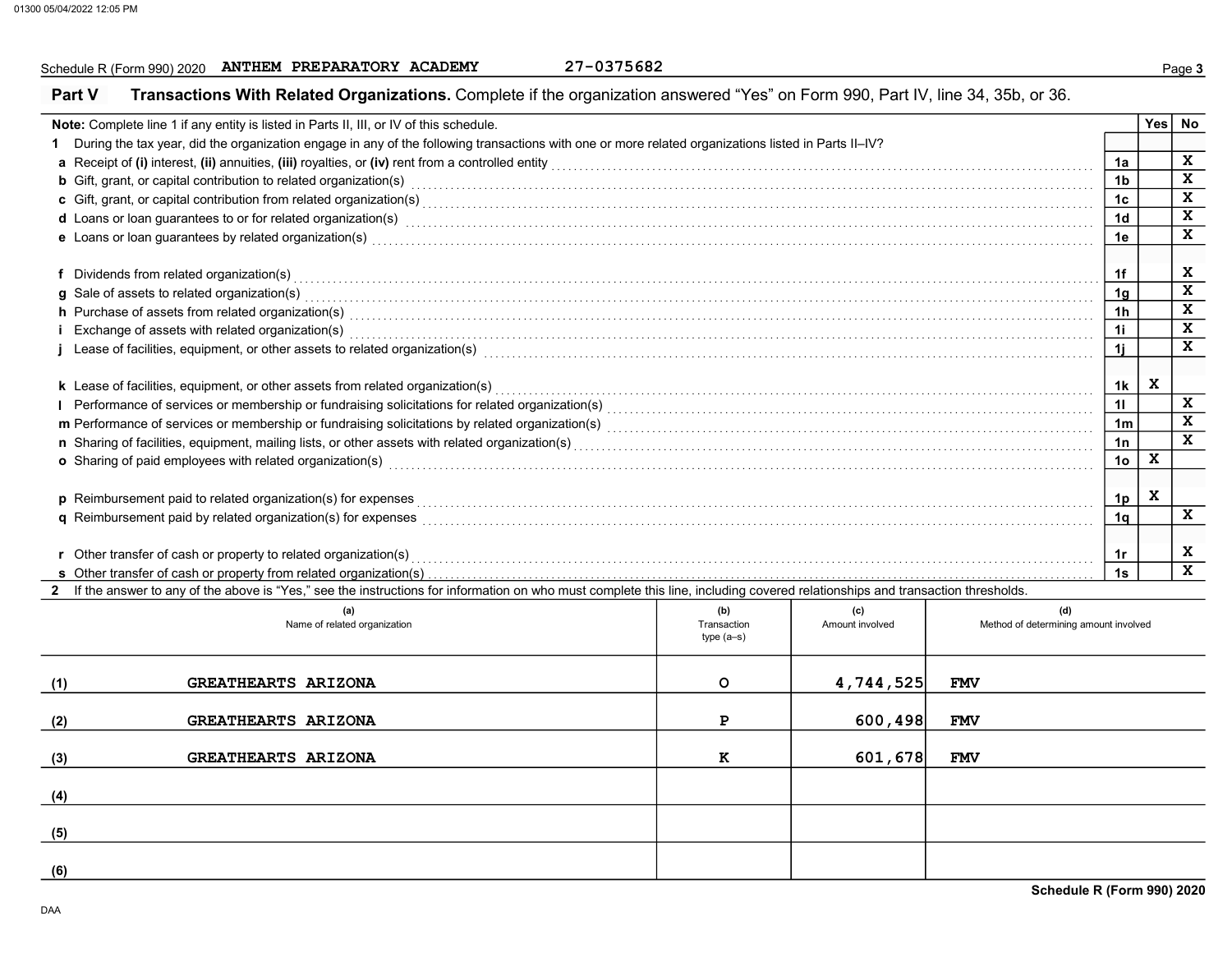## Schedule R (Form 990) 2020 ANTHEM PREPARATORY ACADEMY 27-0375682<br>
Page 3

|                                                                                                                                                                                                                                | Note: Complete line 1 if any entity is listed in Parts II, III, or IV of this schedule.                                                                                                                                             |                    |                        |                                              |                |              | Yes No       |  |  |
|--------------------------------------------------------------------------------------------------------------------------------------------------------------------------------------------------------------------------------|-------------------------------------------------------------------------------------------------------------------------------------------------------------------------------------------------------------------------------------|--------------------|------------------------|----------------------------------------------|----------------|--------------|--------------|--|--|
| 1.                                                                                                                                                                                                                             | During the tax year, did the organization engage in any of the following transactions with one or more related organizations listed in Parts II-IV?                                                                                 |                    |                        |                                              |                |              |              |  |  |
|                                                                                                                                                                                                                                |                                                                                                                                                                                                                                     |                    |                        |                                              | 1a             |              | X            |  |  |
|                                                                                                                                                                                                                                | <b>b</b> Gift, grant, or capital contribution to related organization(s) encourse conserved conserved conserved contribution to related organization(s)                                                                             |                    |                        |                                              | 1 <sub>b</sub> |              | $\mathbf x$  |  |  |
|                                                                                                                                                                                                                                |                                                                                                                                                                                                                                     |                    |                        |                                              | 1c             |              | $\mathbf x$  |  |  |
|                                                                                                                                                                                                                                | d Loans or loan guarantees to or for related organization(s)<br>interaction contract to contract the contraction of the contract or contract to contract the contract or contract or contract to contract the contract or contra    |                    |                        |                                              | 1 <sub>d</sub> |              | $\mathbf x$  |  |  |
|                                                                                                                                                                                                                                | e Loans or loan guarantees by related organization(s)<br>interaction continuous continuous continuous continuous continuous contractions and the contract or continuous                                                             |                    |                        |                                              | 1e             |              | $\mathbf x$  |  |  |
|                                                                                                                                                                                                                                |                                                                                                                                                                                                                                     |                    |                        |                                              |                |              |              |  |  |
|                                                                                                                                                                                                                                | f Dividends from related organization(s) encourance contains a substantial container and providends from related organization(s)                                                                                                    |                    |                        |                                              | 1f             |              | X            |  |  |
|                                                                                                                                                                                                                                | g Sale of assets to related organization(s)<br>interaction continuous continuous continuous continuous continuous contraction of the contract of the contract or contract of the contract of the contract of the contract of the    |                    |                        |                                              | 1q             |              | $\mathbf x$  |  |  |
|                                                                                                                                                                                                                                | h Purchase of assets from related organization(s) with an intervention of the content of the content of assets from related organization(s)                                                                                         |                    |                        |                                              | 1 <sub>h</sub> |              | $\mathbf x$  |  |  |
|                                                                                                                                                                                                                                | Exchange of assets with related organization(s) excess contact the control of the control of the control of the control or control or the control or contact or control or control or control or control or control or control      |                    |                        |                                              | 1i             |              | $\mathbf{x}$ |  |  |
|                                                                                                                                                                                                                                | Lease of facilities, equipment, or other assets to related organization(s) enconverse contained and contained and contained and facilities, equipment, or other assets to related organization(s) enconverse contained and con      |                    |                        |                                              | 1i             |              | $\mathbf{x}$ |  |  |
|                                                                                                                                                                                                                                |                                                                                                                                                                                                                                     |                    |                        |                                              |                |              |              |  |  |
|                                                                                                                                                                                                                                | k Lease of facilities, equipment, or other assets from related organization(s)                                                                                                                                                      |                    |                        |                                              | 1k             | X            |              |  |  |
|                                                                                                                                                                                                                                |                                                                                                                                                                                                                                     |                    |                        |                                              | 11             |              | X<br>X       |  |  |
|                                                                                                                                                                                                                                |                                                                                                                                                                                                                                     |                    |                        |                                              |                |              |              |  |  |
| n Sharing of facilities, equipment, mailing lists, or other assets with related organization(s) [1] content content content content content content content content content content content content content content content co |                                                                                                                                                                                                                                     |                    |                        |                                              |                |              |              |  |  |
|                                                                                                                                                                                                                                | o Sharing of paid employees with related organization(s) encourance contains an account of the state of the state or state or state or state or state or state or state or state or state or state or state or state or state       |                    |                        |                                              | 1 <sub>o</sub> | $\mathbf{x}$ |              |  |  |
|                                                                                                                                                                                                                                |                                                                                                                                                                                                                                     |                    |                        |                                              |                |              |              |  |  |
|                                                                                                                                                                                                                                | <b>p</b> Reimbursement paid to related organization(s) for expenses                                                                                                                                                                 |                    |                        |                                              | 1 <sub>p</sub> | $\mathbf{x}$ |              |  |  |
|                                                                                                                                                                                                                                | q Reimbursement paid by related organization(s) for expenses <b>construction construction</b> construction construction construction construction construction construction construction construction construction construction con |                    |                        |                                              | 1q             |              | X            |  |  |
|                                                                                                                                                                                                                                |                                                                                                                                                                                                                                     |                    |                        |                                              |                |              |              |  |  |
|                                                                                                                                                                                                                                | r Other transfer of cash or property to related organization(s) encourance contains an example and contained and contained and contained and contained and contained and contained and contained and contained and contained a      |                    |                        |                                              | 1r             |              | x            |  |  |
|                                                                                                                                                                                                                                |                                                                                                                                                                                                                                     |                    |                        |                                              | 1s             |              | $\mathbf x$  |  |  |
|                                                                                                                                                                                                                                | If the answer to any of the above is "Yes," see the instructions for information on who must complete this line, including covered relationships and transaction thresholds.                                                        |                    |                        |                                              |                |              |              |  |  |
|                                                                                                                                                                                                                                | (a)<br>Name of related organization                                                                                                                                                                                                 | (b)<br>Transaction | (c)<br>Amount involved | (d)<br>Method of determining amount involved |                |              |              |  |  |
|                                                                                                                                                                                                                                |                                                                                                                                                                                                                                     | type $(a-s)$       |                        |                                              |                |              |              |  |  |
|                                                                                                                                                                                                                                |                                                                                                                                                                                                                                     |                    |                        |                                              |                |              |              |  |  |
| (1)                                                                                                                                                                                                                            | GREATHEARTS ARIZONA                                                                                                                                                                                                                 | $\circ$            | 4,744,525              | <b>FMV</b>                                   |                |              |              |  |  |
|                                                                                                                                                                                                                                |                                                                                                                                                                                                                                     |                    |                        |                                              |                |              |              |  |  |
| (2)                                                                                                                                                                                                                            | <b>GREATHEARTS ARIZONA</b>                                                                                                                                                                                                          | P                  | 600, 498               | <b>FMV</b>                                   |                |              |              |  |  |
|                                                                                                                                                                                                                                |                                                                                                                                                                                                                                     |                    |                        |                                              |                |              |              |  |  |
| (3)                                                                                                                                                                                                                            | <b>GREATHEARTS ARIZONA</b>                                                                                                                                                                                                          | к                  | 601,678                | <b>FMV</b>                                   |                |              |              |  |  |
|                                                                                                                                                                                                                                |                                                                                                                                                                                                                                     |                    |                        |                                              |                |              |              |  |  |
| (4)                                                                                                                                                                                                                            |                                                                                                                                                                                                                                     |                    |                        |                                              |                |              |              |  |  |
|                                                                                                                                                                                                                                |                                                                                                                                                                                                                                     |                    |                        |                                              |                |              |              |  |  |
| (5)                                                                                                                                                                                                                            |                                                                                                                                                                                                                                     |                    |                        |                                              |                |              |              |  |  |

 $(6)$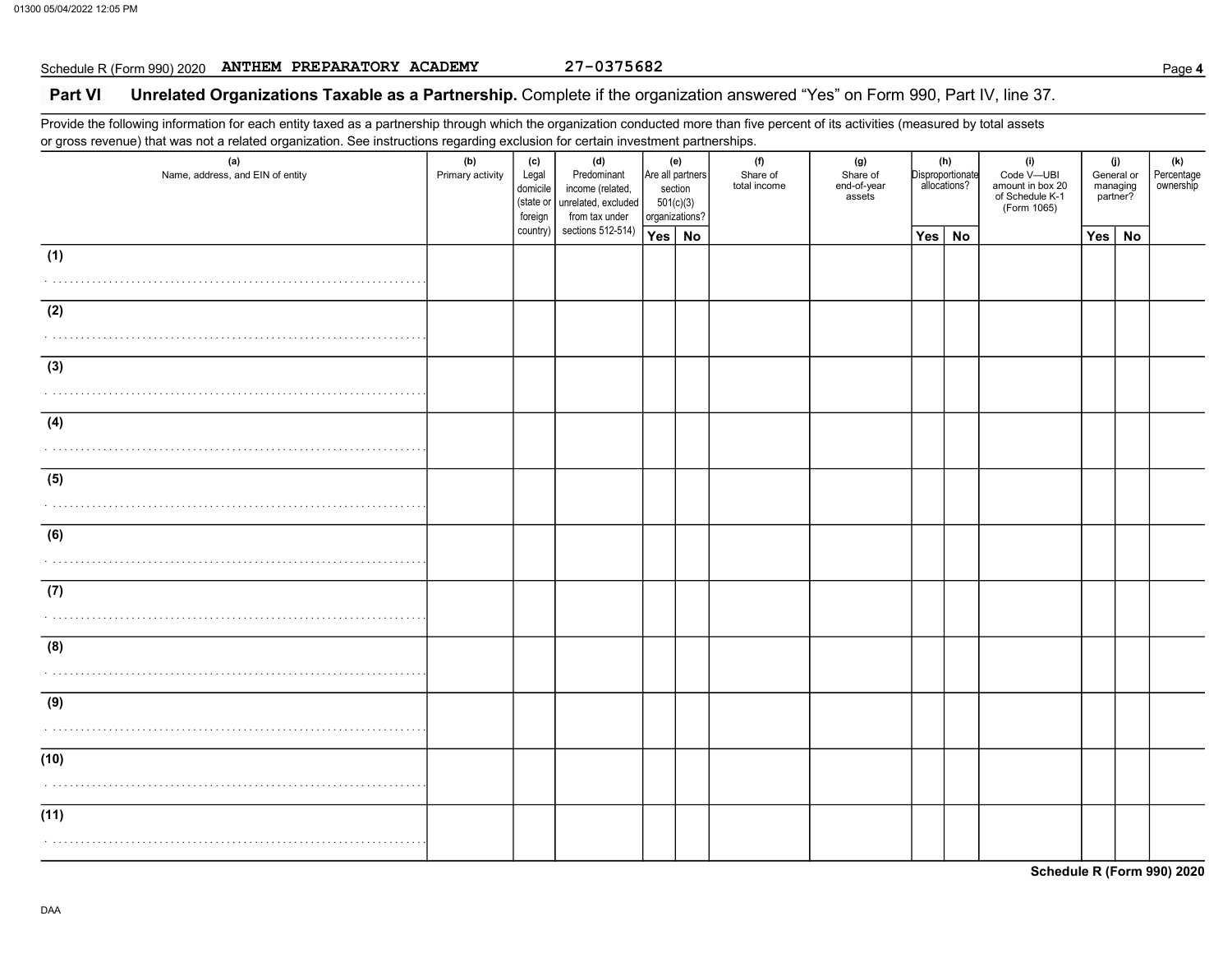## Schedule R (Form 990) 2020 ANTHEM PREPARATORY ACADEMY 27-0375682<br>
Page 4

### Part VI Unrelated Organizations Taxable as a Partnership. Complete if the organization answered "Yes" on Form 990, Part IV, line 37.

Provide the following information for each entity taxed as a partnership through which the organization conducted more than five percent of its activities (measured by total assets or gross revenue) that was not a related organization. See instructions regarding exclusion for certain investment partnerships.

| $\sim$<br>ັ<br>(a)<br>Name, address, and EIN of entity | ັ<br>ັ<br>(b)<br>Primary activity | (c)<br>Legal<br>domicile<br>(state or<br>foreign | (d)<br>Predominant<br>income (related,<br>unrelated, excluded<br>from tax under | (e)<br>Are all partners<br>section<br>501(c)(3)<br>organizations? |  | (f)<br>Share of<br>total income | (g)<br>Share of<br>end-of-year<br>assets |          | (h)<br>Disproportionate<br>allocations? | (i)<br>Code V-UBI<br>amount in box 20<br>of Schedule K-1<br>(Form 1065) |     | (j)<br>General or<br>managing<br>partner? | (k)<br>Percentage<br>ownership |
|--------------------------------------------------------|-----------------------------------|--------------------------------------------------|---------------------------------------------------------------------------------|-------------------------------------------------------------------|--|---------------------------------|------------------------------------------|----------|-----------------------------------------|-------------------------------------------------------------------------|-----|-------------------------------------------|--------------------------------|
|                                                        |                                   | country)                                         | sections 512-514)                                                               | Yes   No                                                          |  |                                 |                                          | Yes   No |                                         |                                                                         | Yes | <b>No</b>                                 |                                |
| (1)                                                    |                                   |                                                  |                                                                                 |                                                                   |  |                                 |                                          |          |                                         |                                                                         |     |                                           |                                |
|                                                        |                                   |                                                  |                                                                                 |                                                                   |  |                                 |                                          |          |                                         |                                                                         |     |                                           |                                |
| (2)                                                    |                                   |                                                  |                                                                                 |                                                                   |  |                                 |                                          |          |                                         |                                                                         |     |                                           |                                |
|                                                        |                                   |                                                  |                                                                                 |                                                                   |  |                                 |                                          |          |                                         |                                                                         |     |                                           |                                |
| (3)                                                    |                                   |                                                  |                                                                                 |                                                                   |  |                                 |                                          |          |                                         |                                                                         |     |                                           |                                |
| .                                                      |                                   |                                                  |                                                                                 |                                                                   |  |                                 |                                          |          |                                         |                                                                         |     |                                           |                                |
|                                                        |                                   |                                                  |                                                                                 |                                                                   |  |                                 |                                          |          |                                         |                                                                         |     |                                           |                                |
| (4)                                                    |                                   |                                                  |                                                                                 |                                                                   |  |                                 |                                          |          |                                         |                                                                         |     |                                           |                                |
|                                                        |                                   |                                                  |                                                                                 |                                                                   |  |                                 |                                          |          |                                         |                                                                         |     |                                           |                                |
| (5)                                                    |                                   |                                                  |                                                                                 |                                                                   |  |                                 |                                          |          |                                         |                                                                         |     |                                           |                                |
|                                                        |                                   |                                                  |                                                                                 |                                                                   |  |                                 |                                          |          |                                         |                                                                         |     |                                           |                                |
| (6)                                                    |                                   |                                                  |                                                                                 |                                                                   |  |                                 |                                          |          |                                         |                                                                         |     |                                           |                                |
|                                                        |                                   |                                                  |                                                                                 |                                                                   |  |                                 |                                          |          |                                         |                                                                         |     |                                           |                                |
|                                                        |                                   |                                                  |                                                                                 |                                                                   |  |                                 |                                          |          |                                         |                                                                         |     |                                           |                                |
| (7)                                                    |                                   |                                                  |                                                                                 |                                                                   |  |                                 |                                          |          |                                         |                                                                         |     |                                           |                                |
|                                                        |                                   |                                                  |                                                                                 |                                                                   |  |                                 |                                          |          |                                         |                                                                         |     |                                           |                                |
| (8)                                                    |                                   |                                                  |                                                                                 |                                                                   |  |                                 |                                          |          |                                         |                                                                         |     |                                           |                                |
|                                                        |                                   |                                                  |                                                                                 |                                                                   |  |                                 |                                          |          |                                         |                                                                         |     |                                           |                                |
| (9)                                                    |                                   |                                                  |                                                                                 |                                                                   |  |                                 |                                          |          |                                         |                                                                         |     |                                           |                                |
|                                                        |                                   |                                                  |                                                                                 |                                                                   |  |                                 |                                          |          |                                         |                                                                         |     |                                           |                                |
| (10)                                                   |                                   |                                                  |                                                                                 |                                                                   |  |                                 |                                          |          |                                         |                                                                         |     |                                           |                                |
|                                                        |                                   |                                                  |                                                                                 |                                                                   |  |                                 |                                          |          |                                         |                                                                         |     |                                           |                                |
|                                                        |                                   |                                                  |                                                                                 |                                                                   |  |                                 |                                          |          |                                         |                                                                         |     |                                           |                                |
| (11)                                                   |                                   |                                                  |                                                                                 |                                                                   |  |                                 |                                          |          |                                         |                                                                         |     |                                           |                                |
|                                                        |                                   |                                                  |                                                                                 |                                                                   |  |                                 |                                          |          |                                         |                                                                         |     |                                           |                                |
|                                                        |                                   |                                                  |                                                                                 |                                                                   |  |                                 |                                          |          |                                         |                                                                         |     |                                           |                                |

Schedule R (Form 990) 2020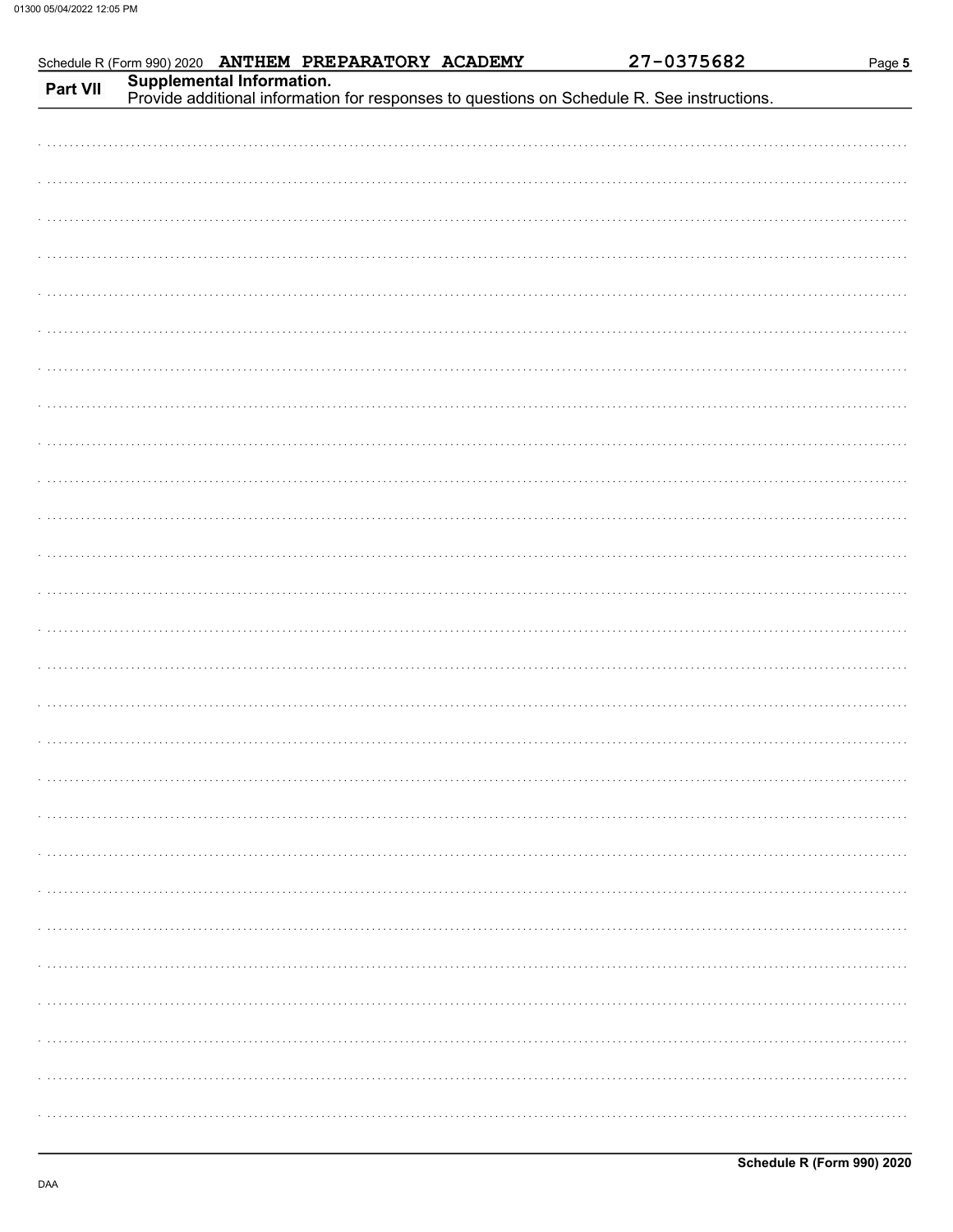|          |  | Schedule R (Form 990) 2020 ANTHEM PREPARATORY ACADEMY |                                                                                                                         | 27-0375682 | Page 5 |
|----------|--|-------------------------------------------------------|-------------------------------------------------------------------------------------------------------------------------|------------|--------|
| Part VII |  |                                                       | Supplemental Information.<br>Provide additional information for responses to questions on Schedule R. See instructions. |            |        |
|          |  |                                                       |                                                                                                                         |            |        |
|          |  |                                                       |                                                                                                                         |            |        |
|          |  |                                                       |                                                                                                                         |            |        |
|          |  |                                                       |                                                                                                                         |            |        |
|          |  |                                                       |                                                                                                                         |            |        |
|          |  |                                                       |                                                                                                                         |            |        |
|          |  |                                                       |                                                                                                                         |            |        |
|          |  |                                                       |                                                                                                                         |            |        |
|          |  |                                                       |                                                                                                                         |            |        |
|          |  |                                                       |                                                                                                                         |            |        |
|          |  |                                                       |                                                                                                                         |            |        |
|          |  |                                                       |                                                                                                                         |            |        |
|          |  |                                                       |                                                                                                                         |            |        |
|          |  |                                                       |                                                                                                                         |            |        |
|          |  |                                                       |                                                                                                                         |            |        |
|          |  |                                                       |                                                                                                                         |            |        |
|          |  |                                                       |                                                                                                                         |            |        |
|          |  |                                                       |                                                                                                                         |            |        |
|          |  |                                                       |                                                                                                                         |            |        |
|          |  |                                                       |                                                                                                                         |            |        |
|          |  |                                                       |                                                                                                                         |            |        |
|          |  |                                                       |                                                                                                                         |            |        |
|          |  |                                                       |                                                                                                                         |            |        |
|          |  |                                                       |                                                                                                                         |            |        |
|          |  |                                                       |                                                                                                                         |            |        |
|          |  |                                                       |                                                                                                                         |            |        |
|          |  |                                                       |                                                                                                                         |            |        |
|          |  |                                                       |                                                                                                                         |            |        |
|          |  |                                                       |                                                                                                                         |            |        |
|          |  |                                                       |                                                                                                                         |            |        |
|          |  |                                                       |                                                                                                                         |            |        |
|          |  |                                                       |                                                                                                                         |            |        |
|          |  |                                                       |                                                                                                                         |            |        |
|          |  |                                                       |                                                                                                                         |            |        |
|          |  |                                                       |                                                                                                                         |            |        |
|          |  |                                                       |                                                                                                                         |            |        |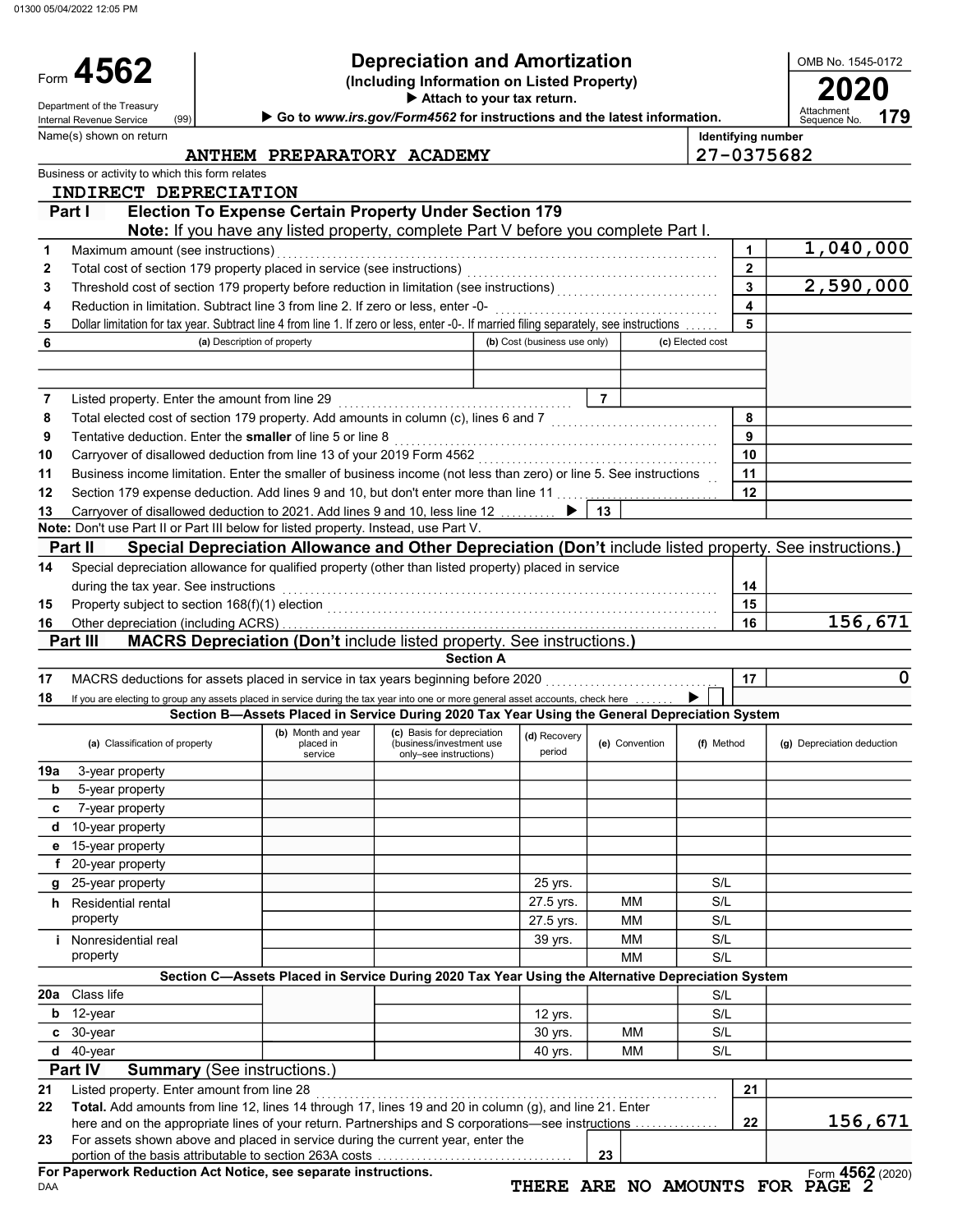01300 05/04/2022 12:05 PM

Form 4562

(Including Information on Listed Property) **4562** Depreciation and Amortization<br>(Including Information on Listed Property)<br>Attach to your tax return.

▶ Attach to your tax return.

|     | Department of the Treasury<br>(99)<br>Internal Revenue Service                                                                          |                                            | Go to www.irs.gov/Form4562 for instructions and the latest information.                           |                              |                |                  |              | Attachment<br>179<br>Sequence No. |
|-----|-----------------------------------------------------------------------------------------------------------------------------------------|--------------------------------------------|---------------------------------------------------------------------------------------------------|------------------------------|----------------|------------------|--------------|-----------------------------------|
|     | Name(s) shown on return                                                                                                                 |                                            |                                                                                                   |                              |                |                  |              | <b>Identifying number</b>         |
|     |                                                                                                                                         |                                            | ANTHEM PREPARATORY ACADEMY                                                                        |                              |                |                  |              | 27-0375682                        |
|     | Business or activity to which this form relates                                                                                         |                                            |                                                                                                   |                              |                |                  |              |                                   |
|     | INDIRECT DEPRECIATION                                                                                                                   |                                            |                                                                                                   |                              |                |                  |              |                                   |
|     | <b>Election To Expense Certain Property Under Section 179</b><br>Part I                                                                 |                                            |                                                                                                   |                              |                |                  |              |                                   |
|     | Note: If you have any listed property, complete Part V before you complete Part I.                                                      |                                            |                                                                                                   |                              |                |                  |              |                                   |
| 1   | Maximum amount (see instructions)                                                                                                       |                                            |                                                                                                   |                              |                |                  | 1            | 1,040,000                         |
| 2   | Total cost of section 179 property placed in service (see instructions)                                                                 |                                            |                                                                                                   |                              |                |                  | $\mathbf{2}$ |                                   |
| 3   | Threshold cost of section 179 property before reduction in limitation (see instructions)                                                |                                            |                                                                                                   |                              |                |                  | 3            | 2,590,000                         |
| 4   | Reduction in limitation. Subtract line 3 from line 2. If zero or less, enter -0-                                                        |                                            |                                                                                                   |                              |                |                  | 4            |                                   |
| 5   | Dollar limitation for tax year. Subtract line 4 from line 1. If zero or less, enter -0-. If married filing separately, see instructions |                                            |                                                                                                   |                              |                |                  | 5            |                                   |
| 6   | (a) Description of property                                                                                                             |                                            |                                                                                                   | (b) Cost (business use only) |                | (c) Elected cost |              |                                   |
|     |                                                                                                                                         |                                            |                                                                                                   |                              |                |                  |              |                                   |
|     |                                                                                                                                         |                                            |                                                                                                   |                              |                |                  |              |                                   |
| 7   | Listed property. Enter the amount from line 29                                                                                          |                                            |                                                                                                   |                              | $\overline{7}$ |                  |              |                                   |
| 8   | Total elected cost of section 179 property. Add amounts in column (c), lines 6 and 7                                                    |                                            |                                                                                                   |                              |                |                  | 8            |                                   |
| 9   | Tentative deduction. Enter the smaller of line 5 or line 8                                                                              |                                            |                                                                                                   |                              |                |                  | 9            |                                   |
| 10  | Carryover of disallowed deduction from line 13 of your 2019 Form 4562                                                                   |                                            |                                                                                                   |                              |                |                  | 10           |                                   |
| 11  | Business income limitation. Enter the smaller of business income (not less than zero) or line 5. See instructions                       |                                            |                                                                                                   |                              |                |                  | 11           |                                   |
| 12  | Section 179 expense deduction. Add lines 9 and 10, but don't enter more than line 11                                                    |                                            |                                                                                                   |                              |                |                  | 12           |                                   |
| 13  | Carryover of disallowed deduction to 2021. Add lines 9 and 10, less line 12                                                             |                                            |                                                                                                   |                              | 13             |                  |              |                                   |
|     | Note: Don't use Part II or Part III below for listed property. Instead, use Part V.                                                     |                                            |                                                                                                   |                              |                |                  |              |                                   |
|     | Special Depreciation Allowance and Other Depreciation (Don't include listed property. See instructions.)<br><b>Part II</b>              |                                            |                                                                                                   |                              |                |                  |              |                                   |
| 14  | Special depreciation allowance for qualified property (other than listed property) placed in service                                    |                                            |                                                                                                   |                              |                |                  |              |                                   |
|     | during the tax year. See instructions                                                                                                   |                                            |                                                                                                   |                              |                |                  | 14           |                                   |
| 15  | Property subject to section 168(f)(1) election                                                                                          |                                            |                                                                                                   |                              |                |                  | 15           |                                   |
| 16  |                                                                                                                                         |                                            |                                                                                                   |                              |                |                  | 16           | 156,671                           |
|     | MACRS Depreciation (Don't include listed property. See instructions.)<br><b>Part III</b>                                                |                                            |                                                                                                   |                              |                |                  |              |                                   |
|     |                                                                                                                                         |                                            | <b>Section A</b>                                                                                  |                              |                |                  |              |                                   |
| 17  | MACRS deductions for assets placed in service in tax years beginning before 2020                                                        |                                            |                                                                                                   |                              |                |                  | 17           | 0                                 |
| 18  | If you are electing to group any assets placed in service during the tax year into one or more general asset accounts, check here       |                                            |                                                                                                   |                              |                |                  |              |                                   |
|     |                                                                                                                                         |                                            | Section B-Assets Placed in Service During 2020 Tax Year Using the General Depreciation System     |                              |                |                  |              |                                   |
|     | (a) Classification of property                                                                                                          | (b) Month and year<br>placed in<br>service | (c) Basis for depreciation<br>(business/investment use<br>only-see instructions)                  | (d) Recovery<br>period       | (e) Convention | (f) Method       |              | (g) Depreciation deduction        |
| 19a | 3-year property                                                                                                                         |                                            |                                                                                                   |                              |                |                  |              |                                   |
| b   | 5-year property                                                                                                                         |                                            |                                                                                                   |                              |                |                  |              |                                   |
| c   | 7-year property                                                                                                                         |                                            |                                                                                                   |                              |                |                  |              |                                   |
| d   | 10-year property                                                                                                                        |                                            |                                                                                                   |                              |                |                  |              |                                   |
|     | e 15-year property                                                                                                                      |                                            |                                                                                                   |                              |                |                  |              |                                   |
|     | f 20-year property                                                                                                                      |                                            |                                                                                                   |                              |                |                  |              |                                   |
|     | g 25-year property                                                                                                                      |                                            |                                                                                                   | 25 yrs.                      |                | S/L              |              |                                   |
|     | h Residential rental                                                                                                                    |                                            |                                                                                                   | 27.5 yrs.                    | <b>MM</b>      | S/L              |              |                                   |
|     | property                                                                                                                                |                                            |                                                                                                   | 27.5 yrs.                    | <b>MM</b>      | S/L              |              |                                   |
|     | <i>i</i> Nonresidential real                                                                                                            |                                            |                                                                                                   | 39 yrs.                      | МM             | S/L              |              |                                   |
|     | property                                                                                                                                |                                            |                                                                                                   |                              | <b>MM</b>      | S/L              |              |                                   |
|     |                                                                                                                                         |                                            | Section C-Assets Placed in Service During 2020 Tax Year Using the Alternative Depreciation System |                              |                |                  |              |                                   |
| 20a | Class life                                                                                                                              |                                            |                                                                                                   |                              |                | S/L              |              |                                   |
|     | $b$ 12-year                                                                                                                             |                                            |                                                                                                   | 12 yrs.                      |                | S/L              |              |                                   |
|     | c 30-year                                                                                                                               |                                            |                                                                                                   | 30 yrs.                      | MM             | S/L              |              |                                   |

|    | $d$ 40-vear                                                                                                                                                                                                                                                                                                          |  |  | 40 vrs. | MМ | S/L |     |         |
|----|----------------------------------------------------------------------------------------------------------------------------------------------------------------------------------------------------------------------------------------------------------------------------------------------------------------------|--|--|---------|----|-----|-----|---------|
|    | <b>Part IV</b><br><b>Summary</b> (See instructions.)                                                                                                                                                                                                                                                                 |  |  |         |    |     |     |         |
| 21 | Listed property. Enter amount from line 28                                                                                                                                                                                                                                                                           |  |  |         |    |     | -21 |         |
| 22 | <b>Total.</b> Add amounts from line 12, lines 14 through 17, lines 19 and 20 in column (q), and line 21. Enter<br>here and on the appropriate lines of your return. Partnerships and S corporations—see instructions                                                                                                 |  |  |         |    |     | 22  | 156,671 |
| 23 | For assets shown above and placed in service during the current year, enter the<br>$\mathbf{a}$ . The contract is a series of the contract of the contract of the contract of the contract of the contract of the contract of the contract of the contract of the contract of the contract of the contract of the co |  |  |         |    |     |     |         |

portion of the basis attributable to section 263A costs . . . . . . . . . . . . . . . . . . . . . . . . . . . . . . . . . . . For Paperwork Reduction Act Notice, see separate instructions. | 23  $|$ 

Form 4562 (2020) THERE ARE NO AMOUNTS FOR PAGE 2

OMB No. 1545-0172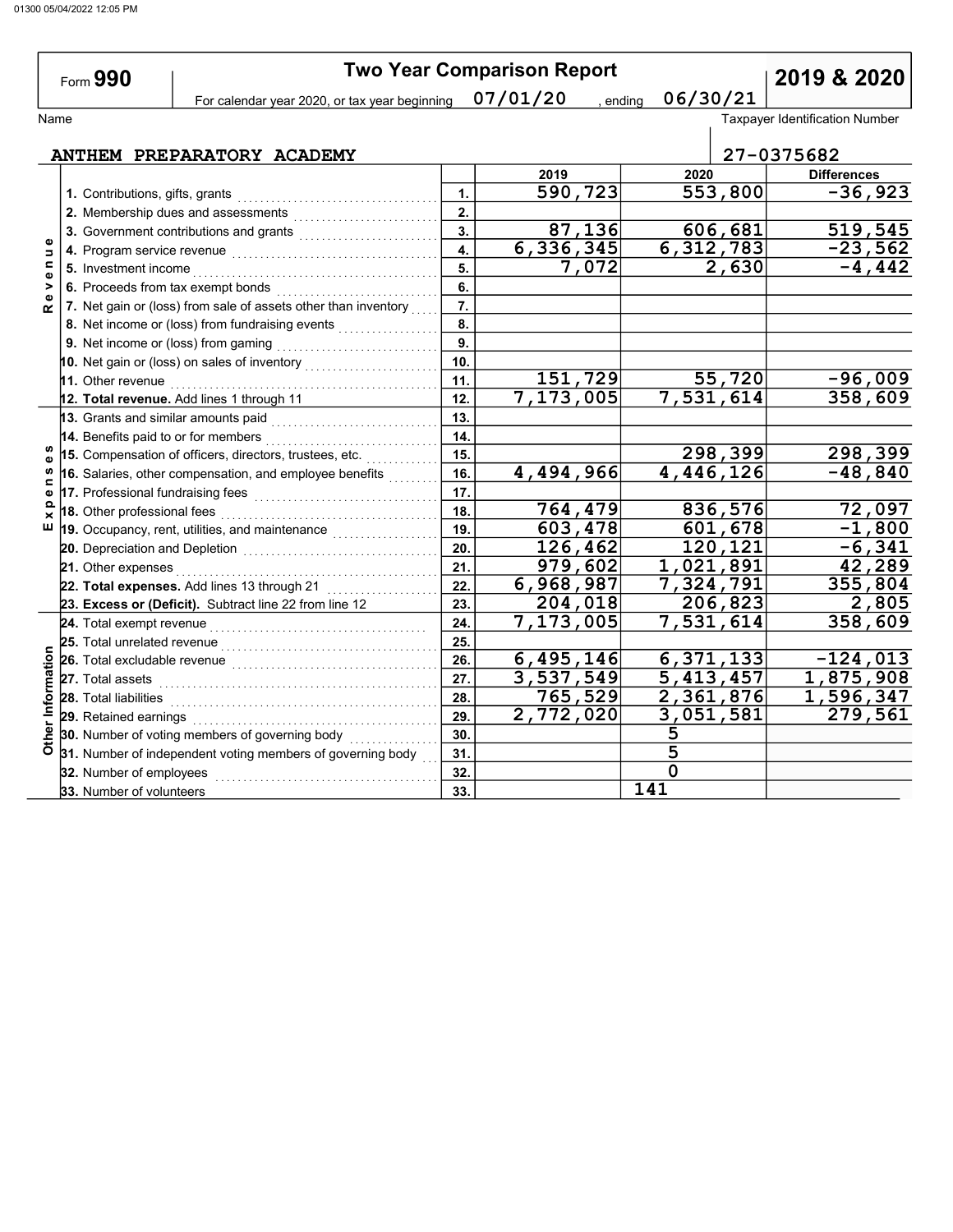|                             | Form 990                                                                                |                           | <b>Two Year Comparison Report</b> |                        | 2019 & 2020                           |
|-----------------------------|-----------------------------------------------------------------------------------------|---------------------------|-----------------------------------|------------------------|---------------------------------------|
|                             | For calendar year 2020, or tax year beginning                                           |                           | 07/01/20                          | 06/30/21<br>, ending   |                                       |
| Name                        |                                                                                         |                           |                                   |                        | <b>Taxpayer Identification Number</b> |
|                             |                                                                                         |                           |                                   |                        |                                       |
|                             | ANTHEM PREPARATORY ACADEMY                                                              |                           |                                   |                        | 27-0375682                            |
|                             |                                                                                         |                           | 2019                              | 2020                   | <b>Differences</b>                    |
|                             | 1. Contributions, gifts, grants                                                         | 1.                        | 590, 723                          | 553,800                | $-36,923$                             |
|                             | 2. Membership dues and assessments                                                      | 2.                        |                                   |                        |                                       |
|                             | 3. Government contributions and grants                                                  | 3.                        | 87,136                            | 606,681                | 519,545                               |
| Б                           |                                                                                         | 4.                        | 6,336,345                         | 6,312,783              | $-23,562$                             |
| $\blacksquare$<br>$\bullet$ |                                                                                         | 5.                        | 7,072                             | 2,630                  | $-4, 442$                             |
| >                           | 6. Proceeds from tax exempt bonds                                                       | 6.                        |                                   |                        |                                       |
| $\alpha$                    | 7. Net gain or (loss) from sale of assets other than inventory                          | $\overline{7}$ .          |                                   |                        |                                       |
|                             | 8. Net income or (loss) from fundraising events                                         | $\overline{\mathbf{8}}$ . |                                   |                        |                                       |
|                             |                                                                                         | $\overline{9}$ .          |                                   |                        |                                       |
|                             | 10. Net gain or (loss) on sales of inventory $\begin{array}{ c c c }\hline \end{array}$ | 10.                       |                                   |                        |                                       |
|                             | 11. Other revenue                                                                       | 11.                       | 151,729                           | 55,720                 | $-96,009$                             |
|                             | 12. Total revenue. Add lines 1 through 11                                               | 12.                       | 7,173,005                         | 7,531,614              | 358,609                               |
|                             | 13. Grants and similar amounts paid                                                     | 13.                       |                                   |                        |                                       |
|                             | 14. Benefits paid to or for members                                                     | 14 <sub>1</sub>           |                                   |                        |                                       |
| w                           | 15. Compensation of officers, directors, trustees, etc.                                 | 15.                       |                                   | 298,399                | 298,399                               |
| ⊆                           | 16. Salaries, other compensation, and employee benefits                                 | 16.                       | 4,494,966                         | 4,446,126              | $-48,840$                             |
| Φ                           |                                                                                         | 17.                       |                                   |                        |                                       |
| ≏<br>×                      | 18. Other professional fees                                                             | 18.                       | 764,479                           | 836,576                | 72,097                                |
| ш                           | 19. Occupancy, rent, utilities, and maintenance <i>minimining</i>                       | 19.                       | 603,478                           | $\overline{601}$ , 678 | $-1,800$                              |
|                             |                                                                                         | 20.                       | 126,462                           | 120,121                | $-6,341$                              |
|                             | 21. Other expenses                                                                      | 21.                       | 979,602                           | 1,021,891              | 42,289                                |
|                             | 22. Total expenses. Add lines 13 through 21                                             | 22.                       | 6,968,987                         | 7,324,791              | 355,804                               |
|                             | 23. Excess or (Deficit). Subtract line 22 from line 12                                  | 23.                       | 204,018                           | 206,823                | 2,805                                 |
|                             |                                                                                         | 24.                       | 7,173,005                         | 7,531,614              | 358,609                               |
|                             |                                                                                         | 25.                       |                                   |                        |                                       |
|                             | 26. Total excludable revenue                                                            | 26.                       | 6,495,146                         | 6,371,133              | $-124,013$                            |
|                             | 27. Total assets                                                                        | 27.                       | 3,537,549                         | $\overline{5,413,457}$ | 1,875,908                             |
| Other Information           | 28. Total liabilities                                                                   | 28.                       | 765,529                           | 2,361,876              | 1,596,347                             |
|                             | 29. Retained earnings                                                                   | 29.                       | $\overline{2,772,020}$            | 3,051,581              | $\overline{279,561}$                  |
|                             | 30. Number of voting members of governing body                                          | 30.                       |                                   | 5                      |                                       |
|                             | 31. Number of independent voting members of governing body                              | 31.                       |                                   | $\overline{5}$         |                                       |

32.

 $\overline{0}$ 141

32. Number of employees . . . . . . . . . . . . . . . . . . . . . . . . . . . . . . . . . . . . . . . . 33. Number of volunteers 33.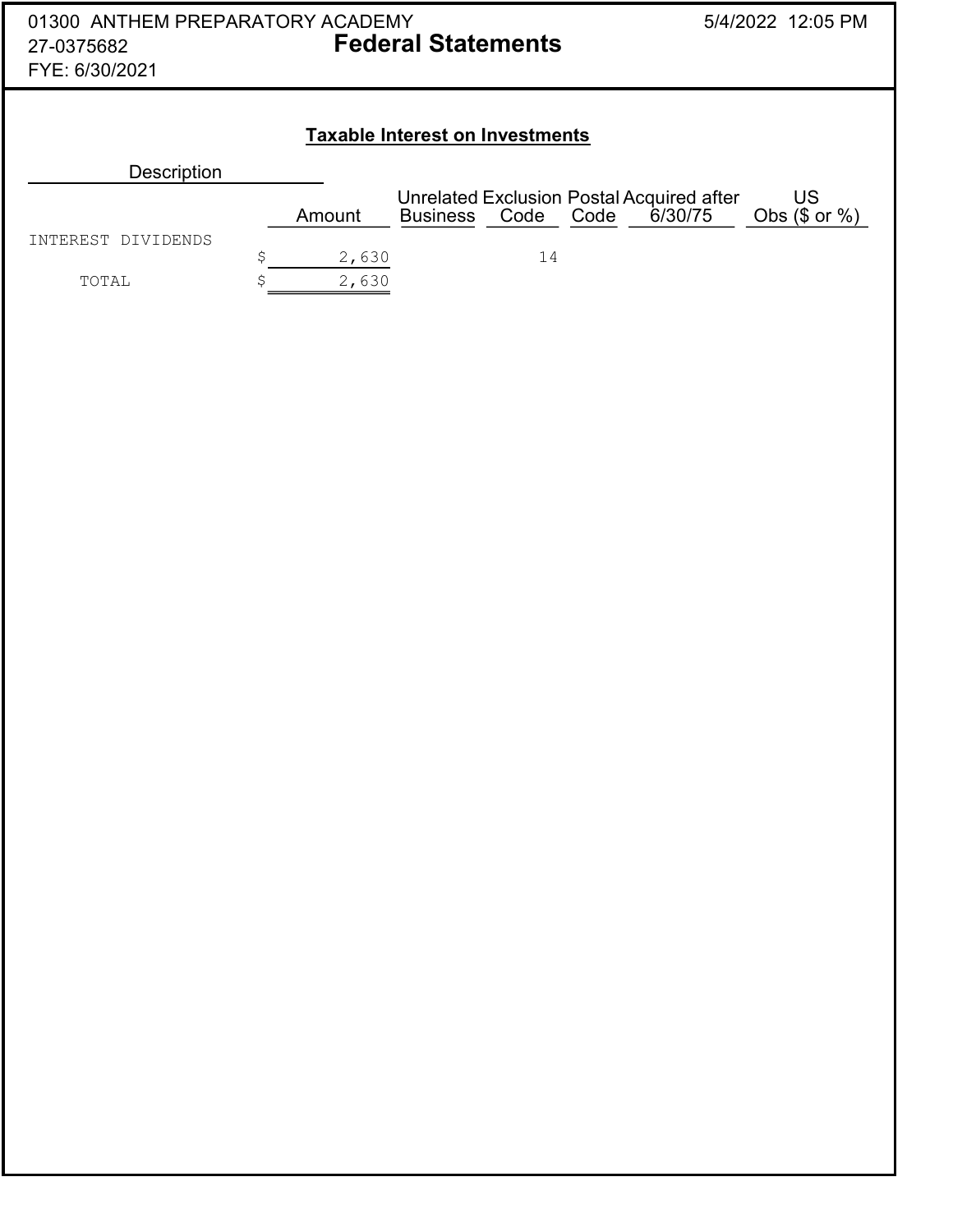| 01300 ANTHEM PREPARATORY ACADEMY<br>27-0375682<br>FYE: 6/30/2021 |   |        | <b>Federal Statements</b>              |      |      |                                                      | 5/4/2022 12:05 PM        |
|------------------------------------------------------------------|---|--------|----------------------------------------|------|------|------------------------------------------------------|--------------------------|
|                                                                  |   |        | <b>Taxable Interest on Investments</b> |      |      |                                                      |                          |
| <b>Description</b>                                               |   |        |                                        |      |      |                                                      |                          |
|                                                                  |   | Amount | <b>Business</b>                        | Code | Code | Unrelated Exclusion Postal Acquired after<br>6/30/75 | US<br>Obs $(\$$ or $%$ ) |
| INTEREST DIVIDENDS                                               | Ś | 2,630  |                                        | 14   |      |                                                      |                          |
| TOTAL                                                            |   | 2,630  |                                        |      |      |                                                      |                          |